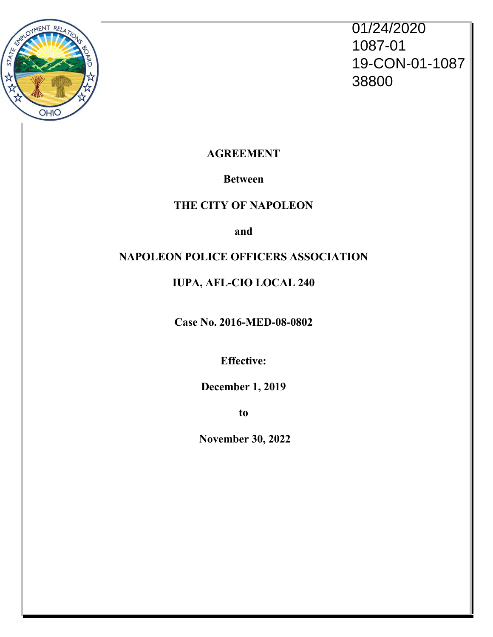

01/24/2020 1087-01 19-CON-01-1087 38800

**AGREEMENT**

# **Between**

# **THE CITY OF NAPOLEON**

**and**

# **NAPOLEON POLICE OFFICERS ASSOCIATION**

# **IUPA, AFL-CIO LOCAL 240**

**Case No. 2016-MED-08-0802**

**Effective:**

**December 1, 2019**

**to**

**November 30, 2022**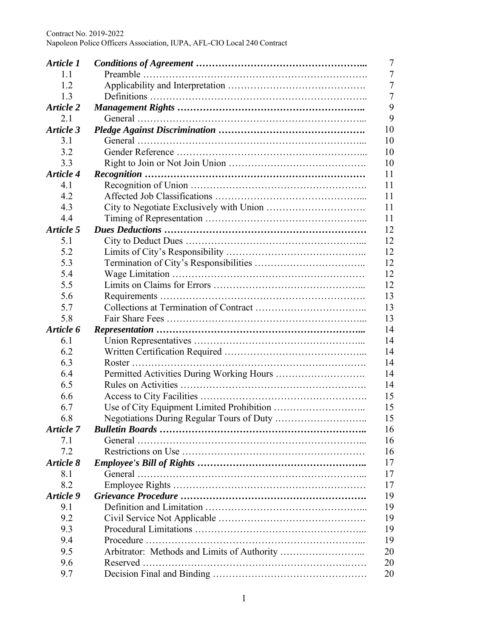| Article 1        | 7  |
|------------------|----|
| 1.1              | 7  |
| 1.2              | 7  |
| 1.3              | 7  |
| Article 2        | 9  |
| 2.1              | 9  |
| Article 3        | 10 |
| 3.1              | 10 |
| 3.2              | 10 |
| 3.3              | 10 |
| <b>Article 4</b> | 11 |
| 4.1              | 11 |
| 4.2              | 11 |
| 4.3              | 11 |
| 4.4              | 11 |
| Article 5        | 12 |
| 5.1              | 12 |
| 5.2              | 12 |
| 5.3              | 12 |
| 5.4              | 12 |
| 5.5              | 12 |
| 5.6              | 13 |
| 5.7              | 13 |
|                  |    |
| 5.8              | 13 |
| Article 6        | 14 |
| 6.1              | 14 |
| 6.2              | 14 |
| 6.3              | 14 |
| 6.4              | 14 |
| 6.5              | 14 |
| 6.6              | 15 |
| 6.7              | 15 |
| 6.8              | 15 |
| Article 7        | 16 |
| 7.1              | 16 |
| 7.2              | 16 |
| Article 8        | 17 |
| 8.1              | 17 |
| 8.2              | 17 |
| Article 9        | 19 |
| 9.1              | 19 |
| 9.2              | 19 |
| 9.3              | 19 |
| 9.4              | 19 |
| 9.5              | 20 |
| 9.6              | 20 |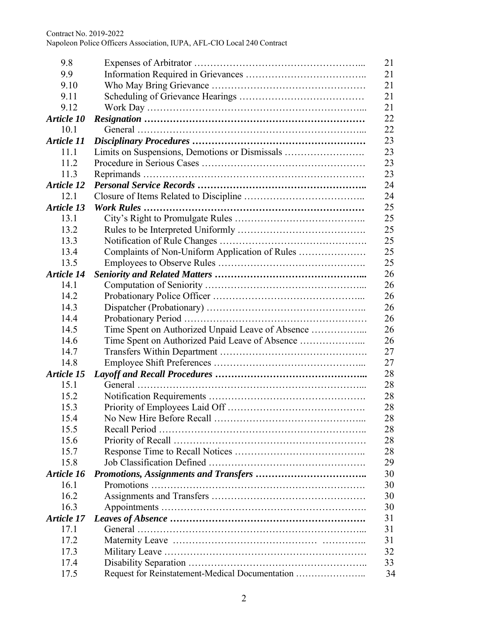| 9.8               |                                                  | 21 |
|-------------------|--------------------------------------------------|----|
| 9.9               |                                                  | 21 |
| 9.10              |                                                  | 21 |
| 9.11              |                                                  | 21 |
| 9.12              |                                                  | 21 |
| Article 10        |                                                  | 22 |
| 10.1              |                                                  | 22 |
| <b>Article 11</b> |                                                  | 23 |
| 11.1              |                                                  | 23 |
| 11.2              |                                                  | 23 |
| 11.3              |                                                  | 23 |
| Article 12        |                                                  | 24 |
| 12.1              |                                                  | 24 |
| <b>Article 13</b> |                                                  | 25 |
| 13.1              |                                                  | 25 |
| 13.2              |                                                  | 25 |
| 13.3              |                                                  | 25 |
| 13.4              | Complaints of Non-Uniform Application of Rules   | 25 |
| 13.5              |                                                  | 25 |
| Article 14        |                                                  | 26 |
| 14.1              |                                                  | 26 |
| 14.2              |                                                  | 26 |
| 14.3              |                                                  | 26 |
| 14.4              |                                                  | 26 |
| 14.5              | Time Spent on Authorized Unpaid Leave of Absence | 26 |
| 14.6              |                                                  | 26 |
| 14.7              |                                                  | 27 |
| 14.8              |                                                  | 27 |
| Article 15        |                                                  | 28 |
| 15.1              |                                                  | 28 |
| 15.2              |                                                  | 28 |
| 15.3              |                                                  | 28 |
| 15.4              |                                                  | 28 |
| 15.5              |                                                  | 28 |
| 15.6              |                                                  | 28 |
| 15.7              |                                                  | 28 |
| 15.8              |                                                  | 29 |
| Article 16        |                                                  | 30 |
| 16.1              |                                                  | 30 |
| 16.2              |                                                  | 30 |
| 16.3              |                                                  | 30 |
| Article 17        |                                                  | 31 |
| 17.1              |                                                  | 31 |
| 17.2              |                                                  | 31 |
| 17.3              |                                                  | 32 |
| 17.4              |                                                  | 33 |
| 17.5              | Request for Reinstatement-Medical Documentation  | 34 |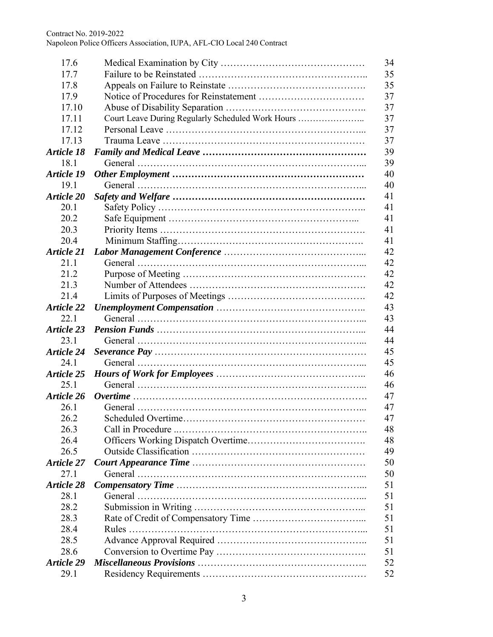| 17.6              |                                                   | 34 |
|-------------------|---------------------------------------------------|----|
| 17.7              |                                                   | 35 |
| 17.8              |                                                   | 35 |
| 17.9              |                                                   | 37 |
| 17.10             |                                                   | 37 |
| 17.11             | Court Leave During Regularly Scheduled Work Hours | 37 |
| 17.12             |                                                   | 37 |
| 17.13             |                                                   | 37 |
| Article 18        |                                                   | 39 |
| 18.1              |                                                   | 39 |
| <b>Article 19</b> |                                                   | 40 |
| 19.1              |                                                   | 40 |
| Article 20        |                                                   | 41 |
| 20.1              |                                                   | 41 |
| 20.2              |                                                   | 41 |
| 20.3              |                                                   | 41 |
| 20.4              |                                                   | 41 |
| <b>Article 21</b> |                                                   | 42 |
| 21.1              |                                                   | 42 |
| 21.2              |                                                   | 42 |
| 21.3              |                                                   | 42 |
| 21.4              |                                                   | 42 |
| <b>Article 22</b> |                                                   | 43 |
| 22.1              |                                                   | 43 |
| <b>Article 23</b> |                                                   | 44 |
|                   |                                                   |    |
| 23.1              |                                                   | 44 |
| <b>Article 24</b> |                                                   | 45 |
| 24.1              |                                                   | 45 |
| Article 25        |                                                   | 46 |
| 25.1              |                                                   | 46 |
| Article 26        |                                                   | 47 |
| 26.1              |                                                   | 47 |
| 26.2              |                                                   | 47 |
| 26.3              |                                                   | 48 |
| 26.4              |                                                   | 48 |
| 26.5              |                                                   | 49 |
| <b>Article 27</b> |                                                   | 50 |
| 27.1              |                                                   | 50 |
| Article 28        |                                                   | 51 |
| 28.1              |                                                   | 51 |
| 28.2              |                                                   | 51 |
| 28.3              |                                                   | 51 |
| 28.4              |                                                   | 51 |
| 28.5              |                                                   | 51 |
| 28.6              |                                                   | 51 |
| <b>Article 29</b> |                                                   | 52 |
| 29.1              |                                                   | 52 |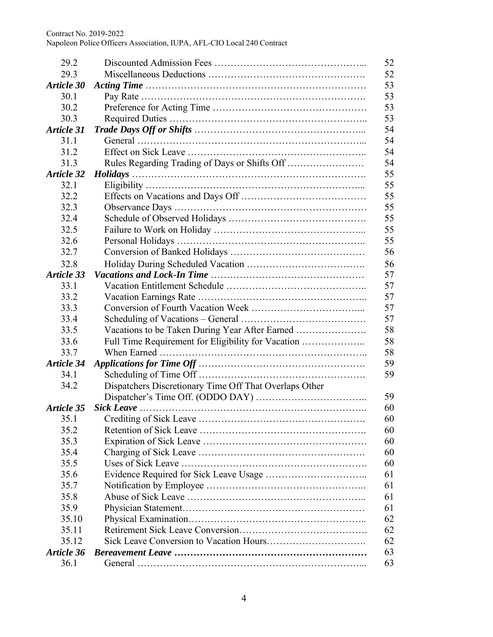| 29.2              |                                                        | 52       |  |
|-------------------|--------------------------------------------------------|----------|--|
| 29.3              | 52                                                     |          |  |
| Article 30        |                                                        | 53       |  |
| 30.1              |                                                        | 53       |  |
| 30.2              |                                                        | 53       |  |
| 30.3              |                                                        |          |  |
| Article 31        |                                                        | 53<br>54 |  |
| 31.1              |                                                        | 54       |  |
| 31.2              |                                                        | 54       |  |
| 31.3              |                                                        | 54       |  |
| <b>Article 32</b> |                                                        | 55       |  |
| 32.1              |                                                        | 55       |  |
| 32.2              |                                                        | 55       |  |
| 32.3              |                                                        | 55       |  |
| 32.4              |                                                        | 55       |  |
| 32.5              |                                                        | 55       |  |
| 32.6              |                                                        | 55       |  |
| 32.7              |                                                        | 56       |  |
| 32.8              |                                                        | 56       |  |
| Article 33        |                                                        | 57       |  |
| 33.1              |                                                        | 57       |  |
| 33.2              |                                                        | 57       |  |
| 33.3              |                                                        | 57       |  |
| 33.4              |                                                        | 57       |  |
| 33.5              | Vacations to be Taken During Year After Earned         | 58       |  |
| 33.6              | Full Time Requirement for Eligibility for Vacation     | 58       |  |
| 33.7              |                                                        | 58       |  |
| Article 34        |                                                        | 59       |  |
| 34.1              |                                                        | 59       |  |
| 34.2              |                                                        |          |  |
|                   | Dispatchers Discretionary Time Off That Overlaps Other | 59       |  |
| Article 35        |                                                        | 60       |  |
| 35.1              |                                                        | 60       |  |
| 35.2              |                                                        | 60       |  |
| 35.3              |                                                        | 60       |  |
| 35.4              |                                                        |          |  |
| 35.5              |                                                        | 60       |  |
|                   |                                                        | 60       |  |
| 35.6              |                                                        | 61       |  |
| 35.7              |                                                        | 61       |  |
| 35.8              |                                                        | 61       |  |
| 35.9              |                                                        | 61       |  |
| 35.10             |                                                        | 62       |  |
| 35.11             |                                                        | 62       |  |
| 35.12             |                                                        | 62       |  |
| Article 36        |                                                        | 63       |  |
| 36.1              |                                                        | 63       |  |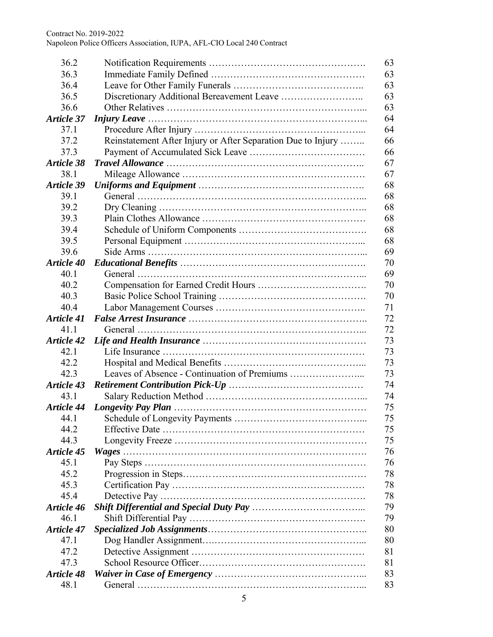| 36.2              |                                                              | 63       |  |
|-------------------|--------------------------------------------------------------|----------|--|
| 36.3              |                                                              | 63       |  |
| 36.4              |                                                              | 63       |  |
| 36.5              |                                                              |          |  |
| 36.6              | 63<br>63                                                     |          |  |
| Article 37        |                                                              |          |  |
| 37.1              |                                                              | 64<br>64 |  |
| 37.2              | Reinstatement After Injury or After Separation Due to Injury | 66       |  |
| 37.3              |                                                              |          |  |
| Article 38        |                                                              | 66<br>67 |  |
| 38.1              |                                                              | 67       |  |
| Article 39        |                                                              | 68       |  |
| 39.1              |                                                              | 68       |  |
| 39.2              |                                                              | 68       |  |
| 39.3              |                                                              | 68       |  |
| 39.4              |                                                              | 68       |  |
| 39.5              |                                                              | 68       |  |
| 39.6              |                                                              | 69       |  |
| Article 40        |                                                              | 70       |  |
|                   |                                                              |          |  |
| 40.1              |                                                              | 69       |  |
| 40.2              |                                                              | 70       |  |
| 40.3              |                                                              | 70       |  |
| 40.4              |                                                              | 71       |  |
| <b>Article 41</b> |                                                              | 72       |  |
| 41.1              |                                                              | 72       |  |
| <b>Article 42</b> |                                                              | 73       |  |
| 42.1              |                                                              | 73       |  |
| 42.2              |                                                              | 73       |  |
| 42.3              |                                                              | 73       |  |
| <b>Article 43</b> |                                                              | 74       |  |
| 43.1              |                                                              | 74       |  |
| <b>Article 44</b> |                                                              | 75       |  |
| 44.1              |                                                              | 75       |  |
| 44.2              |                                                              | 75       |  |
| 44.3              |                                                              | 75       |  |
| Article 45        |                                                              | 76       |  |
| 45.1              |                                                              | 76       |  |
| 45.2              |                                                              | 78       |  |
| 45.3              |                                                              | 78       |  |
| 45.4              |                                                              | 78       |  |
| Article 46        |                                                              | 79       |  |
| 46.1              |                                                              | 79       |  |
| <b>Article 47</b> |                                                              | 80       |  |
| 47.1              |                                                              | 80       |  |
| 47.2              |                                                              | 81       |  |
| 47.3              |                                                              | 81       |  |
| <b>Article 48</b> |                                                              | 83       |  |
| 48.1              |                                                              | 83       |  |
|                   |                                                              |          |  |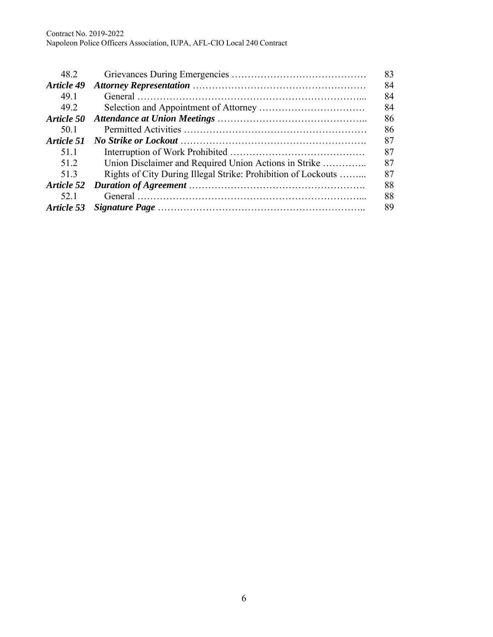| 48.2              |                                                               | 83 |
|-------------------|---------------------------------------------------------------|----|
| <b>Article 49</b> |                                                               | 84 |
| 49.1              |                                                               | 84 |
| 49.2              |                                                               | 84 |
| Article 50        |                                                               | 86 |
| 50.1              |                                                               | 86 |
| Article 51        |                                                               | 87 |
| 51.1              |                                                               | 87 |
| 51.2              | Union Disclaimer and Required Union Actions in Strike         | 87 |
| 51.3              | Rights of City During Illegal Strike: Prohibition of Lockouts | 87 |
| Article 52        |                                                               | 88 |
| 52.1              |                                                               | 88 |
| Article 53        |                                                               | 89 |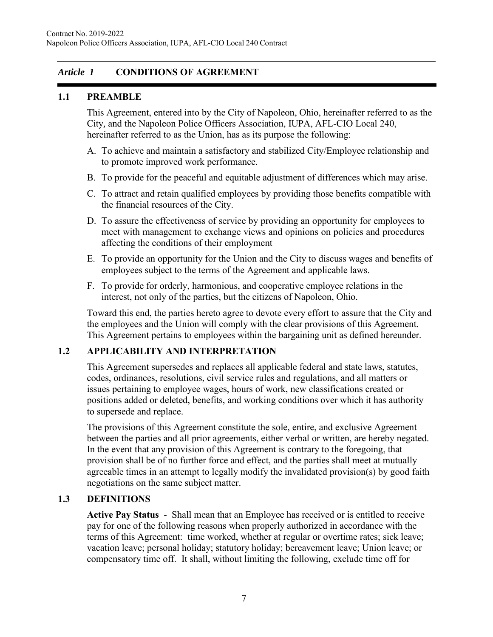### *Article 1* **CONDITIONS OF AGREEMENT**

### **1.1 PREAMBLE**

This Agreement, entered into by the City of Napoleon, Ohio, hereinafter referred to as the City*,* and the Napoleon Police Officers Association, IUPA, AFL-CIO Local 240, hereinafter referred to as the Union, has as its purpose the following:

- A. To achieve and maintain a satisfactory and stabilized City/Employee relationship and to promote improved work performance.
- B. To provide for the peaceful and equitable adjustment of differences which may arise.
- C. To attract and retain qualified employees by providing those benefits compatible with the financial resources of the City.
- D. To assure the effectiveness of service by providing an opportunity for employees to meet with management to exchange views and opinions on policies and procedures affecting the conditions of their employment
- E. To provide an opportunity for the Union and the City to discuss wages and benefits of employees subject to the terms of the Agreement and applicable laws.
- F. To provide for orderly, harmonious, and cooperative employee relations in the interest, not only of the parties, but the citizens of Napoleon, Ohio.

Toward this end, the parties hereto agree to devote every effort to assure that the City and the employees and the Union will comply with the clear provisions of this Agreement. This Agreement pertains to employees within the bargaining unit as defined hereunder.

### **1.2 APPLICABILITY AND INTERPRETATION**

This Agreement supersedes and replaces all applicable federal and state laws, statutes, codes, ordinances, resolutions, civil service rules and regulations, and all matters or issues pertaining to employee wages, hours of work, new classifications created or positions added or deleted, benefits, and working conditions over which it has authority to supersede and replace.

The provisions of this Agreement constitute the sole, entire, and exclusive Agreement between the parties and all prior agreements, either verbal or written, are hereby negated. In the event that any provision of this Agreement is contrary to the foregoing, that provision shall be of no further force and effect, and the parties shall meet at mutually agreeable times in an attempt to legally modify the invalidated provision(s) by good faith negotiations on the same subject matter.

### **1.3 DEFINITIONS**

**Active Pay Status** - Shall mean that an Employee has received or is entitled to receive pay for one of the following reasons when properly authorized in accordance with the terms of this Agreement: time worked, whether at regular or overtime rates; sick leave; vacation leave; personal holiday; statutory holiday; bereavement leave; Union leave; or compensatory time off. It shall, without limiting the following, exclude time off for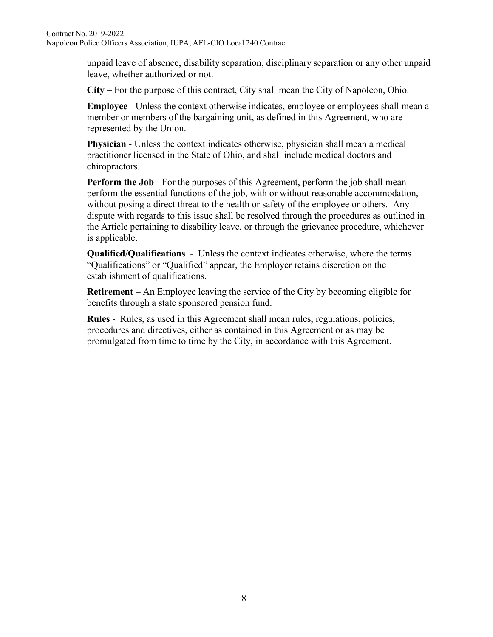unpaid leave of absence, disability separation, disciplinary separation or any other unpaid leave, whether authorized or not.

**City** – For the purpose of this contract, City shall mean the City of Napoleon, Ohio.

**Employee** - Unless the context otherwise indicates, employee or employees shall mean a member or members of the bargaining unit, as defined in this Agreement, who are represented by the Union.

**Physician** - Unless the context indicates otherwise, physician shall mean a medical practitioner licensed in the State of Ohio, and shall include medical doctors and chiropractors.

**Perform the Job** - For the purposes of this Agreement, perform the job shall mean perform the essential functions of the job, with or without reasonable accommodation, without posing a direct threat to the health or safety of the employee or others. Any dispute with regards to this issue shall be resolved through the procedures as outlined in the Article pertaining to disability leave, or through the grievance procedure, whichever is applicable.

**Qualified/Qualifications** - Unless the context indicates otherwise, where the terms "Qualifications" or "Qualified" appear, the Employer retains discretion on the establishment of qualifications.

**Retirement** – An Employee leaving the service of the City by becoming eligible for benefits through a state sponsored pension fund.

**Rules** - Rules, as used in this Agreement shall mean rules, regulations, policies, procedures and directives, either as contained in this Agreement or as may be promulgated from time to time by the City, in accordance with this Agreement.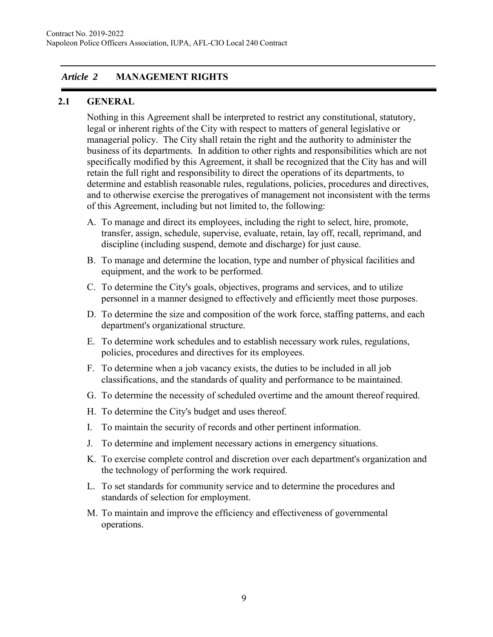# *Article 2* **MANAGEMENT RIGHTS**

#### **2.1 GENERAL**

Nothing in this Agreement shall be interpreted to restrict any constitutional, statutory, legal or inherent rights of the City with respect to matters of general legislative or managerial policy. The City shall retain the right and the authority to administer the business of its departments. In addition to other rights and responsibilities which are not specifically modified by this Agreement, it shall be recognized that the City has and will retain the full right and responsibility to direct the operations of its departments, to determine and establish reasonable rules, regulations, policies, procedures and directives, and to otherwise exercise the prerogatives of management not inconsistent with the terms of this Agreement, including but not limited to, the following:

- A. To manage and direct its employees, including the right to select, hire, promote, transfer, assign, schedule, supervise, evaluate, retain, lay off, recall, reprimand, and discipline (including suspend, demote and discharge) for just cause.
- B. To manage and determine the location, type and number of physical facilities and equipment, and the work to be performed.
- C. To determine the City's goals, objectives, programs and services, and to utilize personnel in a manner designed to effectively and efficiently meet those purposes.
- D. To determine the size and composition of the work force, staffing patterns, and each department's organizational structure.
- E. To determine work schedules and to establish necessary work rules, regulations, policies, procedures and directives for its employees.
- F. To determine when a job vacancy exists, the duties to be included in all job classifications, and the standards of quality and performance to be maintained.
- G. To determine the necessity of scheduled overtime and the amount thereof required.
- H. To determine the City's budget and uses thereof.
- I. To maintain the security of records and other pertinent information.
- J. To determine and implement necessary actions in emergency situations.
- K. To exercise complete control and discretion over each department's organization and the technology of performing the work required.
- L. To set standards for community service and to determine the procedures and standards of selection for employment.
- M. To maintain and improve the efficiency and effectiveness of governmental operations.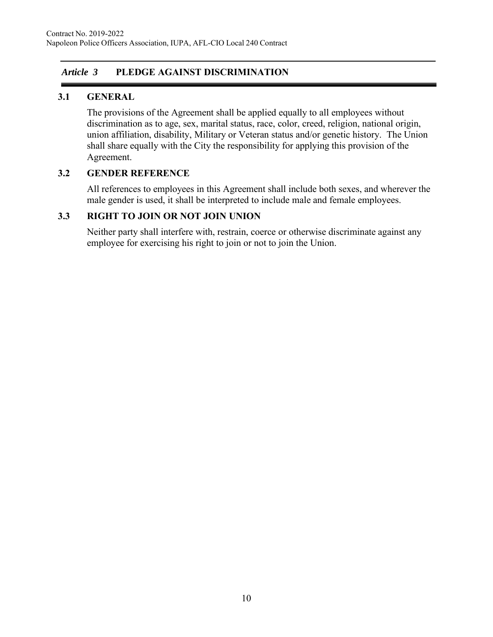### *Article 3* **PLEDGE AGAINST DISCRIMINATION**

### **3.1 GENERAL**

The provisions of the Agreement shall be applied equally to all employees without discrimination as to age, sex, marital status, race, color, creed, religion, national origin, union affiliation, disability, Military or Veteran status and/or genetic history. The Union shall share equally with the City the responsibility for applying this provision of the Agreement.

### **3.2 GENDER REFERENCE**

All references to employees in this Agreement shall include both sexes, and wherever the male gender is used, it shall be interpreted to include male and female employees.

### **3.3 RIGHT TO JOIN OR NOT JOIN UNION**

Neither party shall interfere with, restrain, coerce or otherwise discriminate against any employee for exercising his right to join or not to join the Union.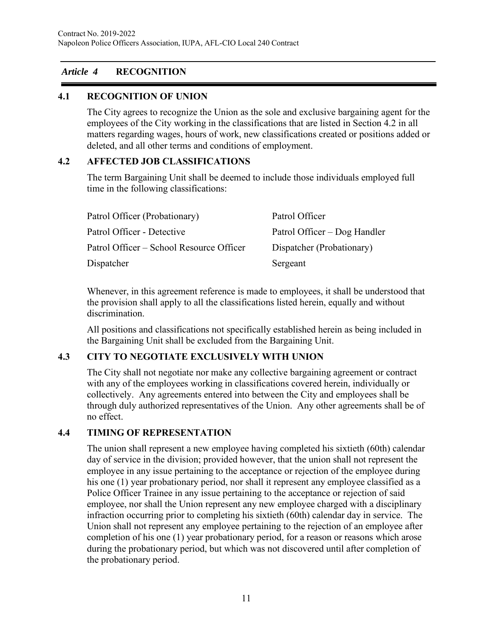### *Article 4* **RECOGNITION**

### **4.1 RECOGNITION OF UNION**

The City agrees to recognize the Union as the sole and exclusive bargaining agent for the employees of the City working in the classifications that are listed in Section 4.2 in all matters regarding wages, hours of work, new classifications created or positions added or deleted, and all other terms and conditions of employment.

### **4.2 AFFECTED JOB CLASSIFICATIONS**

The term Bargaining Unit shall be deemed to include those individuals employed full time in the following classifications:

| Patrol Officer (Probationary)            | Patrol Officer               |
|------------------------------------------|------------------------------|
| Patrol Officer - Detective               | Patrol Officer – Dog Handler |
| Patrol Officer – School Resource Officer | Dispatcher (Probationary)    |
| Dispatcher                               | Sergeant                     |

Whenever, in this agreement reference is made to employees, it shall be understood that the provision shall apply to all the classifications listed herein, equally and without discrimination.

All positions and classifications not specifically established herein as being included in the Bargaining Unit shall be excluded from the Bargaining Unit.

# **4.3 CITY TO NEGOTIATE EXCLUSIVELY WITH UNION**

The City shall not negotiate nor make any collective bargaining agreement or contract with any of the employees working in classifications covered herein, individually or collectively. Any agreements entered into between the City and employees shall be through duly authorized representatives of the Union. Any other agreements shall be of no effect.

### **4.4 TIMING OF REPRESENTATION**

The union shall represent a new employee having completed his sixtieth (60th) calendar day of service in the division; provided however, that the union shall not represent the employee in any issue pertaining to the acceptance or rejection of the employee during his one (1) year probationary period, nor shall it represent any employee classified as a Police Officer Trainee in any issue pertaining to the acceptance or rejection of said employee, nor shall the Union represent any new employee charged with a disciplinary infraction occurring prior to completing his sixtieth (60th) calendar day in service. The Union shall not represent any employee pertaining to the rejection of an employee after completion of his one (1) year probationary period, for a reason or reasons which arose during the probationary period, but which was not discovered until after completion of the probationary period.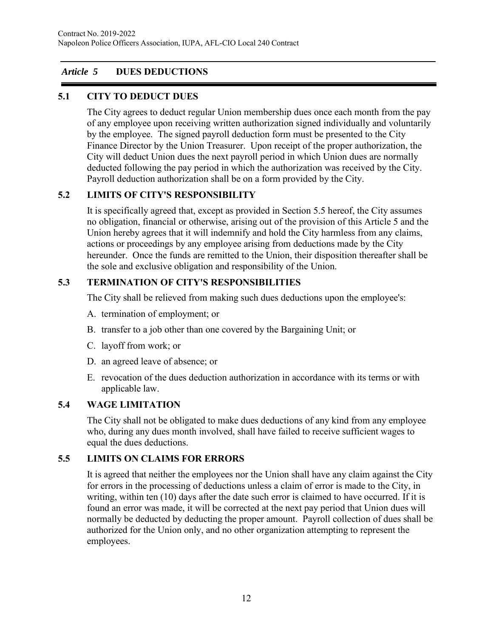# *Article 5* **DUES DEDUCTIONS**

# **5.1 CITY TO DEDUCT DUES**

The City agrees to deduct regular Union membership dues once each month from the pay of any employee upon receiving written authorization signed individually and voluntarily by the employee. The signed payroll deduction form must be presented to the City Finance Director by the Union Treasurer. Upon receipt of the proper authorization, the City will deduct Union dues the next payroll period in which Union dues are normally deducted following the pay period in which the authorization was received by the City. Payroll deduction authorization shall be on a form provided by the City.

# **5.2 LIMITS OF CITY'S RESPONSIBILITY**

It is specifically agreed that, except as provided in Section 5.5 hereof, the City assumes no obligation, financial or otherwise, arising out of the provision of this Article 5 and the Union hereby agrees that it will indemnify and hold the City harmless from any claims, actions or proceedings by any employee arising from deductions made by the City hereunder. Once the funds are remitted to the Union, their disposition thereafter shall be the sole and exclusive obligation and responsibility of the Union.

# **5.3 TERMINATION OF CITY'S RESPONSIBILITIES**

The City shall be relieved from making such dues deductions upon the employee's:

- A. termination of employment; or
- B. transfer to a job other than one covered by the Bargaining Unit; or
- C. layoff from work; or
- D. an agreed leave of absence; or
- E. revocation of the dues deduction authorization in accordance with its terms or with applicable law.

# **5.4 WAGE LIMITATION**

The City shall not be obligated to make dues deductions of any kind from any employee who, during any dues month involved, shall have failed to receive sufficient wages to equal the dues deductions.

# **5.5 LIMITS ON CLAIMS FOR ERRORS**

It is agreed that neither the employees nor the Union shall have any claim against the City for errors in the processing of deductions unless a claim of error is made to the City, in writing, within ten (10) days after the date such error is claimed to have occurred. If it is found an error was made, it will be corrected at the next pay period that Union dues will normally be deducted by deducting the proper amount. Payroll collection of dues shall be authorized for the Union only, and no other organization attempting to represent the employees.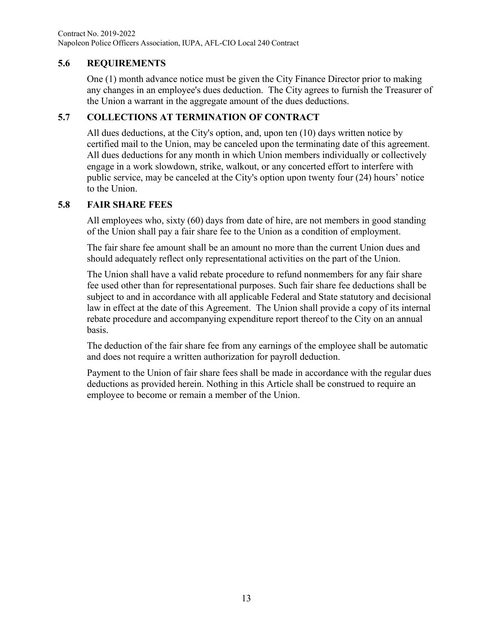Contract No. 2019-2022 Napoleon Police Officers Association, IUPA, AFL-CIO Local 240 Contract

### **5.6 REQUIREMENTS**

One (1) month advance notice must be given the City Finance Director prior to making any changes in an employee's dues deduction. The City agrees to furnish the Treasurer of the Union a warrant in the aggregate amount of the dues deductions.

### **5.7 COLLECTIONS AT TERMINATION OF CONTRACT**

All dues deductions, at the City's option, and, upon ten (10) days written notice by certified mail to the Union, may be canceled upon the terminating date of this agreement. All dues deductions for any month in which Union members individually or collectively engage in a work slowdown, strike, walkout, or any concerted effort to interfere with public service, may be canceled at the City's option upon twenty four (24) hours' notice to the Union.

#### **5.8 FAIR SHARE FEES**

All employees who, sixty (60) days from date of hire, are not members in good standing of the Union shall pay a fair share fee to the Union as a condition of employment.

The fair share fee amount shall be an amount no more than the current Union dues and should adequately reflect only representational activities on the part of the Union.

The Union shall have a valid rebate procedure to refund nonmembers for any fair share fee used other than for representational purposes. Such fair share fee deductions shall be subject to and in accordance with all applicable Federal and State statutory and decisional law in effect at the date of this Agreement. The Union shall provide a copy of its internal rebate procedure and accompanying expenditure report thereof to the City on an annual basis.

The deduction of the fair share fee from any earnings of the employee shall be automatic and does not require a written authorization for payroll deduction.

Payment to the Union of fair share fees shall be made in accordance with the regular dues deductions as provided herein. Nothing in this Article shall be construed to require an employee to become or remain a member of the Union.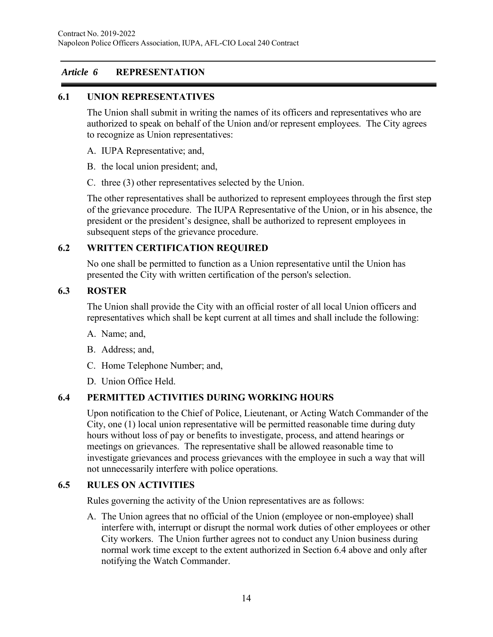# *Article 6* **REPRESENTATION**

### **6.1 UNION REPRESENTATIVES**

The Union shall submit in writing the names of its officers and representatives who are authorized to speak on behalf of the Union and/or represent employees. The City agrees to recognize as Union representatives:

- A. IUPA Representative; and,
- B. the local union president; and,
- C. three (3) other representatives selected by the Union.

The other representatives shall be authorized to represent employees through the first step of the grievance procedure. The IUPA Representative of the Union, or in his absence, the president or the president's designee, shall be authorized to represent employees in subsequent steps of the grievance procedure.

### **6.2 WRITTEN CERTIFICATION REQUIRED**

No one shall be permitted to function as a Union representative until the Union has presented the City with written certification of the person's selection.

#### **6.3 ROSTER**

The Union shall provide the City with an official roster of all local Union officers and representatives which shall be kept current at all times and shall include the following:

- A. Name; and,
- B. Address; and,
- C. Home Telephone Number; and,
- D. Union Office Held.

### **6.4 PERMITTED ACTIVITIES DURING WORKING HOURS**

Upon notification to the Chief of Police, Lieutenant, or Acting Watch Commander of the City, one (1) local union representative will be permitted reasonable time during duty hours without loss of pay or benefits to investigate, process, and attend hearings or meetings on grievances. The representative shall be allowed reasonable time to investigate grievances and process grievances with the employee in such a way that will not unnecessarily interfere with police operations.

### **6.5 RULES ON ACTIVITIES**

Rules governing the activity of the Union representatives are as follows:

A. The Union agrees that no official of the Union (employee or non-employee) shall interfere with, interrupt or disrupt the normal work duties of other employees or other City workers. The Union further agrees not to conduct any Union business during normal work time except to the extent authorized in Section 6.4 above and only after notifying the Watch Commander.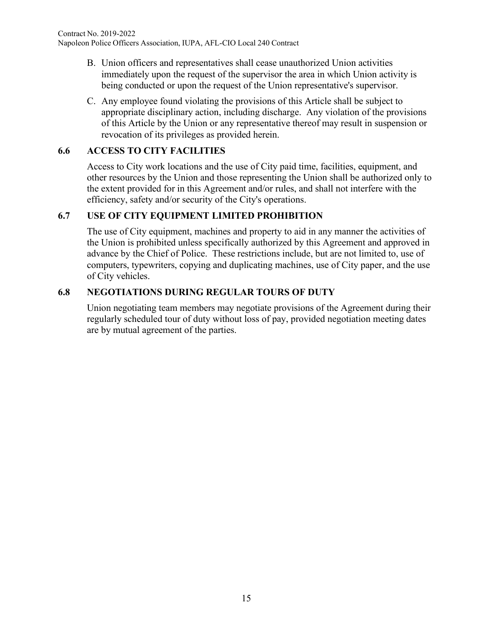- B. Union officers and representatives shall cease unauthorized Union activities immediately upon the request of the supervisor the area in which Union activity is being conducted or upon the request of the Union representative's supervisor.
- C. Any employee found violating the provisions of this Article shall be subject to appropriate disciplinary action, including discharge. Any violation of the provisions of this Article by the Union or any representative thereof may result in suspension or revocation of its privileges as provided herein.

### **6.6 ACCESS TO CITY FACILITIES**

Access to City work locations and the use of City paid time, facilities, equipment, and other resources by the Union and those representing the Union shall be authorized only to the extent provided for in this Agreement and/or rules, and shall not interfere with the efficiency, safety and/or security of the City's operations.

### **6.7 USE OF CITY EQUIPMENT LIMITED PROHIBITION**

The use of City equipment, machines and property to aid in any manner the activities of the Union is prohibited unless specifically authorized by this Agreement and approved in advance by the Chief of Police. These restrictions include, but are not limited to, use of computers, typewriters, copying and duplicating machines, use of City paper, and the use of City vehicles.

# **6.8 NEGOTIATIONS DURING REGULAR TOURS OF DUTY**

Union negotiating team members may negotiate provisions of the Agreement during their regularly scheduled tour of duty without loss of pay, provided negotiation meeting dates are by mutual agreement of the parties.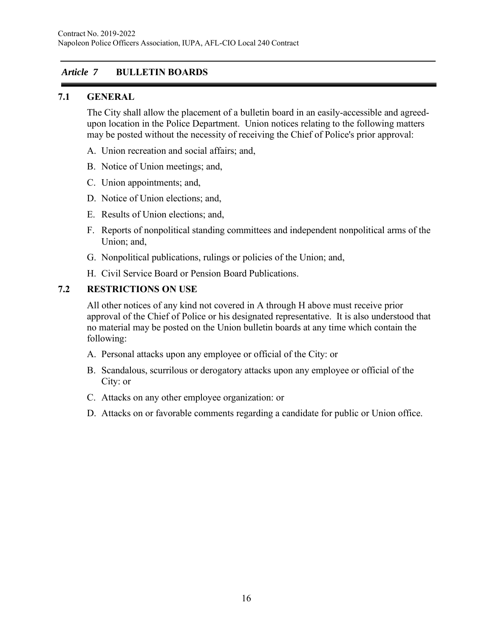### *Article 7* **BULLETIN BOARDS**

### **7.1 GENERAL**

The City shall allow the placement of a bulletin board in an easily-accessible and agreedupon location in the Police Department. Union notices relating to the following matters may be posted without the necessity of receiving the Chief of Police's prior approval:

- A. Union recreation and social affairs; and,
- B. Notice of Union meetings; and,
- C. Union appointments; and,
- D. Notice of Union elections; and,
- E. Results of Union elections; and,
- F. Reports of nonpolitical standing committees and independent nonpolitical arms of the Union; and,
- G. Nonpolitical publications, rulings or policies of the Union; and,
- H. Civil Service Board or Pension Board Publications.

#### **7.2 RESTRICTIONS ON USE**

All other notices of any kind not covered in A through H above must receive prior approval of the Chief of Police or his designated representative. It is also understood that no material may be posted on the Union bulletin boards at any time which contain the following:

- A. Personal attacks upon any employee or official of the City: or
- B. Scandalous, scurrilous or derogatory attacks upon any employee or official of the City: or
- C. Attacks on any other employee organization: or
- D. Attacks on or favorable comments regarding a candidate for public or Union office.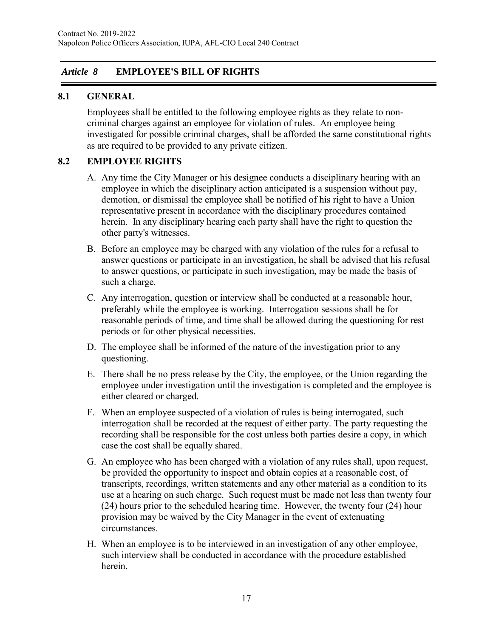### *Article 8* **EMPLOYEE'S BILL OF RIGHTS**

#### **8.1 GENERAL**

Employees shall be entitled to the following employee rights as they relate to noncriminal charges against an employee for violation of rules. An employee being investigated for possible criminal charges, shall be afforded the same constitutional rights as are required to be provided to any private citizen.

### **8.2 EMPLOYEE RIGHTS**

- A. Any time the City Manager or his designee conducts a disciplinary hearing with an employee in which the disciplinary action anticipated is a suspension without pay, demotion, or dismissal the employee shall be notified of his right to have a Union representative present in accordance with the disciplinary procedures contained herein. In any disciplinary hearing each party shall have the right to question the other party's witnesses.
- B. Before an employee may be charged with any violation of the rules for a refusal to answer questions or participate in an investigation, he shall be advised that his refusal to answer questions, or participate in such investigation, may be made the basis of such a charge.
- C. Any interrogation, question or interview shall be conducted at a reasonable hour, preferably while the employee is working. Interrogation sessions shall be for reasonable periods of time, and time shall be allowed during the questioning for rest periods or for other physical necessities.
- D. The employee shall be informed of the nature of the investigation prior to any questioning.
- E. There shall be no press release by the City, the employee, or the Union regarding the employee under investigation until the investigation is completed and the employee is either cleared or charged.
- F. When an employee suspected of a violation of rules is being interrogated, such interrogation shall be recorded at the request of either party. The party requesting the recording shall be responsible for the cost unless both parties desire a copy, in which case the cost shall be equally shared.
- G. An employee who has been charged with a violation of any rules shall, upon request, be provided the opportunity to inspect and obtain copies at a reasonable cost, of transcripts, recordings, written statements and any other material as a condition to its use at a hearing on such charge. Such request must be made not less than twenty four (24) hours prior to the scheduled hearing time. However, the twenty four (24) hour provision may be waived by the City Manager in the event of extenuating circumstances.
- H. When an employee is to be interviewed in an investigation of any other employee, such interview shall be conducted in accordance with the procedure established herein.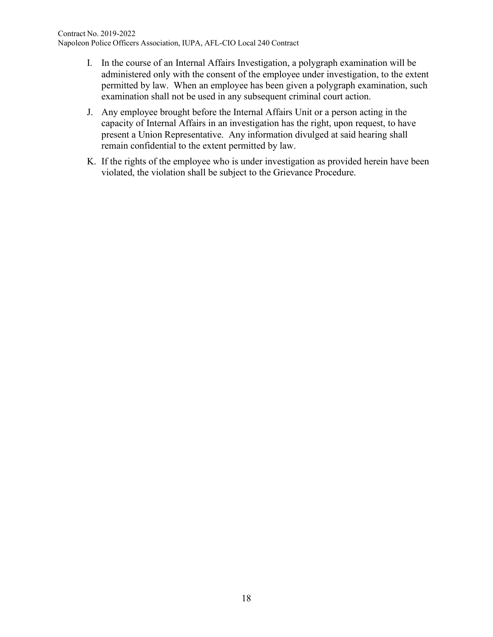- I. In the course of an Internal Affairs Investigation, a polygraph examination will be administered only with the consent of the employee under investigation, to the extent permitted by law. When an employee has been given a polygraph examination, such examination shall not be used in any subsequent criminal court action.
- J. Any employee brought before the Internal Affairs Unit or a person acting in the capacity of Internal Affairs in an investigation has the right, upon request, to have present a Union Representative. Any information divulged at said hearing shall remain confidential to the extent permitted by law.
- K. If the rights of the employee who is under investigation as provided herein have been violated, the violation shall be subject to the Grievance Procedure.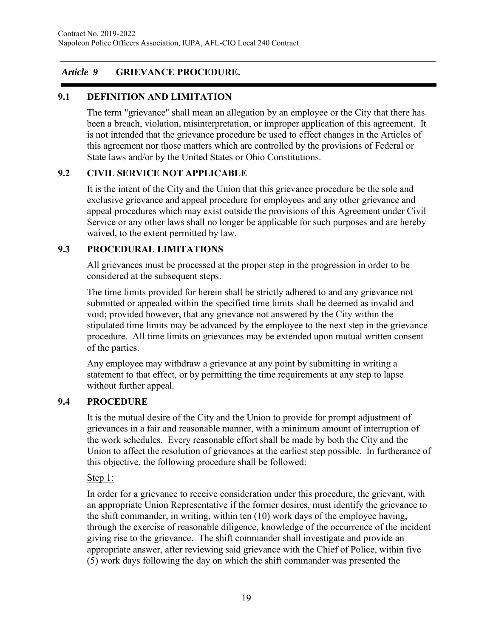### *Article 9* **GRIEVANCE PROCEDURE.**

# **9.1 DEFINITION AND LIMITATION**

The term "grievance" shall mean an allegation by an employee or the City that there has been a breach, violation, misinterpretation, or improper application of this agreement. It is not intended that the grievance procedure be used to effect changes in the Articles of this agreement nor those matters which are controlled by the provisions of Federal or State laws and/or by the United States or Ohio Constitutions.

### **9.2 CIVIL SERVICE NOT APPLICABLE**

It is the intent of the City and the Union that this grievance procedure be the sole and exclusive grievance and appeal procedure for employees and any other grievance and appeal procedures which may exist outside the provisions of this Agreement under Civil Service or any other laws shall no longer be applicable for such purposes and are hereby waived, to the extent permitted by law.

### **9.3 PROCEDURAL LIMITATIONS**

All grievances must be processed at the proper step in the progression in order to be considered at the subsequent steps.

The time limits provided for herein shall be strictly adhered to and any grievance not submitted or appealed within the specified time limits shall be deemed as invalid and void; provided however, that any grievance not answered by the City within the stipulated time limits may be advanced by the employee to the next step in the grievance procedure. All time limits on grievances may be extended upon mutual written consent of the parties.

Any employee may withdraw a grievance at any point by submitting in writing a statement to that effect, or by permitting the time requirements at any step to lapse without further appeal.

### **9.4 PROCEDURE**

It is the mutual desire of the City and the Union to provide for prompt adjustment of grievances in a fair and reasonable manner, with a minimum amount of interruption of the work schedules. Every reasonable effort shall be made by both the City and the Union to affect the resolution of grievances at the earliest step possible. In furtherance of this objective, the following procedure shall be followed:

### Step 1:

In order for a grievance to receive consideration under this procedure, the grievant, with an appropriate Union Representative if the former desires, must identify the grievance to the shift commander, in writing, within ten (10) work days of the employee having, through the exercise of reasonable diligence, knowledge of the occurrence of the incident giving rise to the grievance. The shift commander shall investigate and provide an appropriate answer, after reviewing said grievance with the Chief of Police, within five (5) work days following the day on which the shift commander was presented the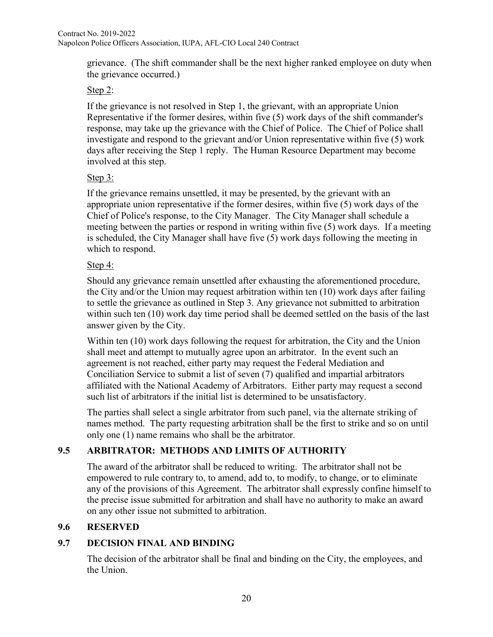grievance. (The shift commander shall be the next higher ranked employee on duty when the grievance occurred.)

# Step 2:

If the grievance is not resolved in Step 1, the grievant, with an appropriate Union Representative if the former desires, within five (5) work days of the shift commander's response, may take up the grievance with the Chief of Police. The Chief of Police shall investigate and respond to the grievant and/or Union representative within five (5) work days after receiving the Step 1 reply. The Human Resource Department may become involved at this step.

### Step 3:

If the grievance remains unsettled, it may be presented, by the grievant with an appropriate union representative if the former desires, within five (5) work days of the Chief of Police's response, to the City Manager. The City Manager shall schedule a meeting between the parties or respond in writing within five (5) work days. If a meeting is scheduled, the City Manager shall have five (5) work days following the meeting in which to respond.

# Step 4:

Should any grievance remain unsettled after exhausting the aforementioned procedure, the City and/or the Union may request arbitration within ten (10) work days after failing to settle the grievance as outlined in Step 3. Any grievance not submitted to arbitration within such ten (10) work day time period shall be deemed settled on the basis of the last answer given by the City.

Within ten (10) work days following the request for arbitration, the City and the Union shall meet and attempt to mutually agree upon an arbitrator. In the event such an agreement is not reached, either party may request the Federal Mediation and Conciliation Service to submit a list of seven (7) qualified and impartial arbitrators affiliated with the National Academy of Arbitrators. Either party may request a second such list of arbitrators if the initial list is determined to be unsatisfactory.

The parties shall select a single arbitrator from such panel, via the alternate striking of names method. The party requesting arbitration shall be the first to strike and so on until only one (1) name remains who shall be the arbitrator.

# **9.5 ARBITRATOR: METHODS AND LIMITS OF AUTHORITY**

The award of the arbitrator shall be reduced to writing. The arbitrator shall not be empowered to rule contrary to, to amend, add to, to modify, to change, or to eliminate any of the provisions of this Agreement. The arbitrator shall expressly confine himself to the precise issue submitted for arbitration and shall have no authority to make an award on any other issue not submitted to arbitration.

# **9.6 RESERVED**

# **9.7 DECISION FINAL AND BINDING**

The decision of the arbitrator shall be final and binding on the City, the employees, and the Union.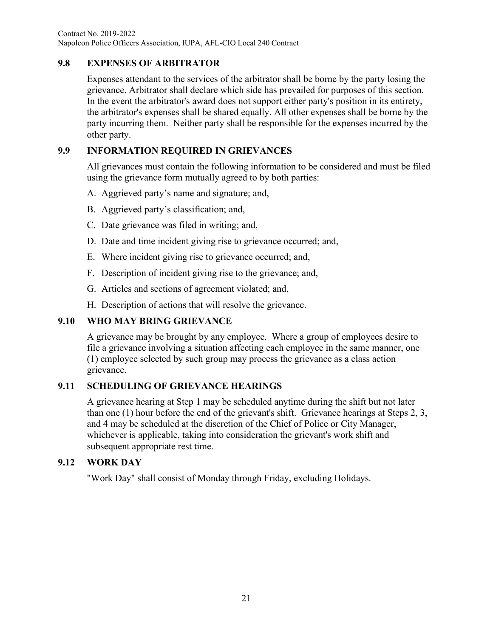Contract No. 2019-2022 Napoleon Police Officers Association, IUPA, AFL-CIO Local 240 Contract

### **9.8 EXPENSES OF ARBITRATOR**

Expenses attendant to the services of the arbitrator shall be borne by the party losing the grievance. Arbitrator shall declare which side has prevailed for purposes of this section. In the event the arbitrator's award does not support either party's position in its entirety, the arbitrator's expenses shall be shared equally. All other expenses shall be borne by the party incurring them. Neither party shall be responsible for the expenses incurred by the other party.

# **9.9 INFORMATION REQUIRED IN GRIEVANCES**

All grievances must contain the following information to be considered and must be filed using the grievance form mutually agreed to by both parties:

- A. Aggrieved party's name and signature; and,
- B. Aggrieved party's classification; and,
- C. Date grievance was filed in writing; and,
- D. Date and time incident giving rise to grievance occurred; and,
- E. Where incident giving rise to grievance occurred; and,
- F. Description of incident giving rise to the grievance; and,
- G. Articles and sections of agreement violated; and,
- H. Description of actions that will resolve the grievance.

# **9.10 WHO MAY BRING GRIEVANCE**

A grievance may be brought by any employee. Where a group of employees desire to file a grievance involving a situation affecting each employee in the same manner, one (1) employee selected by such group may process the grievance as a class action grievance.

# **9.11 SCHEDULING OF GRIEVANCE HEARINGS**

A grievance hearing at Step 1 may be scheduled anytime during the shift but not later than one (1) hour before the end of the grievant's shift. Grievance hearings at Steps 2, 3, and 4 may be scheduled at the discretion of the Chief of Police or City Manager, whichever is applicable, taking into consideration the grievant's work shift and subsequent appropriate rest time.

# **9.12 WORK DAY**

"Work Day" shall consist of Monday through Friday, excluding Holidays.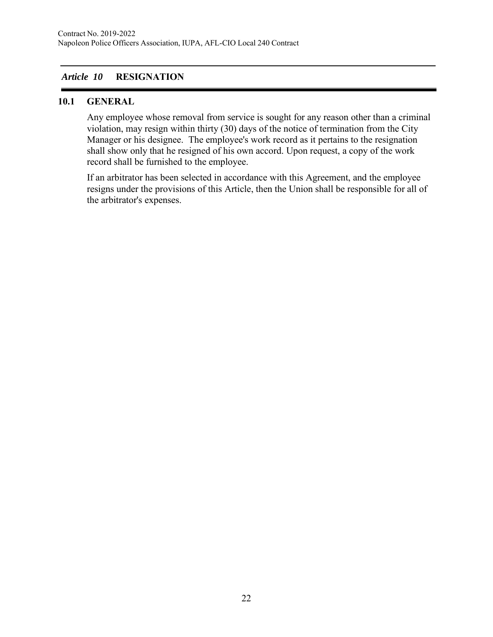# *Article 10* **RESIGNATION**

### **10.1 GENERAL**

Any employee whose removal from service is sought for any reason other than a criminal violation, may resign within thirty (30) days of the notice of termination from the City Manager or his designee. The employee's work record as it pertains to the resignation shall show only that he resigned of his own accord. Upon request, a copy of the work record shall be furnished to the employee.

If an arbitrator has been selected in accordance with this Agreement, and the employee resigns under the provisions of this Article, then the Union shall be responsible for all of the arbitrator's expenses.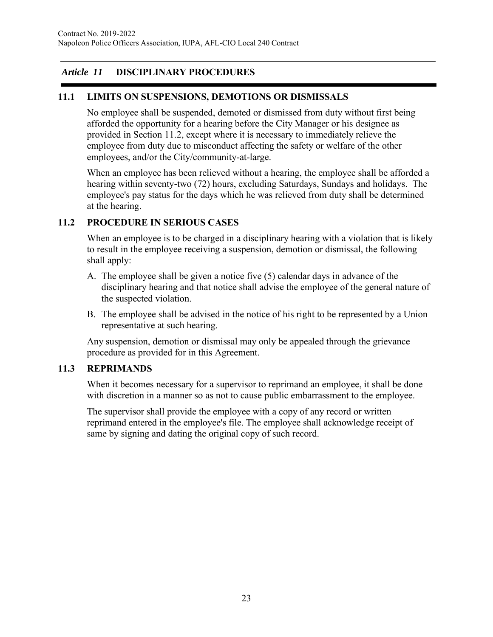# *Article 11* **DISCIPLINARY PROCEDURES**

#### **11.1 LIMITS ON SUSPENSIONS, DEMOTIONS OR DISMISSALS**

No employee shall be suspended, demoted or dismissed from duty without first being afforded the opportunity for a hearing before the City Manager or his designee as provided in Section 11.2, except where it is necessary to immediately relieve the employee from duty due to misconduct affecting the safety or welfare of the other employees, and/or the City/community-at-large.

When an employee has been relieved without a hearing, the employee shall be afforded a hearing within seventy-two (72) hours, excluding Saturdays, Sundays and holidays. The employee's pay status for the days which he was relieved from duty shall be determined at the hearing.

### **11.2 PROCEDURE IN SERIOUS CASES**

When an employee is to be charged in a disciplinary hearing with a violation that is likely to result in the employee receiving a suspension, demotion or dismissal, the following shall apply:

- A. The employee shall be given a notice five (5) calendar days in advance of the disciplinary hearing and that notice shall advise the employee of the general nature of the suspected violation.
- B. The employee shall be advised in the notice of his right to be represented by a Union representative at such hearing.

Any suspension, demotion or dismissal may only be appealed through the grievance procedure as provided for in this Agreement.

#### **11.3 REPRIMANDS**

When it becomes necessary for a supervisor to reprimand an employee, it shall be done with discretion in a manner so as not to cause public embarrassment to the employee.

The supervisor shall provide the employee with a copy of any record or written reprimand entered in the employee's file. The employee shall acknowledge receipt of same by signing and dating the original copy of such record.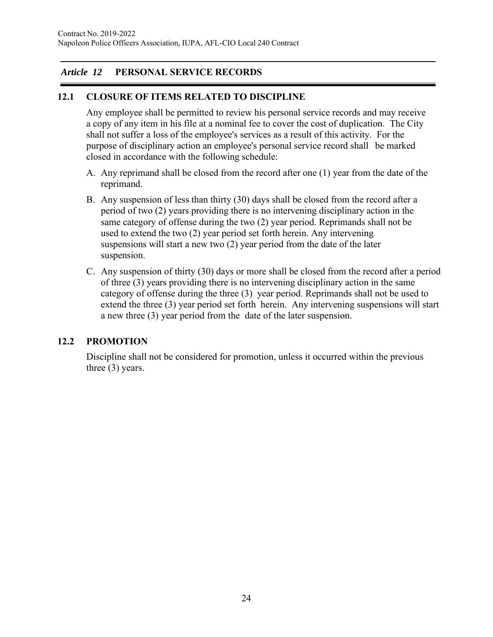# *Article 12* **PERSONAL SERVICE RECORDS**

#### **12.1 CLOSURE OF ITEMS RELATED TO DISCIPLINE**

Any employee shall be permitted to review his personal service records and may receive a copy of any item in his file at a nominal fee to cover the cost of duplication. The City shall not suffer a loss of the employee's services as a result of this activity. For the purpose of disciplinary action an employee's personal service record shall be marked closed in accordance with the following schedule:

- A. Any reprimand shall be closed from the record after one (1) year from the date of the reprimand.
- B. Any suspension of less than thirty (30) days shall be closed from the record after a period of two (2) years providing there is no intervening disciplinary action in the same category of offense during the two (2) year period. Reprimands shall not be used to extend the two (2) year period set forth herein. Any intervening suspensions will start a new two (2) year period from the date of the later suspension.
- C. Any suspension of thirty (30) days or more shall be closed from the record after a period of three (3) years providing there is no intervening disciplinary action in the same category of offense during the three (3) year period. Reprimands shall not be used to extend the three (3) year period set forth herein. Any intervening suspensions will start a new three (3) year period from the date of the later suspension.

### **12.2 PROMOTION**

Discipline shall not be considered for promotion, unless it occurred within the previous three (3) years.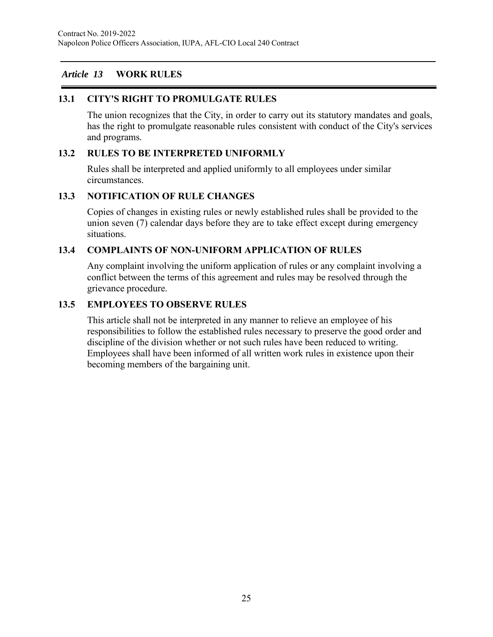# *Article 13* **WORK RULES**

### **13.1 CITY'S RIGHT TO PROMULGATE RULES**

The union recognizes that the City, in order to carry out its statutory mandates and goals, has the right to promulgate reasonable rules consistent with conduct of the City's services and programs.

#### **13.2 RULES TO BE INTERPRETED UNIFORMLY**

Rules shall be interpreted and applied uniformly to all employees under similar circumstances.

#### **13.3 NOTIFICATION OF RULE CHANGES**

Copies of changes in existing rules or newly established rules shall be provided to the union seven (7) calendar days before they are to take effect except during emergency situations.

### **13.4 COMPLAINTS OF NON-UNIFORM APPLICATION OF RULES**

Any complaint involving the uniform application of rules or any complaint involving a conflict between the terms of this agreement and rules may be resolved through the grievance procedure.

#### **13.5 EMPLOYEES TO OBSERVE RULES**

This article shall not be interpreted in any manner to relieve an employee of his responsibilities to follow the established rules necessary to preserve the good order and discipline of the division whether or not such rules have been reduced to writing. Employees shall have been informed of all written work rules in existence upon their becoming members of the bargaining unit.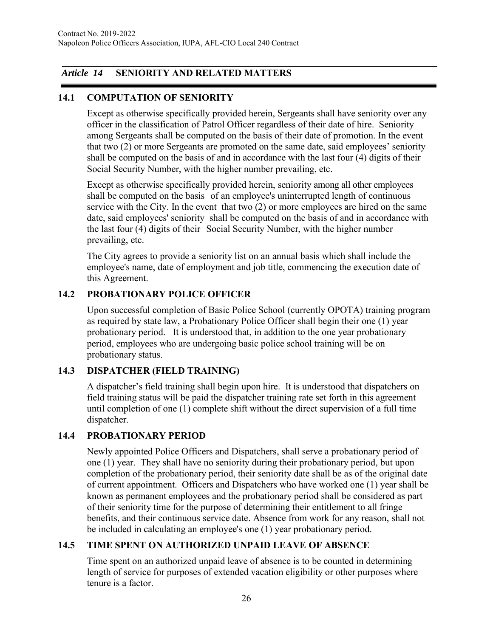# *Article 14* **SENIORITY AND RELATED MATTERS**

# **14.1 COMPUTATION OF SENIORITY**

Except as otherwise specifically provided herein, Sergeants shall have seniority over any officer in the classification of Patrol Officer regardless of their date of hire. Seniority among Sergeants shall be computed on the basis of their date of promotion. In the event that two (2) or more Sergeants are promoted on the same date, said employees' seniority shall be computed on the basis of and in accordance with the last four (4) digits of their Social Security Number, with the higher number prevailing, etc.

Except as otherwise specifically provided herein, seniority among all other employees shall be computed on the basis of an employee's uninterrupted length of continuous service with the City. In the event that two (2) or more employees are hired on the same date, said employees' seniority shall be computed on the basis of and in accordance with the last four (4) digits of their Social Security Number, with the higher number prevailing, etc.

The City agrees to provide a seniority list on an annual basis which shall include the employee's name, date of employment and job title, commencing the execution date of this Agreement.

### **14.2 PROBATIONARY POLICE OFFICER**

Upon successful completion of Basic Police School (currently OPOTA) training program as required by state law, a Probationary Police Officer shall begin their one (1) year probationary period. It is understood that, in addition to the one year probationary period, employees who are undergoing basic police school training will be on probationary status.

# **14.3 DISPATCHER (FIELD TRAINING)**

A dispatcher's field training shall begin upon hire. It is understood that dispatchers on field training status will be paid the dispatcher training rate set forth in this agreement until completion of one (1) complete shift without the direct supervision of a full time dispatcher.

# **14.4 PROBATIONARY PERIOD**

Newly appointed Police Officers and Dispatchers, shall serve a probationary period of one (1) year. They shall have no seniority during their probationary period, but upon completion of the probationary period, their seniority date shall be as of the original date of current appointment. Officers and Dispatchers who have worked one (1) year shall be known as permanent employees and the probationary period shall be considered as part of their seniority time for the purpose of determining their entitlement to all fringe benefits, and their continuous service date. Absence from work for any reason, shall not be included in calculating an employee's one (1) year probationary period.

# **14.5 TIME SPENT ON AUTHORIZED UNPAID LEAVE OF ABSENCE**

Time spent on an authorized unpaid leave of absence is to be counted in determining length of service for purposes of extended vacation eligibility or other purposes where tenure is a factor.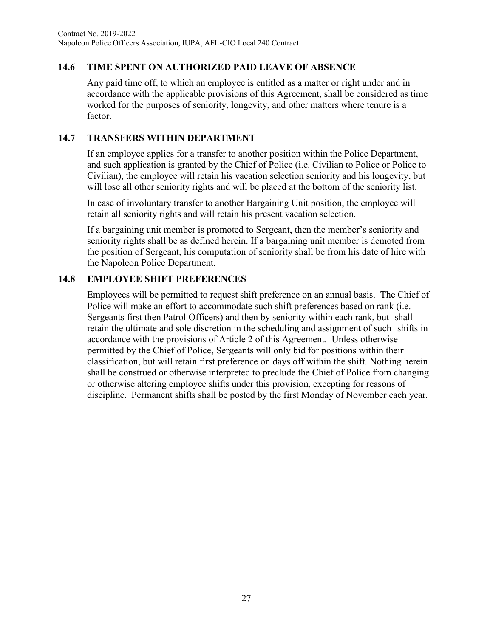# **14.6 TIME SPENT ON AUTHORIZED PAID LEAVE OF ABSENCE**

Any paid time off, to which an employee is entitled as a matter or right under and in accordance with the applicable provisions of this Agreement, shall be considered as time worked for the purposes of seniority, longevity, and other matters where tenure is a factor.

#### **14.7 TRANSFERS WITHIN DEPARTMENT**

If an employee applies for a transfer to another position within the Police Department, and such application is granted by the Chief of Police (i.e. Civilian to Police or Police to Civilian), the employee will retain his vacation selection seniority and his longevity, but will lose all other seniority rights and will be placed at the bottom of the seniority list.

In case of involuntary transfer to another Bargaining Unit position, the employee will retain all seniority rights and will retain his present vacation selection.

If a bargaining unit member is promoted to Sergeant, then the member's seniority and seniority rights shall be as defined herein. If a bargaining unit member is demoted from the position of Sergeant, his computation of seniority shall be from his date of hire with the Napoleon Police Department.

### **14.8 EMPLOYEE SHIFT PREFERENCES**

Employees will be permitted to request shift preference on an annual basis. The Chief of Police will make an effort to accommodate such shift preferences based on rank (i.e. Sergeants first then Patrol Officers) and then by seniority within each rank, but shall retain the ultimate and sole discretion in the scheduling and assignment of such shifts in accordance with the provisions of Article 2 of this Agreement. Unless otherwise permitted by the Chief of Police, Sergeants will only bid for positions within their classification, but will retain first preference on days off within the shift. Nothing herein shall be construed or otherwise interpreted to preclude the Chief of Police from changing or otherwise altering employee shifts under this provision, excepting for reasons of discipline. Permanent shifts shall be posted by the first Monday of November each year.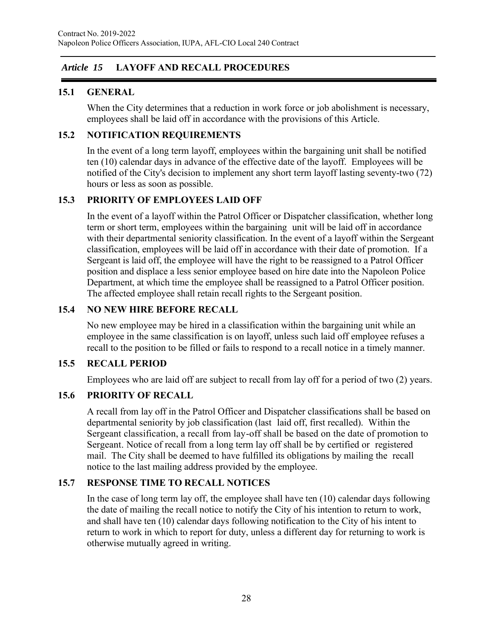# *Article 15* **LAYOFF AND RECALL PROCEDURES**

# **15.1 GENERAL**

When the City determines that a reduction in work force or job abolishment is necessary, employees shall be laid off in accordance with the provisions of this Article.

# **15.2 NOTIFICATION REQUIREMENTS**

In the event of a long term layoff, employees within the bargaining unit shall be notified ten (10) calendar days in advance of the effective date of the layoff. Employees will be notified of the City's decision to implement any short term layoff lasting seventy-two (72) hours or less as soon as possible.

### **15.3 PRIORITY OF EMPLOYEES LAID OFF**

In the event of a layoff within the Patrol Officer or Dispatcher classification, whether long term or short term, employees within the bargaining unit will be laid off in accordance with their departmental seniority classification. In the event of a layoff within the Sergeant classification, employees will be laid off in accordance with their date of promotion. If a Sergeant is laid off, the employee will have the right to be reassigned to a Patrol Officer position and displace a less senior employee based on hire date into the Napoleon Police Department, at which time the employee shall be reassigned to a Patrol Officer position. The affected employee shall retain recall rights to the Sergeant position.

### **15.4 NO NEW HIRE BEFORE RECALL**

No new employee may be hired in a classification within the bargaining unit while an employee in the same classification is on layoff, unless such laid off employee refuses a recall to the position to be filled or fails to respond to a recall notice in a timely manner.

### **15.5 RECALL PERIOD**

Employees who are laid off are subject to recall from lay off for a period of two (2) years.

### **15.6 PRIORITY OF RECALL**

A recall from lay off in the Patrol Officer and Dispatcher classifications shall be based on departmental seniority by job classification (last laid off, first recalled). Within the Sergeant classification, a recall from lay-off shall be based on the date of promotion to Sergeant. Notice of recall from a long term lay off shall be by certified or registered mail. The City shall be deemed to have fulfilled its obligations by mailing the recall notice to the last mailing address provided by the employee.

### **15.7 RESPONSE TIME TO RECALL NOTICES**

In the case of long term lay off, the employee shall have ten (10) calendar days following the date of mailing the recall notice to notify the City of his intention to return to work, and shall have ten (10) calendar days following notification to the City of his intent to return to work in which to report for duty, unless a different day for returning to work is otherwise mutually agreed in writing.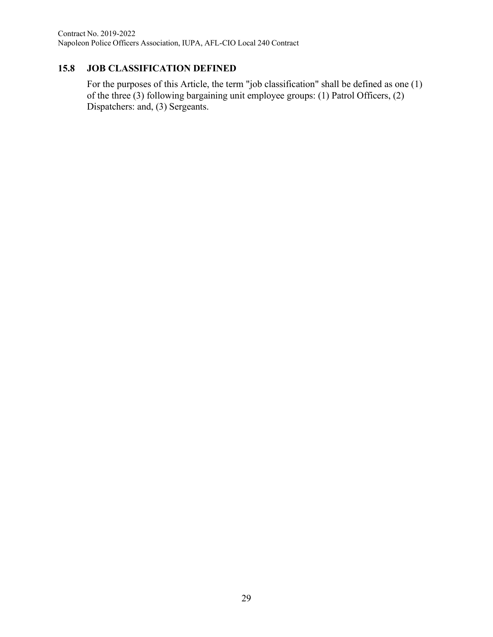# **15.8 JOB CLASSIFICATION DEFINED**

For the purposes of this Article, the term "job classification" shall be defined as one (1) of the three (3) following bargaining unit employee groups: (1) Patrol Officers, (2) Dispatchers: and, (3) Sergeants.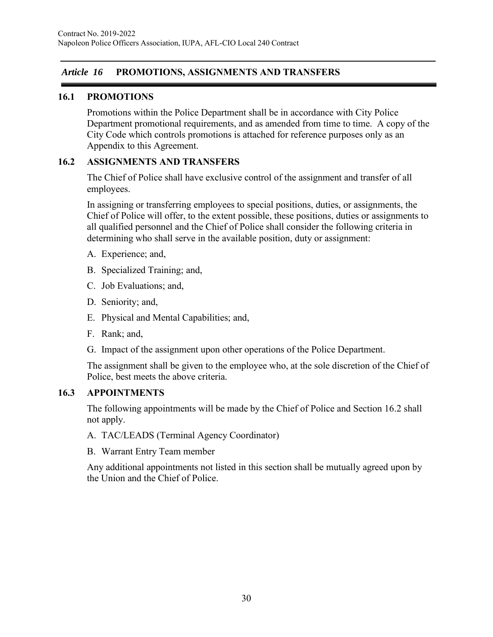# *Article 16* **PROMOTIONS, ASSIGNMENTS AND TRANSFERS**

### **16.1 PROMOTIONS**

Promotions within the Police Department shall be in accordance with City Police Department promotional requirements, and as amended from time to time. A copy of the City Code which controls promotions is attached for reference purposes only as an Appendix to this Agreement.

#### **16.2 ASSIGNMENTS AND TRANSFERS**

The Chief of Police shall have exclusive control of the assignment and transfer of all employees.

In assigning or transferring employees to special positions, duties, or assignments, the Chief of Police will offer, to the extent possible, these positions, duties or assignments to all qualified personnel and the Chief of Police shall consider the following criteria in determining who shall serve in the available position, duty or assignment:

- A. Experience; and,
- B. Specialized Training; and,
- C. Job Evaluations; and,
- D. Seniority; and,
- E. Physical and Mental Capabilities; and,
- F. Rank; and,
- G. Impact of the assignment upon other operations of the Police Department.

The assignment shall be given to the employee who, at the sole discretion of the Chief of Police, best meets the above criteria.

#### **16.3 APPOINTMENTS**

The following appointments will be made by the Chief of Police and Section 16.2 shall not apply.

- A. TAC/LEADS (Terminal Agency Coordinator)
- B. Warrant Entry Team member

Any additional appointments not listed in this section shall be mutually agreed upon by the Union and the Chief of Police.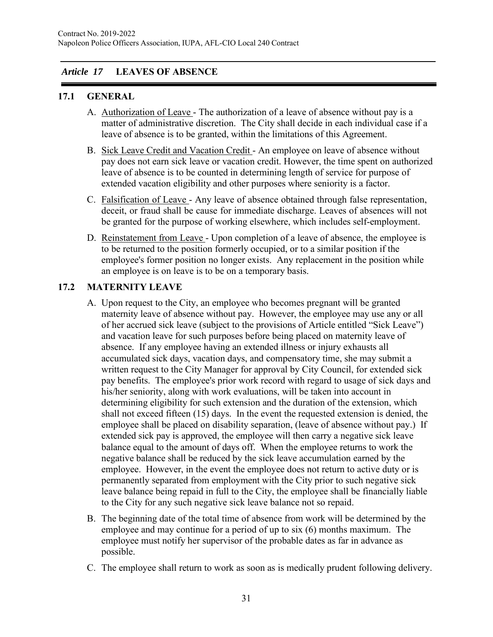# *Article 17* **LEAVES OF ABSENCE**

#### **17.1 GENERAL**

- A. Authorization of Leave The authorization of a leave of absence without pay is a matter of administrative discretion. The City shall decide in each individual case if a leave of absence is to be granted, within the limitations of this Agreement.
- B. Sick Leave Credit and Vacation Credit An employee on leave of absence without pay does not earn sick leave or vacation credit. However, the time spent on authorized leave of absence is to be counted in determining length of service for purpose of extended vacation eligibility and other purposes where seniority is a factor.
- C. Falsification of Leave Any leave of absence obtained through false representation, deceit, or fraud shall be cause for immediate discharge. Leaves of absences will not be granted for the purpose of working elsewhere, which includes self-employment.
- D. Reinstatement from Leave Upon completion of a leave of absence, the employee is to be returned to the position formerly occupied, or to a similar position if the employee's former position no longer exists. Any replacement in the position while an employee is on leave is to be on a temporary basis.

### **17.2 MATERNITY LEAVE**

- A. Upon request to the City, an employee who becomes pregnant will be granted maternity leave of absence without pay. However, the employee may use any or all of her accrued sick leave (subject to the provisions of Article entitled "Sick Leave") and vacation leave for such purposes before being placed on maternity leave of absence. If any employee having an extended illness or injury exhausts all accumulated sick days, vacation days, and compensatory time, she may submit a written request to the City Manager for approval by City Council, for extended sick pay benefits. The employee's prior work record with regard to usage of sick days and his/her seniority, along with work evaluations, will be taken into account in determining eligibility for such extension and the duration of the extension, which shall not exceed fifteen (15) days. In the event the requested extension is denied, the employee shall be placed on disability separation, (leave of absence without pay.) If extended sick pay is approved, the employee will then carry a negative sick leave balance equal to the amount of days off. When the employee returns to work the negative balance shall be reduced by the sick leave accumulation earned by the employee. However, in the event the employee does not return to active duty or is permanently separated from employment with the City prior to such negative sick leave balance being repaid in full to the City, the employee shall be financially liable to the City for any such negative sick leave balance not so repaid.
- B. The beginning date of the total time of absence from work will be determined by the employee and may continue for a period of up to six (6) months maximum. The employee must notify her supervisor of the probable dates as far in advance as possible.
- C. The employee shall return to work as soon as is medically prudent following delivery.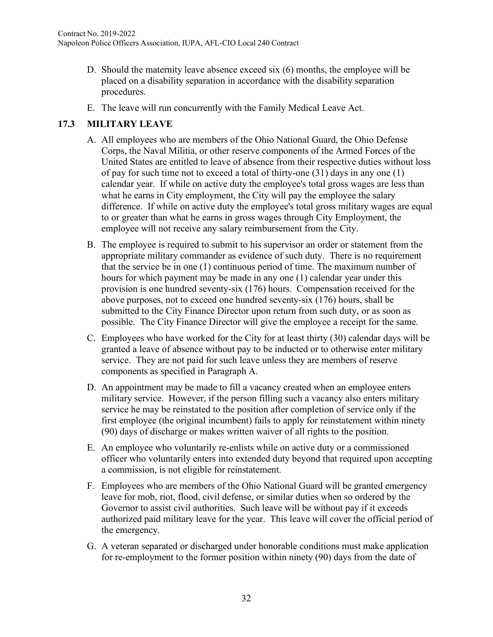- D. Should the maternity leave absence exceed six (6) months, the employee will be placed on a disability separation in accordance with the disability separation procedures.
- E. The leave will run concurrently with the Family Medical Leave Act.

# **17.3 MILITARY LEAVE**

- A. All employees who are members of the Ohio National Guard, the Ohio Defense Corps, the Naval Militia, or other reserve components of the Armed Forces of the United States are entitled to leave of absence from their respective duties without loss of pay for such time not to exceed a total of thirty-one (31) days in any one (1) calendar year. If while on active duty the employee's total gross wages are less than what he earns in City employment, the City will pay the employee the salary difference. If while on active duty the employee's total gross military wages are equal to or greater than what he earns in gross wages through City Employment, the employee will not receive any salary reimbursement from the City.
- B. The employee is required to submit to his supervisor an order or statement from the appropriate military commander as evidence of such duty. There is no requirement that the service be in one (1) continuous period of time. The maximum number of hours for which payment may be made in any one (1) calendar year under this provision is one hundred seventy-six (176) hours. Compensation received for the above purposes, not to exceed one hundred seventy-six (176) hours, shall be submitted to the City Finance Director upon return from such duty, or as soon as possible. The City Finance Director will give the employee a receipt for the same.
- C. Employees who have worked for the City for at least thirty (30) calendar days will be granted a leave of absence without pay to be inducted or to otherwise enter military service. They are not paid for such leave unless they are members of reserve components as specified in Paragraph A.
- D. An appointment may be made to fill a vacancy created when an employee enters military service. However, if the person filling such a vacancy also enters military service he may be reinstated to the position after completion of service only if the first employee (the original incumbent) fails to apply for reinstatement within ninety (90) days of discharge or makes written waiver of all rights to the position.
- E. An employee who voluntarily re-enlists while on active duty or a commissioned officer who voluntarily enters into extended duty beyond that required upon accepting a commission, is not eligible for reinstatement.
- F. Employees who are members of the Ohio National Guard will be granted emergency leave for mob, riot, flood, civil defense, or similar duties when so ordered by the Governor to assist civil authorities. Such leave will be without pay if it exceeds authorized paid military leave for the year. This leave will cover the official period of the emergency.
- G. A veteran separated or discharged under honorable conditions must make application for re-employment to the former position within ninety (90) days from the date of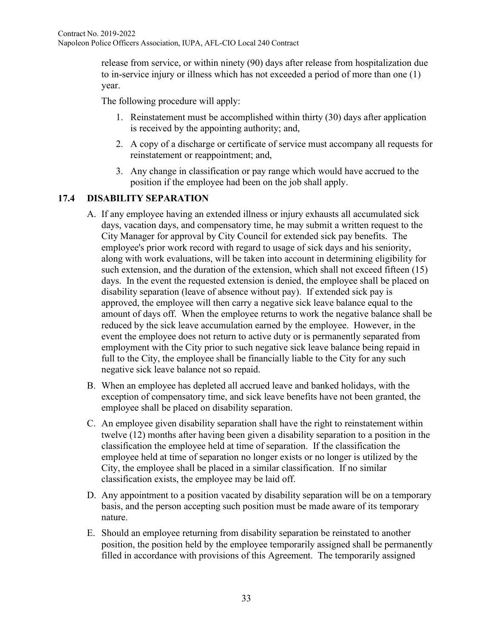release from service, or within ninety (90) days after release from hospitalization due to in-service injury or illness which has not exceeded a period of more than one (1) year.

The following procedure will apply:

- 1. Reinstatement must be accomplished within thirty (30) days after application is received by the appointing authority; and,
- 2. A copy of a discharge or certificate of service must accompany all requests for reinstatement or reappointment; and,
- 3. Any change in classification or pay range which would have accrued to the position if the employee had been on the job shall apply.

# **17.4 DISABILITY SEPARATION**

- A. If any employee having an extended illness or injury exhausts all accumulated sick days, vacation days, and compensatory time, he may submit a written request to the City Manager for approval by City Council for extended sick pay benefits. The employee's prior work record with regard to usage of sick days and his seniority, along with work evaluations, will be taken into account in determining eligibility for such extension, and the duration of the extension, which shall not exceed fifteen (15) days. In the event the requested extension is denied, the employee shall be placed on disability separation (leave of absence without pay). If extended sick pay is approved, the employee will then carry a negative sick leave balance equal to the amount of days off. When the employee returns to work the negative balance shall be reduced by the sick leave accumulation earned by the employee. However, in the event the employee does not return to active duty or is permanently separated from employment with the City prior to such negative sick leave balance being repaid in full to the City, the employee shall be financially liable to the City for any such negative sick leave balance not so repaid.
- B. When an employee has depleted all accrued leave and banked holidays, with the exception of compensatory time, and sick leave benefits have not been granted, the employee shall be placed on disability separation.
- C. An employee given disability separation shall have the right to reinstatement within twelve (12) months after having been given a disability separation to a position in the classification the employee held at time of separation. If the classification the employee held at time of separation no longer exists or no longer is utilized by the City, the employee shall be placed in a similar classification. If no similar classification exists, the employee may be laid off.
- D. Any appointment to a position vacated by disability separation will be on a temporary basis, and the person accepting such position must be made aware of its temporary nature.
- E. Should an employee returning from disability separation be reinstated to another position, the position held by the employee temporarily assigned shall be permanently filled in accordance with provisions of this Agreement. The temporarily assigned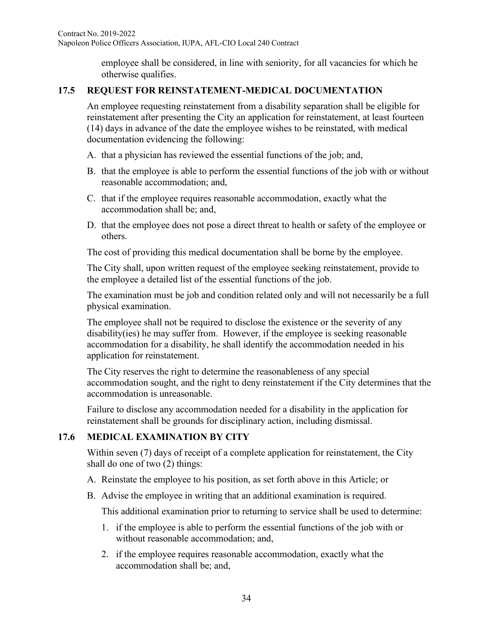employee shall be considered, in line with seniority, for all vacancies for which he otherwise qualifies.

# **17.5 REQUEST FOR REINSTATEMENT-MEDICAL DOCUMENTATION**

An employee requesting reinstatement from a disability separation shall be eligible for reinstatement after presenting the City an application for reinstatement, at least fourteen (14) days in advance of the date the employee wishes to be reinstated, with medical documentation evidencing the following:

- A. that a physician has reviewed the essential functions of the job; and,
- B. that the employee is able to perform the essential functions of the job with or without reasonable accommodation; and,
- C. that if the employee requires reasonable accommodation, exactly what the accommodation shall be; and,
- D. that the employee does not pose a direct threat to health or safety of the employee or others.

The cost of providing this medical documentation shall be borne by the employee.

The City shall, upon written request of the employee seeking reinstatement, provide to the employee a detailed list of the essential functions of the job.

The examination must be job and condition related only and will not necessarily be a full physical examination.

The employee shall not be required to disclose the existence or the severity of any disability(ies) he may suffer from. However, if the employee is seeking reasonable accommodation for a disability, he shall identify the accommodation needed in his application for reinstatement.

The City reserves the right to determine the reasonableness of any special accommodation sought, and the right to deny reinstatement if the City determines that the accommodation is unreasonable.

Failure to disclose any accommodation needed for a disability in the application for reinstatement shall be grounds for disciplinary action, including dismissal.

# **17.6 MEDICAL EXAMINATION BY CITY**

Within seven (7) days of receipt of a complete application for reinstatement, the City shall do one of two (2) things:

- A. Reinstate the employee to his position, as set forth above in this Article; or
- B. Advise the employee in writing that an additional examination is required.

This additional examination prior to returning to service shall be used to determine:

- 1. if the employee is able to perform the essential functions of the job with or without reasonable accommodation; and,
- 2. if the employee requires reasonable accommodation, exactly what the accommodation shall be; and,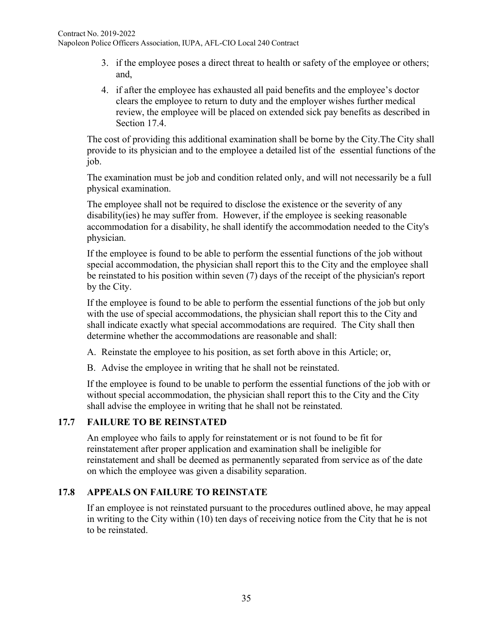- 3. if the employee poses a direct threat to health or safety of the employee or others; and,
- 4. if after the employee has exhausted all paid benefits and the employee's doctor clears the employee to return to duty and the employer wishes further medical review, the employee will be placed on extended sick pay benefits as described in Section 17.4.

The cost of providing this additional examination shall be borne by the City.The City shall provide to its physician and to the employee a detailed list of the essential functions of the job.

The examination must be job and condition related only, and will not necessarily be a full physical examination.

The employee shall not be required to disclose the existence or the severity of any disability(ies) he may suffer from. However, if the employee is seeking reasonable accommodation for a disability, he shall identify the accommodation needed to the City's physician.

If the employee is found to be able to perform the essential functions of the job without special accommodation, the physician shall report this to the City and the employee shall be reinstated to his position within seven (7) days of the receipt of the physician's report by the City.

If the employee is found to be able to perform the essential functions of the job but only with the use of special accommodations, the physician shall report this to the City and shall indicate exactly what special accommodations are required. The City shall then determine whether the accommodations are reasonable and shall:

A. Reinstate the employee to his position, as set forth above in this Article; or,

B. Advise the employee in writing that he shall not be reinstated.

If the employee is found to be unable to perform the essential functions of the job with or without special accommodation, the physician shall report this to the City and the City shall advise the employee in writing that he shall not be reinstated.

# **17.7 FAILURE TO BE REINSTATED**

An employee who fails to apply for reinstatement or is not found to be fit for reinstatement after proper application and examination shall be ineligible for reinstatement and shall be deemed as permanently separated from service as of the date on which the employee was given a disability separation.

### **17.8 APPEALS ON FAILURE TO REINSTATE**

If an employee is not reinstated pursuant to the procedures outlined above, he may appeal in writing to the City within (10) ten days of receiving notice from the City that he is not to be reinstated.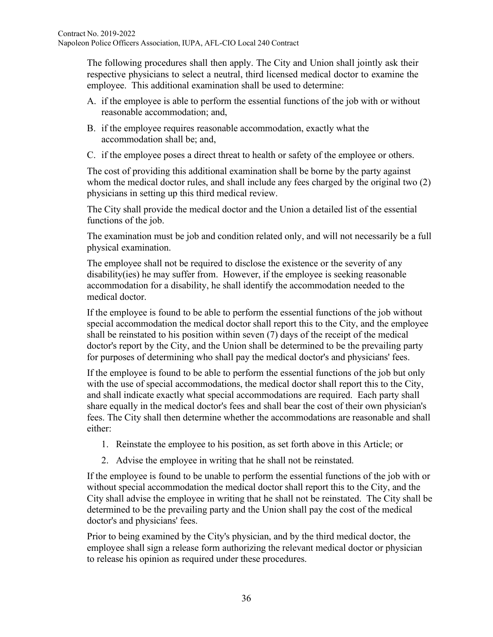The following procedures shall then apply. The City and Union shall jointly ask their respective physicians to select a neutral, third licensed medical doctor to examine the employee. This additional examination shall be used to determine:

- A. if the employee is able to perform the essential functions of the job with or without reasonable accommodation; and,
- B. if the employee requires reasonable accommodation, exactly what the accommodation shall be; and,
- C. if the employee poses a direct threat to health or safety of the employee or others.

The cost of providing this additional examination shall be borne by the party against whom the medical doctor rules, and shall include any fees charged by the original two (2) physicians in setting up this third medical review.

The City shall provide the medical doctor and the Union a detailed list of the essential functions of the job.

The examination must be job and condition related only, and will not necessarily be a full physical examination.

The employee shall not be required to disclose the existence or the severity of any disability(ies) he may suffer from. However, if the employee is seeking reasonable accommodation for a disability, he shall identify the accommodation needed to the medical doctor.

If the employee is found to be able to perform the essential functions of the job without special accommodation the medical doctor shall report this to the City, and the employee shall be reinstated to his position within seven (7) days of the receipt of the medical doctor's report by the City, and the Union shall be determined to be the prevailing party for purposes of determining who shall pay the medical doctor's and physicians' fees.

If the employee is found to be able to perform the essential functions of the job but only with the use of special accommodations, the medical doctor shall report this to the City, and shall indicate exactly what special accommodations are required. Each party shall share equally in the medical doctor's fees and shall bear the cost of their own physician's fees. The City shall then determine whether the accommodations are reasonable and shall either:

- 1. Reinstate the employee to his position, as set forth above in this Article; or
- 2. Advise the employee in writing that he shall not be reinstated.

If the employee is found to be unable to perform the essential functions of the job with or without special accommodation the medical doctor shall report this to the City, and the City shall advise the employee in writing that he shall not be reinstated. The City shall be determined to be the prevailing party and the Union shall pay the cost of the medical doctor's and physicians' fees.

Prior to being examined by the City's physician, and by the third medical doctor, the employee shall sign a release form authorizing the relevant medical doctor or physician to release his opinion as required under these procedures.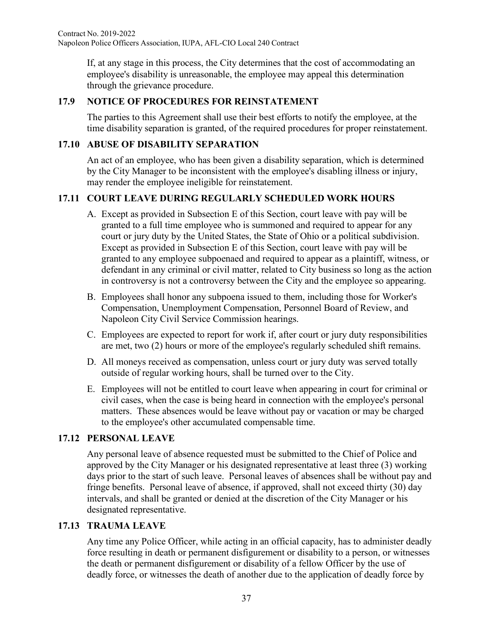If, at any stage in this process, the City determines that the cost of accommodating an employee's disability is unreasonable, the employee may appeal this determination through the grievance procedure.

## **17.9 NOTICE OF PROCEDURES FOR REINSTATEMENT**

The parties to this Agreement shall use their best efforts to notify the employee, at the time disability separation is granted, of the required procedures for proper reinstatement.

## **17.10 ABUSE OF DISABILITY SEPARATION**

An act of an employee, who has been given a disability separation, which is determined by the City Manager to be inconsistent with the employee's disabling illness or injury, may render the employee ineligible for reinstatement.

# **17.11 COURT LEAVE DURING REGULARLY SCHEDULED WORK HOURS**

- A. Except as provided in Subsection E of this Section, court leave with pay will be granted to a full time employee who is summoned and required to appear for any court or jury duty by the United States, the State of Ohio or a political subdivision. Except as provided in Subsection E of this Section, court leave with pay will be granted to any employee subpoenaed and required to appear as a plaintiff, witness, or defendant in any criminal or civil matter, related to City business so long as the action in controversy is not a controversy between the City and the employee so appearing.
- B. Employees shall honor any subpoena issued to them, including those for Worker's Compensation, Unemployment Compensation, Personnel Board of Review, and Napoleon City Civil Service Commission hearings.
- C. Employees are expected to report for work if, after court or jury duty responsibilities are met, two (2) hours or more of the employee's regularly scheduled shift remains.
- D. All moneys received as compensation, unless court or jury duty was served totally outside of regular working hours, shall be turned over to the City.
- E. Employees will not be entitled to court leave when appearing in court for criminal or civil cases, when the case is being heard in connection with the employee's personal matters. These absences would be leave without pay or vacation or may be charged to the employee's other accumulated compensable time.

## **17.12 PERSONAL LEAVE**

Any personal leave of absence requested must be submitted to the Chief of Police and approved by the City Manager or his designated representative at least three (3) working days prior to the start of such leave. Personal leaves of absences shall be without pay and fringe benefits. Personal leave of absence, if approved, shall not exceed thirty (30) day intervals, and shall be granted or denied at the discretion of the City Manager or his designated representative.

## **17.13 TRAUMA LEAVE**

Any time any Police Officer, while acting in an official capacity, has to administer deadly force resulting in death or permanent disfigurement or disability to a person, or witnesses the death or permanent disfigurement or disability of a fellow Officer by the use of deadly force, or witnesses the death of another due to the application of deadly force by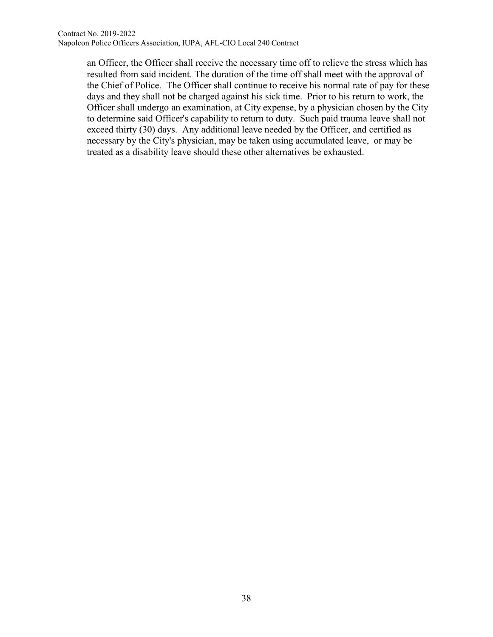an Officer, the Officer shall receive the necessary time off to relieve the stress which has resulted from said incident. The duration of the time off shall meet with the approval of the Chief of Police. The Officer shall continue to receive his normal rate of pay for these days and they shall not be charged against his sick time. Prior to his return to work, the Officer shall undergo an examination, at City expense, by a physician chosen by the City to determine said Officer's capability to return to duty. Such paid trauma leave shall not exceed thirty (30) days. Any additional leave needed by the Officer, and certified as necessary by the City's physician, may be taken using accumulated leave, or may be treated as a disability leave should these other alternatives be exhausted.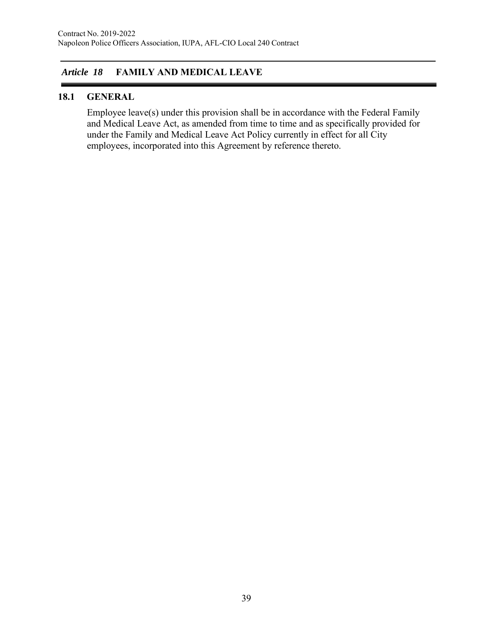# *Article 18* **FAMILY AND MEDICAL LEAVE**

## **18.1 GENERAL**

Employee leave(s) under this provision shall be in accordance with the Federal Family and Medical Leave Act, as amended from time to time and as specifically provided for under the Family and Medical Leave Act Policy currently in effect for all City employees, incorporated into this Agreement by reference thereto.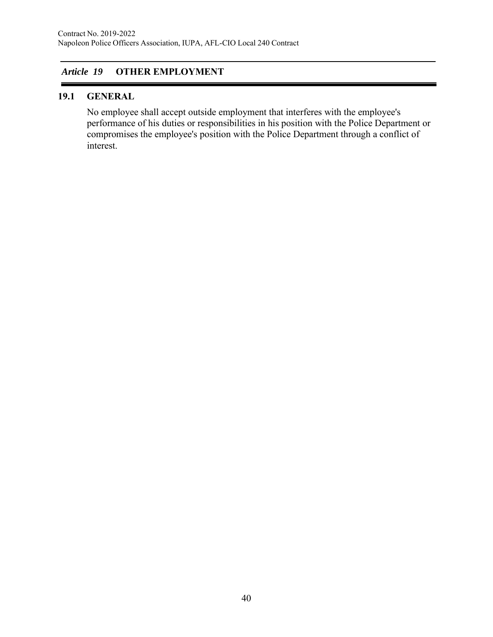# *Article 19* **OTHER EMPLOYMENT**

#### **19.1 GENERAL**

No employee shall accept outside employment that interferes with the employee's performance of his duties or responsibilities in his position with the Police Department or compromises the employee's position with the Police Department through a conflict of interest.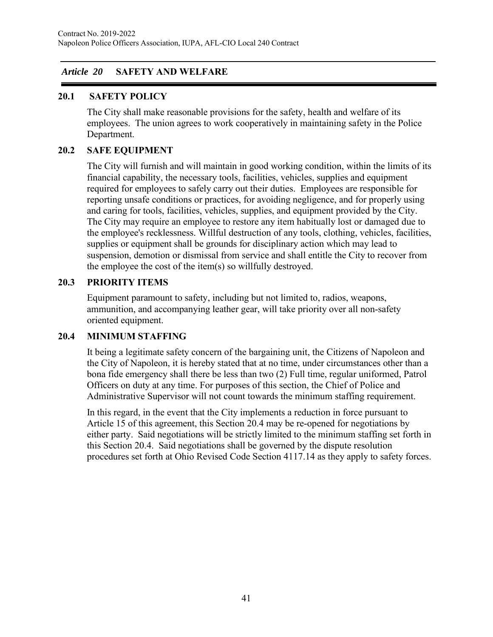## *Article 20* **SAFETY AND WELFARE**

#### **20.1 SAFETY POLICY**

The City shall make reasonable provisions for the safety, health and welfare of its employees. The union agrees to work cooperatively in maintaining safety in the Police Department.

## **20.2 SAFE EQUIPMENT**

The City will furnish and will maintain in good working condition, within the limits of its financial capability, the necessary tools, facilities, vehicles, supplies and equipment required for employees to safely carry out their duties. Employees are responsible for reporting unsafe conditions or practices, for avoiding negligence, and for properly using and caring for tools, facilities, vehicles, supplies, and equipment provided by the City. The City may require an employee to restore any item habitually lost or damaged due to the employee's recklessness. Willful destruction of any tools, clothing, vehicles, facilities, supplies or equipment shall be grounds for disciplinary action which may lead to suspension, demotion or dismissal from service and shall entitle the City to recover from the employee the cost of the item(s) so willfully destroyed.

#### **20.3 PRIORITY ITEMS**

Equipment paramount to safety, including but not limited to, radios, weapons, ammunition, and accompanying leather gear, will take priority over all non-safety oriented equipment.

#### **20.4 MINIMUM STAFFING**

It being a legitimate safety concern of the bargaining unit, the Citizens of Napoleon and the City of Napoleon, it is hereby stated that at no time, under circumstances other than a bona fide emergency shall there be less than two (2) Full time, regular uniformed, Patrol Officers on duty at any time. For purposes of this section, the Chief of Police and Administrative Supervisor will not count towards the minimum staffing requirement.

In this regard, in the event that the City implements a reduction in force pursuant to Article 15 of this agreement, this Section 20.4 may be re-opened for negotiations by either party. Said negotiations will be strictly limited to the minimum staffing set forth in this Section 20.4. Said negotiations shall be governed by the dispute resolution procedures set forth at Ohio Revised Code Section 4117.14 as they apply to safety forces.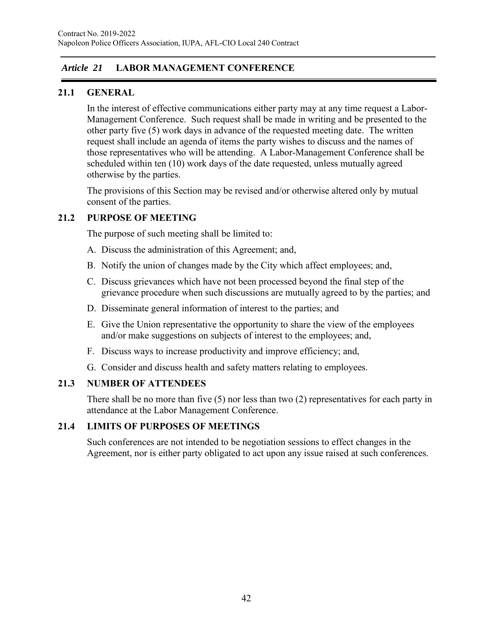# *Article 21* **LABOR MANAGEMENT CONFERENCE**

# **21.1 GENERAL**

In the interest of effective communications either party may at any time request a Labor-Management Conference. Such request shall be made in writing and be presented to the other party five (5) work days in advance of the requested meeting date. The written request shall include an agenda of items the party wishes to discuss and the names of those representatives who will be attending. A Labor-Management Conference shall be scheduled within ten (10) work days of the date requested, unless mutually agreed otherwise by the parties.

The provisions of this Section may be revised and/or otherwise altered only by mutual consent of the parties.

# **21.2 PURPOSE OF MEETING**

The purpose of such meeting shall be limited to:

- A. Discuss the administration of this Agreement; and,
- B. Notify the union of changes made by the City which affect employees; and,
- C. Discuss grievances which have not been processed beyond the final step of the grievance procedure when such discussions are mutually agreed to by the parties; and
- D. Disseminate general information of interest to the parties; and
- E. Give the Union representative the opportunity to share the view of the employees and/or make suggestions on subjects of interest to the employees; and,
- F. Discuss ways to increase productivity and improve efficiency; and,
- G. Consider and discuss health and safety matters relating to employees.

## **21.3 NUMBER OF ATTENDEES**

There shall be no more than five  $(5)$  nor less than two  $(2)$  representatives for each party in attendance at the Labor Management Conference.

## **21.4 LIMITS OF PURPOSES OF MEETINGS**

Such conferences are not intended to be negotiation sessions to effect changes in the Agreement, nor is either party obligated to act upon any issue raised at such conferences.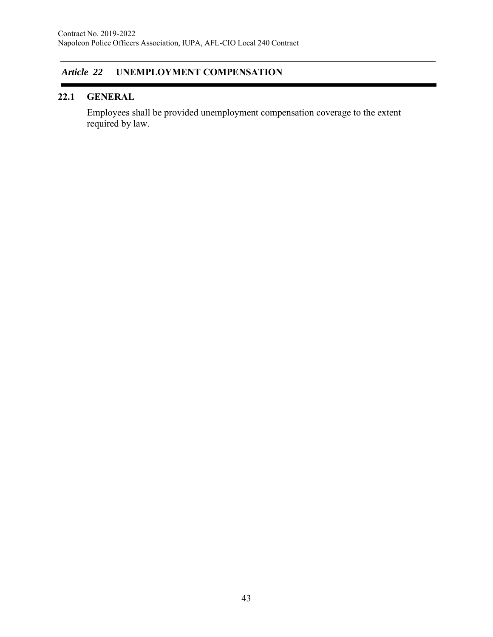# *Article 22* **UNEMPLOYMENT COMPENSATION**

# **22.1 GENERAL**

Employees shall be provided unemployment compensation coverage to the extent required by law.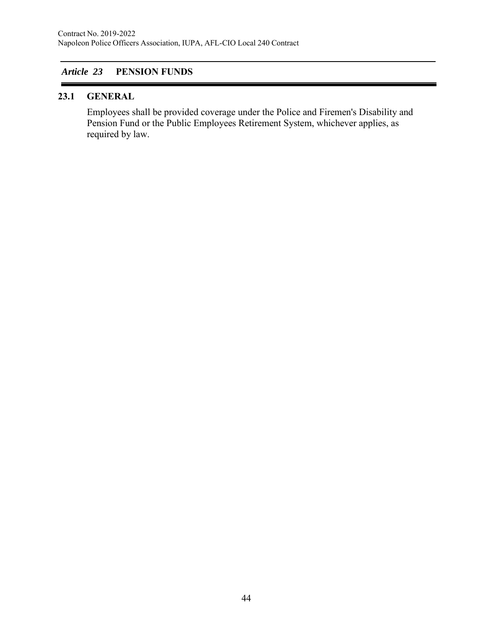# *Article 23* **PENSION FUNDS**

## **23.1 GENERAL**

Employees shall be provided coverage under the Police and Firemen's Disability and Pension Fund or the Public Employees Retirement System, whichever applies, as required by law.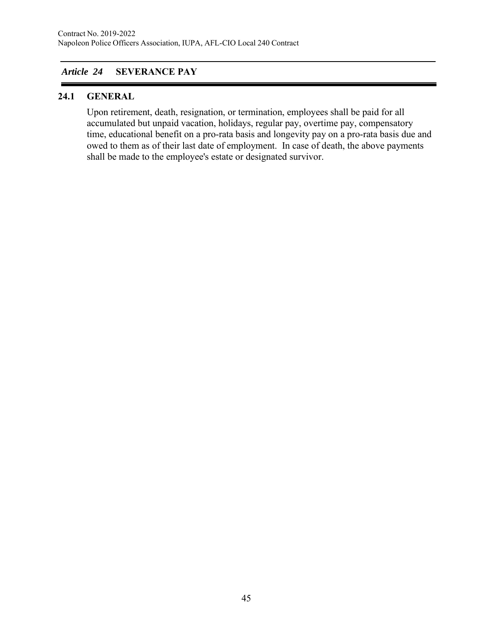# *Article 24* **SEVERANCE PAY**

## **24.1 GENERAL**

Upon retirement, death, resignation, or termination, employees shall be paid for all accumulated but unpaid vacation, holidays, regular pay, overtime pay, compensatory time, educational benefit on a pro-rata basis and longevity pay on a pro-rata basis due and owed to them as of their last date of employment. In case of death, the above payments shall be made to the employee's estate or designated survivor.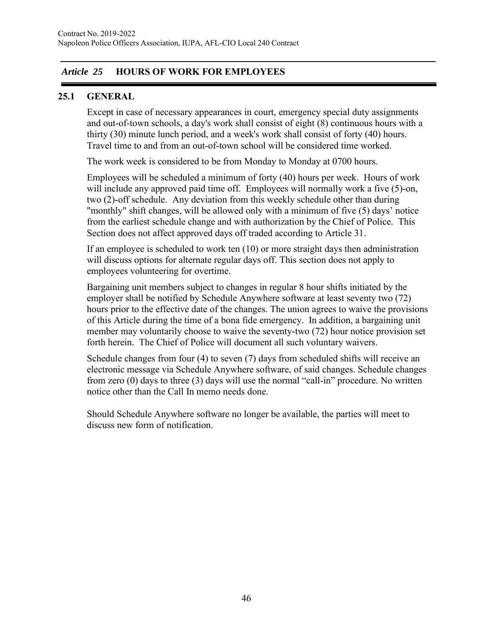# *Article 25* **HOURS OF WORK FOR EMPLOYEES**

## **25.1 GENERAL**

Except in case of necessary appearances in court, emergency special duty assignments and out-of-town schools, a day's work shall consist of eight (8) continuous hours with a thirty (30) minute lunch period, and a week's work shall consist of forty (40) hours. Travel time to and from an out-of-town school will be considered time worked.

The work week is considered to be from Monday to Monday at 0700 hours.

Employees will be scheduled a minimum of forty (40) hours per week. Hours of work will include any approved paid time off. Employees will normally work a five (5)-on, two (2)-off schedule. Any deviation from this weekly schedule other than during "monthly" shift changes, will be allowed only with a minimum of five (5) days' notice from the earliest schedule change and with authorization by the Chief of Police. This Section does not affect approved days off traded according to Article 31.

If an employee is scheduled to work ten (10) or more straight days then administration will discuss options for alternate regular days off. This section does not apply to employees volunteering for overtime.

Bargaining unit members subject to changes in regular 8 hour shifts initiated by the employer shall be notified by Schedule Anywhere software at least seventy two (72) hours prior to the effective date of the changes. The union agrees to waive the provisions of this Article during the time of a bona fide emergency. In addition, a bargaining unit member may voluntarily choose to waive the seventy-two (72) hour notice provision set forth herein. The Chief of Police will document all such voluntary waivers.

Schedule changes from four (4) to seven (7) days from scheduled shifts will receive an electronic message via Schedule Anywhere software, of said changes. Schedule changes from zero (0) days to three (3) days will use the normal "call-in" procedure. No written notice other than the Call In memo needs done.

Should Schedule Anywhere software no longer be available, the parties will meet to discuss new form of notification.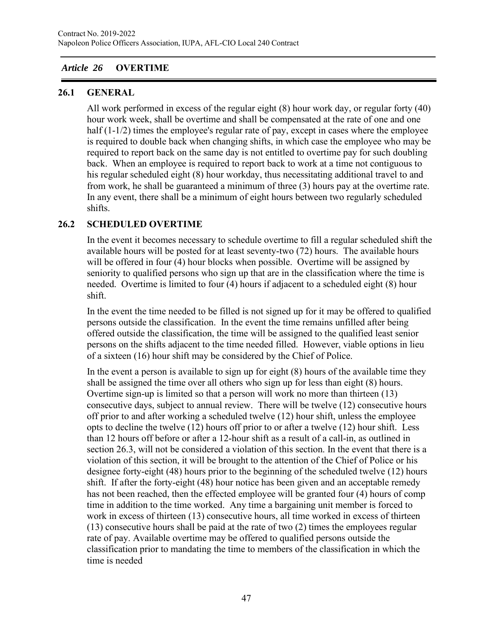# *Article 26* **OVERTIME**

## **26.1 GENERAL**

All work performed in excess of the regular eight (8) hour work day, or regular forty (40) hour work week, shall be overtime and shall be compensated at the rate of one and one half (1-1/2) times the employee's regular rate of pay, except in cases where the employee is required to double back when changing shifts, in which case the employee who may be required to report back on the same day is not entitled to overtime pay for such doubling back. When an employee is required to report back to work at a time not contiguous to his regular scheduled eight (8) hour workday, thus necessitating additional travel to and from work, he shall be guaranteed a minimum of three (3) hours pay at the overtime rate. In any event, there shall be a minimum of eight hours between two regularly scheduled shifts.

# **26.2 SCHEDULED OVERTIME**

In the event it becomes necessary to schedule overtime to fill a regular scheduled shift the available hours will be posted for at least seventy-two (72) hours. The available hours will be offered in four (4) hour blocks when possible. Overtime will be assigned by seniority to qualified persons who sign up that are in the classification where the time is needed. Overtime is limited to four (4) hours if adjacent to a scheduled eight (8) hour shift.

In the event the time needed to be filled is not signed up for it may be offered to qualified persons outside the classification. In the event the time remains unfilled after being offered outside the classification, the time will be assigned to the qualified least senior persons on the shifts adjacent to the time needed filled. However, viable options in lieu of a sixteen (16) hour shift may be considered by the Chief of Police.

In the event a person is available to sign up for eight (8) hours of the available time they shall be assigned the time over all others who sign up for less than eight (8) hours. Overtime sign-up is limited so that a person will work no more than thirteen (13) consecutive days, subject to annual review. There will be twelve (12) consecutive hours off prior to and after working a scheduled twelve (12) hour shift, unless the employee opts to decline the twelve (12) hours off prior to or after a twelve (12) hour shift. Less than 12 hours off before or after a 12-hour shift as a result of a call-in, as outlined in section 26.3, will not be considered a violation of this section. In the event that there is a violation of this section, it will be brought to the attention of the Chief of Police or his designee forty-eight (48) hours prior to the beginning of the scheduled twelve (12) hours shift. If after the forty-eight (48) hour notice has been given and an acceptable remedy has not been reached, then the effected employee will be granted four (4) hours of comp time in addition to the time worked. Any time a bargaining unit member is forced to work in excess of thirteen (13) consecutive hours, all time worked in excess of thirteen (13) consecutive hours shall be paid at the rate of two (2) times the employees regular rate of pay. Available overtime may be offered to qualified persons outside the classification prior to mandating the time to members of the classification in which the time is needed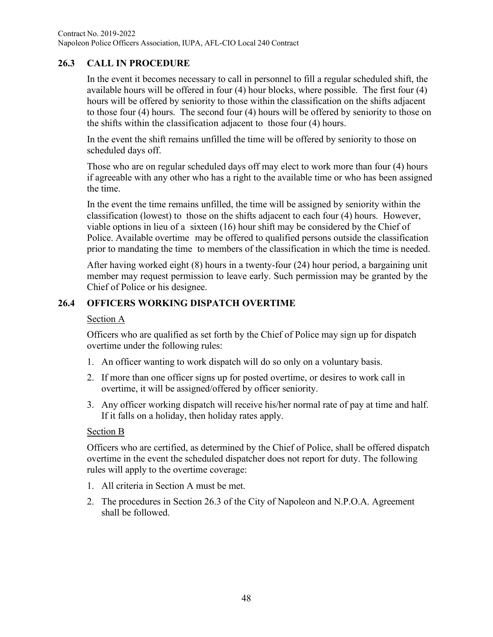# **26.3 CALL IN PROCEDURE**

In the event it becomes necessary to call in personnel to fill a regular scheduled shift, the available hours will be offered in four (4) hour blocks, where possible. The first four (4) hours will be offered by seniority to those within the classification on the shifts adjacent to those four (4) hours. The second four (4) hours will be offered by seniority to those on the shifts within the classification adjacent to those four (4) hours.

In the event the shift remains unfilled the time will be offered by seniority to those on scheduled days off.

Those who are on regular scheduled days off may elect to work more than four (4) hours if agreeable with any other who has a right to the available time or who has been assigned the time.

In the event the time remains unfilled, the time will be assigned by seniority within the classification (lowest) to those on the shifts adjacent to each four (4) hours. However, viable options in lieu of a sixteen (16) hour shift may be considered by the Chief of Police. Available overtime may be offered to qualified persons outside the classification prior to mandating the time to members of the classification in which the time is needed.

After having worked eight (8) hours in a twenty-four (24) hour period, a bargaining unit member may request permission to leave early. Such permission may be granted by the Chief of Police or his designee.

# **26.4 OFFICERS WORKING DISPATCH OVERTIME**

#### Section A

Officers who are qualified as set forth by the Chief of Police may sign up for dispatch overtime under the following rules:

- 1. An officer wanting to work dispatch will do so only on a voluntary basis.
- 2. If more than one officer signs up for posted overtime, or desires to work call in overtime, it will be assigned/offered by officer seniority.
- 3. Any officer working dispatch will receive his/her normal rate of pay at time and half. If it falls on a holiday, then holiday rates apply.

## Section B

Officers who are certified, as determined by the Chief of Police, shall be offered dispatch overtime in the event the scheduled dispatcher does not report for duty. The following rules will apply to the overtime coverage:

- 1. All criteria in Section A must be met.
- 2. The procedures in Section 26.3 of the City of Napoleon and N.P.O.A. Agreement shall be followed.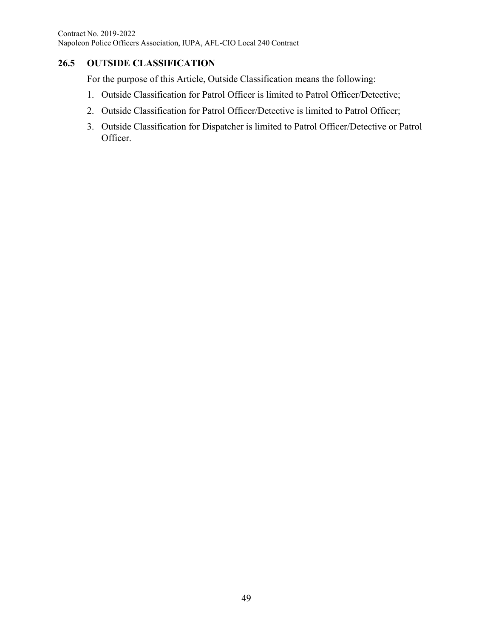# **26.5 OUTSIDE CLASSIFICATION**

For the purpose of this Article, Outside Classification means the following:

- 1. Outside Classification for Patrol Officer is limited to Patrol Officer/Detective;
- 2. Outside Classification for Patrol Officer/Detective is limited to Patrol Officer;
- 3. Outside Classification for Dispatcher is limited to Patrol Officer/Detective or Patrol Officer.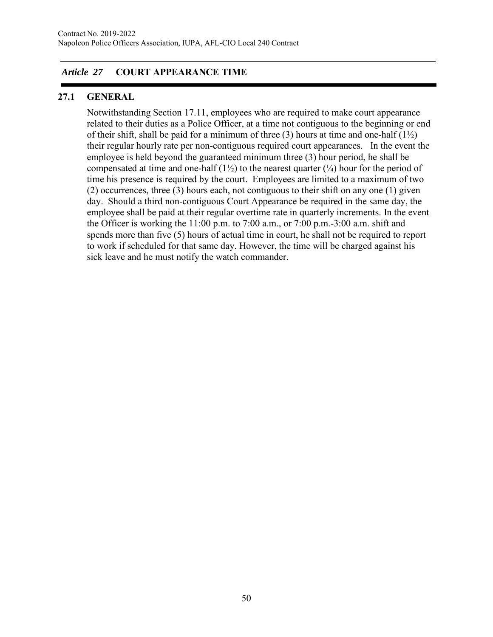# *Article 27* **COURT APPEARANCE TIME**

## **27.1 GENERAL**

Notwithstanding Section 17.11, employees who are required to make court appearance related to their duties as a Police Officer, at a time not contiguous to the beginning or end of their shift, shall be paid for a minimum of three (3) hours at time and one-half  $(1\frac{1}{2})$ their regular hourly rate per non-contiguous required court appearances. In the event the employee is held beyond the guaranteed minimum three (3) hour period, he shall be compensated at time and one-half  $(1\frac{1}{2})$  to the nearest quarter  $(1\frac{1}{4})$  hour for the period of time his presence is required by the court. Employees are limited to a maximum of two (2) occurrences, three (3) hours each, not contiguous to their shift on any one (1) given day. Should a third non-contiguous Court Appearance be required in the same day, the employee shall be paid at their regular overtime rate in quarterly increments. In the event the Officer is working the 11:00 p.m. to 7:00 a.m., or 7:00 p.m.-3:00 a.m. shift and spends more than five (5) hours of actual time in court, he shall not be required to report to work if scheduled for that same day. However, the time will be charged against his sick leave and he must notify the watch commander.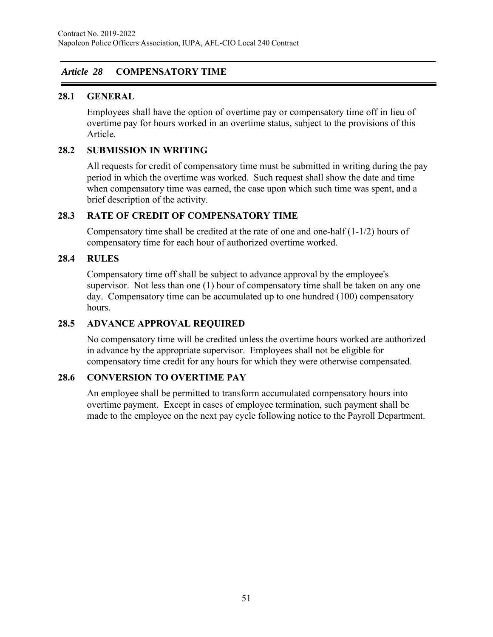# *Article 28* **COMPENSATORY TIME**

## **28.1 GENERAL**

Employees shall have the option of overtime pay or compensatory time off in lieu of overtime pay for hours worked in an overtime status, subject to the provisions of this Article.

## **28.2 SUBMISSION IN WRITING**

All requests for credit of compensatory time must be submitted in writing during the pay period in which the overtime was worked. Such request shall show the date and time when compensatory time was earned, the case upon which such time was spent, and a brief description of the activity.

#### **28.3 RATE OF CREDIT OF COMPENSATORY TIME**

Compensatory time shall be credited at the rate of one and one-half  $(1-1/2)$  hours of compensatory time for each hour of authorized overtime worked.

## **28.4 RULES**

Compensatory time off shall be subject to advance approval by the employee's supervisor. Not less than one (1) hour of compensatory time shall be taken on any one day. Compensatory time can be accumulated up to one hundred (100) compensatory hours.

#### **28.5 ADVANCE APPROVAL REQUIRED**

No compensatory time will be credited unless the overtime hours worked are authorized in advance by the appropriate supervisor. Employees shall not be eligible for compensatory time credit for any hours for which they were otherwise compensated.

## **28.6 CONVERSION TO OVERTIME PAY**

An employee shall be permitted to transform accumulated compensatory hours into overtime payment. Except in cases of employee termination, such payment shall be made to the employee on the next pay cycle following notice to the Payroll Department.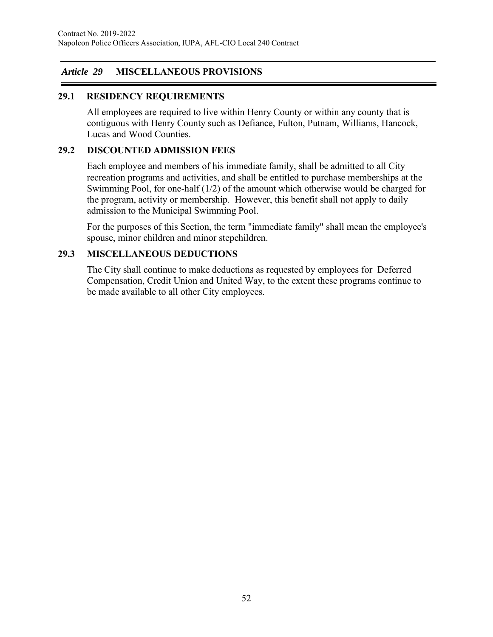# *Article 29* **MISCELLANEOUS PROVISIONS**

## **29.1 RESIDENCY REQUIREMENTS**

All employees are required to live within Henry County or within any county that is contiguous with Henry County such as Defiance, Fulton, Putnam, Williams, Hancock, Lucas and Wood Counties.

#### **29.2 DISCOUNTED ADMISSION FEES**

Each employee and members of his immediate family, shall be admitted to all City recreation programs and activities, and shall be entitled to purchase memberships at the Swimming Pool, for one-half (1/2) of the amount which otherwise would be charged for the program, activity or membership. However, this benefit shall not apply to daily admission to the Municipal Swimming Pool.

For the purposes of this Section, the term "immediate family" shall mean the employee's spouse, minor children and minor stepchildren.

## **29.3 MISCELLANEOUS DEDUCTIONS**

The City shall continue to make deductions as requested by employees for Deferred Compensation, Credit Union and United Way, to the extent these programs continue to be made available to all other City employees.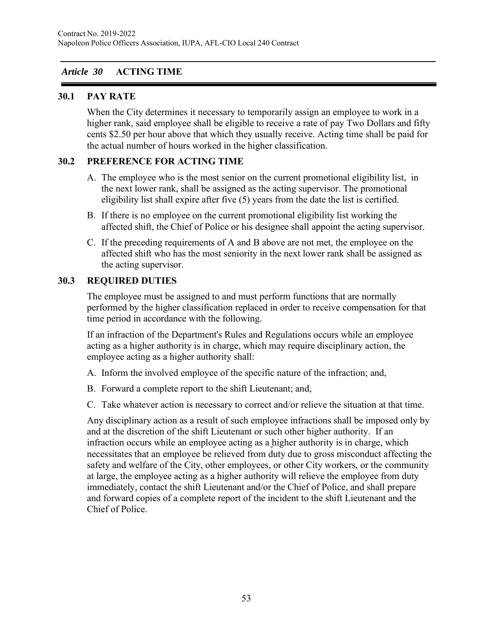# *Article 30* **ACTING TIME**

## **30.1 PAY RATE**

When the City determines it necessary to temporarily assign an employee to work in a higher rank, said employee shall be eligible to receive a rate of pay Two Dollars and fifty cents \$2.50 per hour above that which they usually receive. Acting time shall be paid for the actual number of hours worked in the higher classification.

## **30.2 PREFERENCE FOR ACTING TIME**

- A. The employee who is the most senior on the current promotional eligibility list, in the next lower rank, shall be assigned as the acting supervisor. The promotional eligibility list shall expire after five (5) years from the date the list is certified.
- B. If there is no employee on the current promotional eligibility list working the affected shift, the Chief of Police or his designee shall appoint the acting supervisor.
- C. If the preceding requirements of A and B above are not met, the employee on the affected shift who has the most seniority in the next lower rank shall be assigned as the acting supervisor.

## **30.3 REQUIRED DUTIES**

The employee must be assigned to and must perform functions that are normally performed by the higher classification replaced in order to receive compensation for that time period in accordance with the following.

If an infraction of the Department's Rules and Regulations occurs while an employee acting as a higher authority is in charge, which may require disciplinary action, the employee acting as a higher authority shall:

- A. Inform the involved employee of the specific nature of the infraction; and,
- B. Forward a complete report to the shift Lieutenant; and,
- C. Take whatever action is necessary to correct and/or relieve the situation at that time.

Any disciplinary action as a result of such employee infractions shall be imposed only by and at the discretion of the shift Lieutenant or such other higher authority. If an infraction occurs while an employee acting as a higher authority is in charge, which necessitates that an employee be relieved from duty due to gross misconduct affecting the safety and welfare of the City, other employees, or other City workers, or the community at large, the employee acting as a higher authority will relieve the employee from duty immediately, contact the shift Lieutenant and/or the Chief of Police, and shall prepare and forward copies of a complete report of the incident to the shift Lieutenant and the Chief of Police.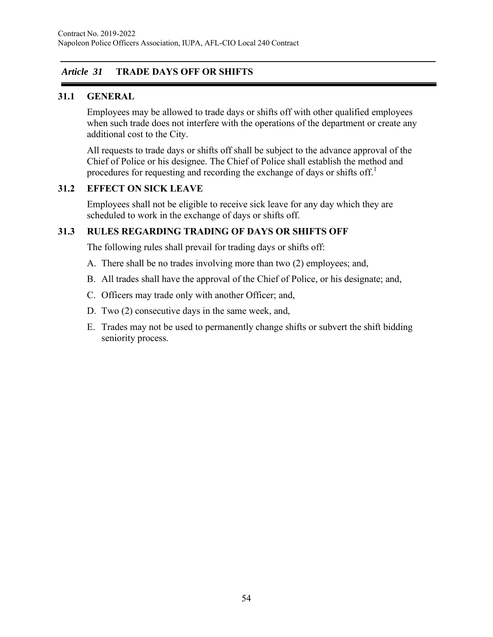# *Article 31* **TRADE DAYS OFF OR SHIFTS**

## **31.1 GENERAL**

Employees may be allowed to trade days or shifts off with other qualified employees when such trade does not interfere with the operations of the department or create any additional cost to the City.

All requests to trade days or shifts off shall be subject to the advance approval of the Chief of Police or his designee. The Chief of Police shall establish the method and procedures for requesting and recording the exchange of days or shifts off.<sup>[1](#page-56-0)</sup>

#### **31.2 EFFECT ON SICK LEAVE**

Employees shall not be eligible to receive sick leave for any day which they are scheduled to work in the exchange of days or shifts off.

## **31.3 RULES REGARDING TRADING OF DAYS OR SHIFTS OFF**

The following rules shall prevail for trading days or shifts off:

- A. There shall be no trades involving more than two (2) employees; and,
- B. All trades shall have the approval of the Chief of Police, or his designate; and,
- C. Officers may trade only with another Officer; and,
- D. Two (2) consecutive days in the same week, and,
- E. Trades may not be used to permanently change shifts or subvert the shift bidding seniority process.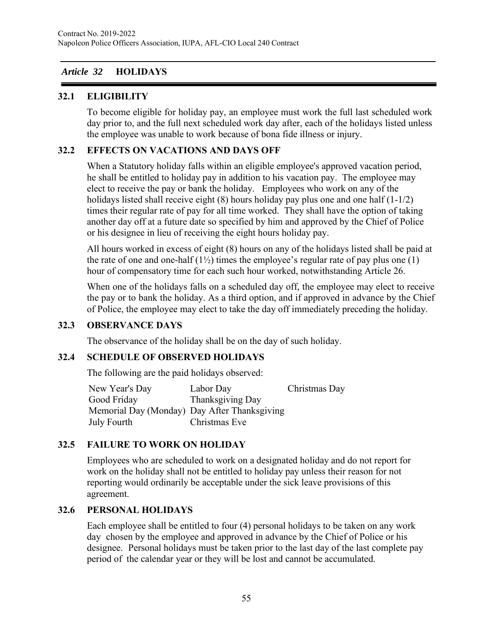## *Article 32* **HOLIDAYS**

## **32.1 ELIGIBILITY**

To become eligible for holiday pay, an employee must work the full last scheduled work day prior to, and the full next scheduled work day after, each of the holidays listed unless the employee was unable to work because of bona fide illness or injury.

## **32.2 EFFECTS ON VACATIONS AND DAYS OFF**

When a Statutory holiday falls within an eligible employee's approved vacation period, he shall be entitled to holiday pay in addition to his vacation pay. The employee may elect to receive the pay or bank the holiday. Employees who work on any of the holidays listed shall receive eight (8) hours holiday pay plus one and one half (1-1/2) times their regular rate of pay for all time worked. They shall have the option of taking another day off at a future date so specified by him and approved by the Chief of Police or his designee in lieu of receiving the eight hours holiday pay.

All hours worked in excess of eight (8) hours on any of the holidays listed shall be paid at the rate of one and one-half  $(1/2)$  times the employee's regular rate of pay plus one (1) hour of compensatory time for each such hour worked, notwithstanding Article 26.

When one of the holidays falls on a scheduled day off, the employee may elect to receive the pay or to bank the holiday. As a third option, and if approved in advance by the Chief of Police, the employee may elect to take the day off immediately preceding the holiday.

## **32.3 OBSERVANCE DAYS**

The observance of the holiday shall be on the day of such holiday.

# **32.4 SCHEDULE OF OBSERVED HOLIDAYS**

The following are the paid holidays observed:

New Year's Day Labor Day Christmas Day Good Friday Thanksgiving Day Memorial Day (Monday) Day After Thanksgiving July Fourth Christmas Eve

# **32.5 FAILURE TO WORK ON HOLIDAY**

Employees who are scheduled to work on a designated holiday and do not report for work on the holiday shall not be entitled to holiday pay unless their reason for not reporting would ordinarily be acceptable under the sick leave provisions of this agreement.

## **32.6 PERSONAL HOLIDAYS**

Each employee shall be entitled to four (4) personal holidays to be taken on any work day chosen by the employee and approved in advance by the Chief of Police or his designee. Personal holidays must be taken prior to the last day of the last complete pay period of the calendar year or they will be lost and cannot be accumulated.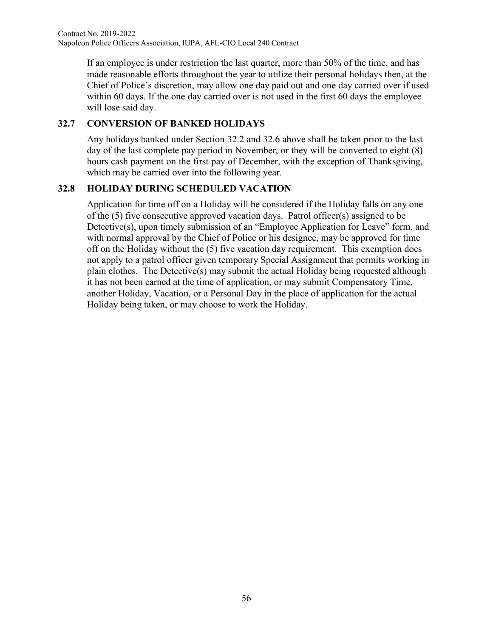<span id="page-56-0"></span>If an employee is under restriction the last quarter, more than 50% of the time, and has made reasonable efforts throughout the year to utilize their personal holidays then, at the Chief of Police's discretion, may allow one day paid out and one day carried over if used within 60 days. If the one day carried over is not used in the first 60 days the employee will lose said day.

# **32.7 CONVERSION OF BANKED HOLIDAYS**

Any holidays banked under Section 32.2 and 32.6 above shall be taken prior to the last day of the last complete pay period in November, or they will be converted to eight (8) hours cash payment on the first pay of December, with the exception of Thanksgiving, which may be carried over into the following year.

# **32.8 HOLIDAY DURING SCHEDULED VACATION**

Application for time off on a Holiday will be considered if the Holiday falls on any one of the (5) five consecutive approved vacation days. Patrol officer(s) assigned to be Detective(s), upon timely submission of an "Employee Application for Leave" form, and with normal approval by the Chief of Police or his designee, may be approved for time off on the Holiday without the (5) five vacation day requirement. This exemption does not apply to a patrol officer given temporary Special Assignment that permits working in plain clothes. The Detective(s) may submit the actual Holiday being requested although it has not been earned at the time of application, or may submit Compensatory Time, another Holiday, Vacation, or a Personal Day in the place of application for the actual Holiday being taken, or may choose to work the Holiday.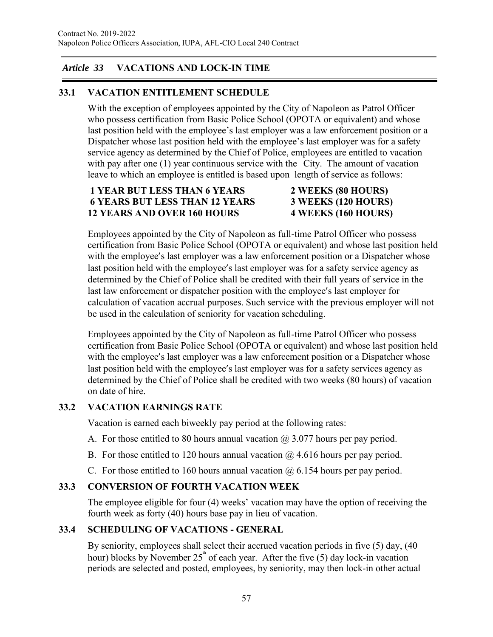# *Article 33* **VACATIONS AND LOCK-IN TIME**

# **33.1 VACATION ENTITLEMENT SCHEDULE**

With the exception of employees appointed by the City of Napoleon as Patrol Officer who possess certification from Basic Police School (OPOTA or equivalent) and whose last position held with the employee's last employer was a law enforcement position or a Dispatcher whose last position held with the employee's last employer was for a safety service agency as determined by the Chief of Police, employees are entitled to vacation with pay after one (1) year continuous service with the City. The amount of vacation leave to which an employee is entitled is based upon length of service as follows:

## **1 YEAR BUT LESS THAN 6 YEARS 2 WEEKS (80 HOURS) 6 YEARS BUT LESS THAN 12 YEARS 3 WEEKS (120 HOURS) 12 YEARS AND OVER 160 HOURS 4 WEEKS (160 HOURS)**

Employees appointed by the City of Napoleon as full-time Patrol Officer who possess certification from Basic Police School (OPOTA or equivalent) and whose last position held with the employee's last employer was a law enforcement position or a Dispatcher whose last position held with the employee's last employer was for a safety service agency as determined by the Chief of Police shall be credited with their full years of service in the last law enforcement or dispatcher position with the employee's last employer for calculation of vacation accrual purposes. Such service with the previous employer will not be used in the calculation of seniority for vacation scheduling.

Employees appointed by the City of Napoleon as full-time Patrol Officer who possess certification from Basic Police School (OPOTA or equivalent) and whose last position held with the employee's last employer was a law enforcement position or a Dispatcher whose last position held with the employee's last employer was for a safety services agency as determined by the Chief of Police shall be credited with two weeks (80 hours) of vacation on date of hire.

# **33.2 VACATION EARNINGS RATE**

Vacation is earned each biweekly pay period at the following rates:

- A. For those entitled to 80 hours annual vacation  $\omega/2.077$  hours per pay period.
- B. For those entitled to 120 hours annual vacation  $\omega$  4.616 hours per pay period.
- C. For those entitled to 160 hours annual vacation  $\omega$  6.154 hours per pay period.

# **33.3 CONVERSION OF FOURTH VACATION WEEK**

The employee eligible for four (4) weeks' vacation may have the option of receiving the fourth week as forty (40) hours base pay in lieu of vacation.

# **33.4 SCHEDULING OF VACATIONS - GENERAL**

By seniority, employees shall select their accrued vacation periods in five (5) day, (40 hour) blocks by November 25<sup>th</sup> of each year. After the five (5) day lock-in vacation periods are selected and posted, employees, by seniority, may then lock-in other actual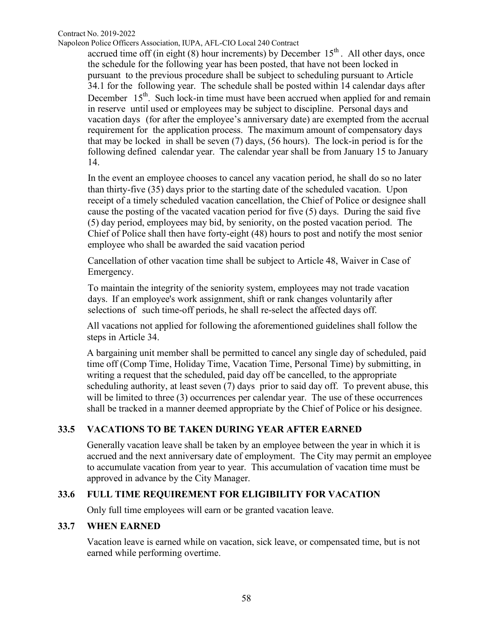Contract No. 2019-2022

Napoleon Police Officers Association, IUPA, AFL-CIO Local 240 Contract

accrued time off (in eight  $(8)$  hour increments) by December  $15<sup>th</sup>$ . All other days, once the schedule for the following year has been posted, that have not been locked in pursuant to the previous procedure shall be subject to scheduling pursuant to Article 34.1 for the following year. The schedule shall be posted within 14 calendar days after December  $15<sup>th</sup>$ . Such lock-in time must have been accrued when applied for and remain in reserve until used or employees may be subject to discipline. Personal days and vacation days (for after the employee's anniversary date) are exempted from the accrual requirement for the application process. The maximum amount of compensatory days that may be locked in shall be seven (7) days, (56 hours). The lock-in period is for the following defined calendar year. The calendar year shall be from January 15 to January 14.

In the event an employee chooses to cancel any vacation period, he shall do so no later than thirty-five (35) days prior to the starting date of the scheduled vacation. Upon receipt of a timely scheduled vacation cancellation, the Chief of Police or designee shall cause the posting of the vacated vacation period for five (5) days. During the said five (5) day period, employees may bid, by seniority, on the posted vacation period. The Chief of Police shall then have forty-eight (48) hours to post and notify the most senior employee who shall be awarded the said vacation period

Cancellation of other vacation time shall be subject to Article 48, Waiver in Case of Emergency.

To maintain the integrity of the seniority system, employees may not trade vacation days. If an employee's work assignment, shift or rank changes voluntarily after selections of such time-off periods, he shall re-select the affected days off.

All vacations not applied for following the aforementioned guidelines shall follow the steps in Article 34.

A bargaining unit member shall be permitted to cancel any single day of scheduled, paid time off (Comp Time, Holiday Time, Vacation Time, Personal Time) by submitting, in writing a request that the scheduled, paid day off be cancelled, to the appropriate scheduling authority, at least seven (7) days prior to said day off. To prevent abuse, this will be limited to three (3) occurrences per calendar year. The use of these occurrences shall be tracked in a manner deemed appropriate by the Chief of Police or his designee.

## **33.5 VACATIONS TO BE TAKEN DURING YEAR AFTER EARNED**

Generally vacation leave shall be taken by an employee between the year in which it is accrued and the next anniversary date of employment. The City may permit an employee to accumulate vacation from year to year. This accumulation of vacation time must be approved in advance by the City Manager.

#### **33.6 FULL TIME REQUIREMENT FOR ELIGIBILITY FOR VACATION**

Only full time employees will earn or be granted vacation leave.

#### **33.7 WHEN EARNED**

Vacation leave is earned while on vacation, sick leave, or compensated time, but is not earned while performing overtime.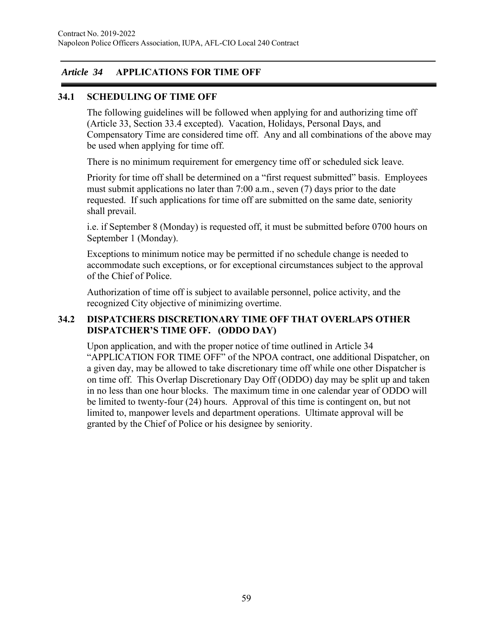# *Article 34* **APPLICATIONS FOR TIME OFF**

## **34.1 SCHEDULING OF TIME OFF**

The following guidelines will be followed when applying for and authorizing time off (Article 33, Section 33.4 excepted). Vacation, Holidays, Personal Days, and Compensatory Time are considered time off. Any and all combinations of the above may be used when applying for time off.

There is no minimum requirement for emergency time off or scheduled sick leave.

Priority for time off shall be determined on a "first request submitted" basis. Employees must submit applications no later than 7:00 a.m., seven (7) days prior to the date requested. If such applications for time off are submitted on the same date, seniority shall prevail.

i.e. if September 8 (Monday) is requested off, it must be submitted before 0700 hours on September 1 (Monday).

Exceptions to minimum notice may be permitted if no schedule change is needed to accommodate such exceptions, or for exceptional circumstances subject to the approval of the Chief of Police.

Authorization of time off is subject to available personnel, police activity, and the recognized City objective of minimizing overtime.

## **34.2 DISPATCHERS DISCRETIONARY TIME OFF THAT OVERLAPS OTHER DISPATCHER'S TIME OFF. (ODDO DAY)**

Upon application, and with the proper notice of time outlined in Article 34 "APPLICATION FOR TIME OFF" of the NPOA contract, one additional Dispatcher, on a given day, may be allowed to take discretionary time off while one other Dispatcher is on time off. This Overlap Discretionary Day Off (ODDO) day may be split up and taken in no less than one hour blocks. The maximum time in one calendar year of ODDO will be limited to twenty-four (24) hours. Approval of this time is contingent on, but not limited to, manpower levels and department operations. Ultimate approval will be granted by the Chief of Police or his designee by seniority.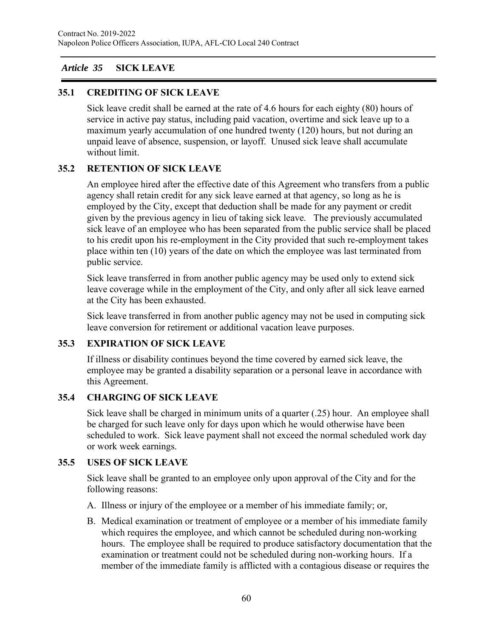# *Article 35* **SICK LEAVE**

## **35.1 CREDITING OF SICK LEAVE**

Sick leave credit shall be earned at the rate of 4.6 hours for each eighty (80) hours of service in active pay status, including paid vacation, overtime and sick leave up to a maximum yearly accumulation of one hundred twenty (120) hours, but not during an unpaid leave of absence, suspension, or layoff. Unused sick leave shall accumulate without limit.

# **35.2 RETENTION OF SICK LEAVE**

An employee hired after the effective date of this Agreement who transfers from a public agency shall retain credit for any sick leave earned at that agency, so long as he is employed by the City, except that deduction shall be made for any payment or credit given by the previous agency in lieu of taking sick leave. The previously accumulated sick leave of an employee who has been separated from the public service shall be placed to his credit upon his re-employment in the City provided that such re-employment takes place within ten (10) years of the date on which the employee was last terminated from public service.

Sick leave transferred in from another public agency may be used only to extend sick leave coverage while in the employment of the City, and only after all sick leave earned at the City has been exhausted.

Sick leave transferred in from another public agency may not be used in computing sick leave conversion for retirement or additional vacation leave purposes.

## **35.3 EXPIRATION OF SICK LEAVE**

If illness or disability continues beyond the time covered by earned sick leave, the employee may be granted a disability separation or a personal leave in accordance with this Agreement.

## **35.4 CHARGING OF SICK LEAVE**

Sick leave shall be charged in minimum units of a quarter (.25) hour. An employee shall be charged for such leave only for days upon which he would otherwise have been scheduled to work. Sick leave payment shall not exceed the normal scheduled work day or work week earnings.

## **35.5 USES OF SICK LEAVE**

Sick leave shall be granted to an employee only upon approval of the City and for the following reasons:

- A. Illness or injury of the employee or a member of his immediate family; or,
- B. Medical examination or treatment of employee or a member of his immediate family which requires the employee, and which cannot be scheduled during non-working hours. The employee shall be required to produce satisfactory documentation that the examination or treatment could not be scheduled during non-working hours. If a member of the immediate family is afflicted with a contagious disease or requires the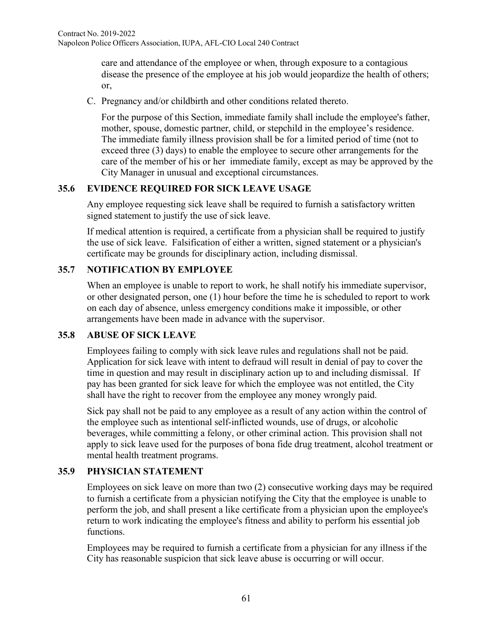care and attendance of the employee or when, through exposure to a contagious disease the presence of the employee at his job would jeopardize the health of others; or,

C. Pregnancy and/or childbirth and other conditions related thereto.

For the purpose of this Section, immediate family shall include the employee's father, mother, spouse, domestic partner, child, or stepchild in the employee's residence. The immediate family illness provision shall be for a limited period of time (not to exceed three (3) days) to enable the employee to secure other arrangements for the care of the member of his or her immediate family, except as may be approved by the City Manager in unusual and exceptional circumstances.

# **35.6 EVIDENCE REQUIRED FOR SICK LEAVE USAGE**

Any employee requesting sick leave shall be required to furnish a satisfactory written signed statement to justify the use of sick leave.

If medical attention is required, a certificate from a physician shall be required to justify the use of sick leave. Falsification of either a written, signed statement or a physician's certificate may be grounds for disciplinary action, including dismissal.

# **35.7 NOTIFICATION BY EMPLOYEE**

When an employee is unable to report to work, he shall notify his immediate supervisor, or other designated person, one (1) hour before the time he is scheduled to report to work on each day of absence, unless emergency conditions make it impossible, or other arrangements have been made in advance with the supervisor.

# **35.8 ABUSE OF SICK LEAVE**

Employees failing to comply with sick leave rules and regulations shall not be paid. Application for sick leave with intent to defraud will result in denial of pay to cover the time in question and may result in disciplinary action up to and including dismissal. If pay has been granted for sick leave for which the employee was not entitled, the City shall have the right to recover from the employee any money wrongly paid.

Sick pay shall not be paid to any employee as a result of any action within the control of the employee such as intentional self-inflicted wounds, use of drugs, or alcoholic beverages, while committing a felony, or other criminal action. This provision shall not apply to sick leave used for the purposes of bona fide drug treatment, alcohol treatment or mental health treatment programs.

# **35.9 PHYSICIAN STATEMENT**

Employees on sick leave on more than two (2) consecutive working days may be required to furnish a certificate from a physician notifying the City that the employee is unable to perform the job, and shall present a like certificate from a physician upon the employee's return to work indicating the employee's fitness and ability to perform his essential job functions.

Employees may be required to furnish a certificate from a physician for any illness if the City has reasonable suspicion that sick leave abuse is occurring or will occur.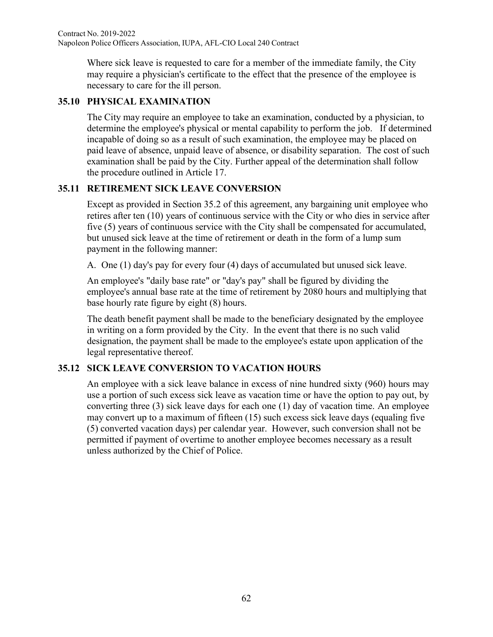Where sick leave is requested to care for a member of the immediate family, the City may require a physician's certificate to the effect that the presence of the employee is necessary to care for the ill person.

# **35.10 PHYSICAL EXAMINATION**

The City may require an employee to take an examination, conducted by a physician, to determine the employee's physical or mental capability to perform the job. If determined incapable of doing so as a result of such examination, the employee may be placed on paid leave of absence, unpaid leave of absence, or disability separation. The cost of such examination shall be paid by the City. Further appeal of the determination shall follow the procedure outlined in Article 17.

# **35.11 RETIREMENT SICK LEAVE CONVERSION**

Except as provided in Section 35.2 of this agreement, any bargaining unit employee who retires after ten (10) years of continuous service with the City or who dies in service after five (5) years of continuous service with the City shall be compensated for accumulated, but unused sick leave at the time of retirement or death in the form of a lump sum payment in the following manner:

A. One (1) day's pay for every four (4) days of accumulated but unused sick leave.

An employee's "daily base rate" or "day's pay" shall be figured by dividing the employee's annual base rate at the time of retirement by 2080 hours and multiplying that base hourly rate figure by eight (8) hours.

The death benefit payment shall be made to the beneficiary designated by the employee in writing on a form provided by the City. In the event that there is no such valid designation, the payment shall be made to the employee's estate upon application of the legal representative thereof.

# **35.12 SICK LEAVE CONVERSION TO VACATION HOURS**

An employee with a sick leave balance in excess of nine hundred sixty (960) hours may use a portion of such excess sick leave as vacation time or have the option to pay out, by converting three (3) sick leave days for each one (1) day of vacation time. An employee may convert up to a maximum of fifteen (15) such excess sick leave days (equaling five (5) converted vacation days) per calendar year. However, such conversion shall not be permitted if payment of overtime to another employee becomes necessary as a result unless authorized by the Chief of Police.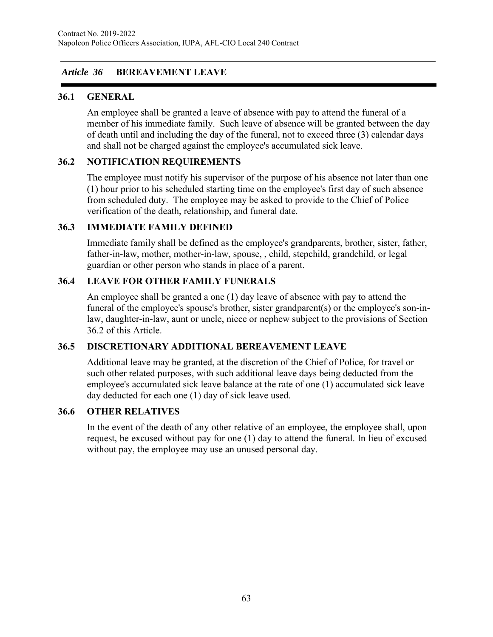# *Article 36* **BEREAVEMENT LEAVE**

## **36.1 GENERAL**

An employee shall be granted a leave of absence with pay to attend the funeral of a member of his immediate family. Such leave of absence will be granted between the day of death until and including the day of the funeral, not to exceed three (3) calendar days and shall not be charged against the employee's accumulated sick leave.

## **36.2 NOTIFICATION REQUIREMENTS**

The employee must notify his supervisor of the purpose of his absence not later than one (1) hour prior to his scheduled starting time on the employee's first day of such absence from scheduled duty. The employee may be asked to provide to the Chief of Police verification of the death, relationship, and funeral date.

## **36.3 IMMEDIATE FAMILY DEFINED**

Immediate family shall be defined as the employee's grandparents, brother, sister, father, father-in-law, mother, mother-in-law, spouse, , child, stepchild, grandchild, or legal guardian or other person who stands in place of a parent.

## **36.4 LEAVE FOR OTHER FAMILY FUNERALS**

An employee shall be granted a one (1) day leave of absence with pay to attend the funeral of the employee's spouse's brother, sister grandparent(s) or the employee's son-inlaw, daughter-in-law, aunt or uncle, niece or nephew subject to the provisions of Section 36.2 of this Article.

## **36.5 DISCRETIONARY ADDITIONAL BEREAVEMENT LEAVE**

Additional leave may be granted, at the discretion of the Chief of Police, for travel or such other related purposes, with such additional leave days being deducted from the employee's accumulated sick leave balance at the rate of one (1) accumulated sick leave day deducted for each one (1) day of sick leave used.

## **36.6 OTHER RELATIVES**

In the event of the death of any other relative of an employee, the employee shall, upon request, be excused without pay for one (1) day to attend the funeral. In lieu of excused without pay, the employee may use an unused personal day.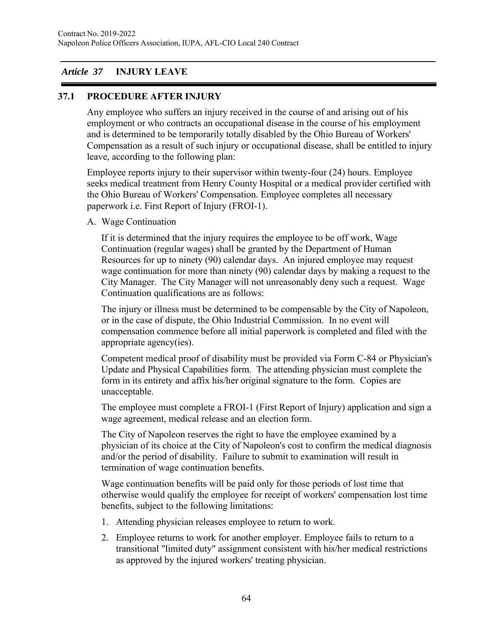## *Article 37* **INJURY LEAVE**

## **37.1 PROCEDURE AFTER INJURY**

Any employee who suffers an injury received in the course of and arising out of his employment or who contracts an occupational disease in the course of his employment and is determined to be temporarily totally disabled by the Ohio Bureau of Workers' Compensation as a result of such injury or occupational disease, shall be entitled to injury leave, according to the following plan:

Employee reports injury to their supervisor within twenty-four (24) hours. Employee seeks medical treatment from Henry County Hospital or a medical provider certified with the Ohio Bureau of Workers' Compensation. Employee completes all necessary paperwork i.e. First Report of Injury (FROI-1).

A. Wage Continuation

If it is determined that the injury requires the employee to be off work, Wage Continuation (regular wages) shall be granted by the Department of Human Resources for up to ninety (90) calendar days. An injured employee may request wage continuation for more than ninety (90) calendar days by making a request to the City Manager. The City Manager will not unreasonably deny such a request. Wage Continuation qualifications are as follows:

The injury or illness must be determined to be compensable by the City of Napoleon, or in the case of dispute, the Ohio Industrial Commission. In no event will compensation commence before all initial paperwork is completed and filed with the appropriate agency(ies).

Competent medical proof of disability must be provided via Form C-84 or Physician's Update and Physical Capabilities form. The attending physician must complete the form in its entirety and affix his/her original signature to the form. Copies are unacceptable.

The employee must complete a FROI-1 (First Report of Injury) application and sign a wage agreement, medical release and an election form.

The City of Napoleon reserves the right to have the employee examined by a physician of its choice at the City of Napoleon's cost to confirm the medical diagnosis and/or the period of disability. Failure to submit to examination will result in termination of wage continuation benefits.

Wage continuation benefits will be paid only for those periods of lost time that otherwise would qualify the employee for receipt of workers' compensation lost time benefits, subject to the following limitations:

- 1. Attending physician releases employee to return to work.
- 2. Employee returns to work for another employer. Employee fails to return to a transitional "limited duty" assignment consistent with his/her medical restrictions as approved by the injured workers' treating physician.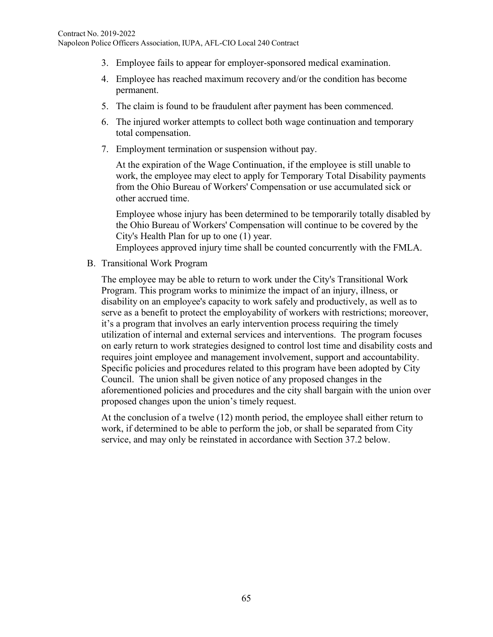- 3. Employee fails to appear for employer-sponsored medical examination.
- 4. Employee has reached maximum recovery and/or the condition has become permanent.
- 5. The claim is found to be fraudulent after payment has been commenced.
- 6. The injured worker attempts to collect both wage continuation and temporary total compensation.
- 7. Employment termination or suspension without pay.

At the expiration of the Wage Continuation, if the employee is still unable to work, the employee may elect to apply for Temporary Total Disability payments from the Ohio Bureau of Workers' Compensation or use accumulated sick or other accrued time.

Employee whose injury has been determined to be temporarily totally disabled by the Ohio Bureau of Workers' Compensation will continue to be covered by the City's Health Plan for up to one (1) year.

Employees approved injury time shall be counted concurrently with the FMLA.

B. Transitional Work Program

The employee may be able to return to work under the City's Transitional Work Program. This program works to minimize the impact of an injury, illness, or disability on an employee's capacity to work safely and productively, as well as to serve as a benefit to protect the employability of workers with restrictions; moreover, it's a program that involves an early intervention process requiring the timely utilization of internal and external services and interventions. The program focuses on early return to work strategies designed to control lost time and disability costs and requires joint employee and management involvement, support and accountability. Specific policies and procedures related to this program have been adopted by City Council. The union shall be given notice of any proposed changes in the aforementioned policies and procedures and the city shall bargain with the union over proposed changes upon the union's timely request.

At the conclusion of a twelve (12) month period, the employee shall either return to work, if determined to be able to perform the job, or shall be separated from City service, and may only be reinstated in accordance with Section 37.2 below.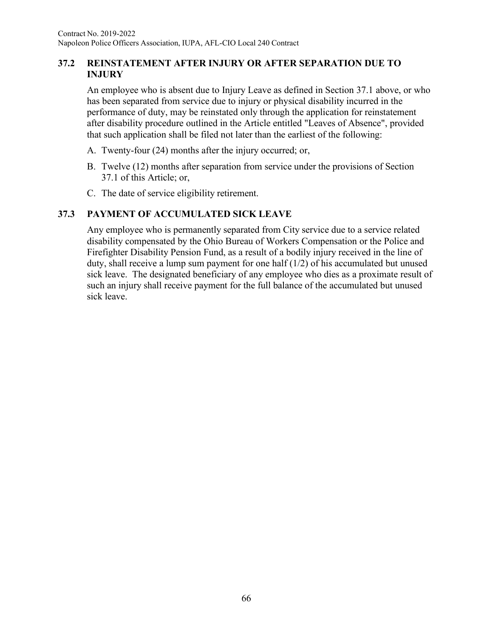## **37.2 REINSTATEMENT AFTER INJURY OR AFTER SEPARATION DUE TO INJURY**

An employee who is absent due to Injury Leave as defined in Section 37.1 above, or who has been separated from service due to injury or physical disability incurred in the performance of duty, may be reinstated only through the application for reinstatement after disability procedure outlined in the Article entitled "Leaves of Absence", provided that such application shall be filed not later than the earliest of the following:

- A. Twenty-four (24) months after the injury occurred; or,
- B. Twelve (12) months after separation from service under the provisions of Section 37.1 of this Article; or,
- C. The date of service eligibility retirement.

# **37.3 PAYMENT OF ACCUMULATED SICK LEAVE**

Any employee who is permanently separated from City service due to a service related disability compensated by the Ohio Bureau of Workers Compensation or the Police and Firefighter Disability Pension Fund, as a result of a bodily injury received in the line of duty, shall receive a lump sum payment for one half  $(1/2)$  of his accumulated but unused sick leave. The designated beneficiary of any employee who dies as a proximate result of such an injury shall receive payment for the full balance of the accumulated but unused sick leave.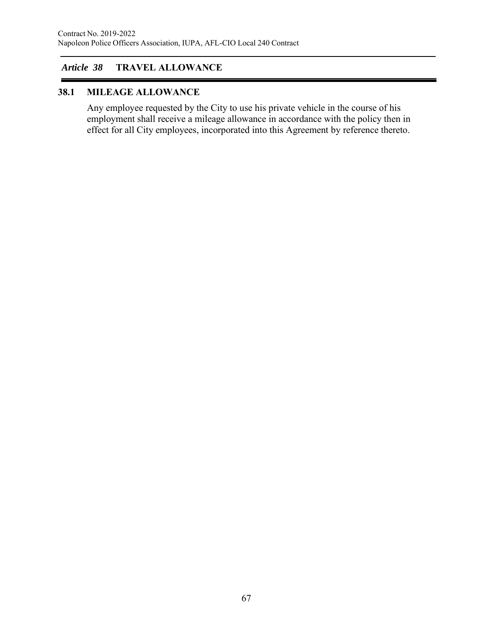# *Article 38* **TRAVEL ALLOWANCE**

## **38.1 MILEAGE ALLOWANCE**

Any employee requested by the City to use his private vehicle in the course of his employment shall receive a mileage allowance in accordance with the policy then in effect for all City employees, incorporated into this Agreement by reference thereto.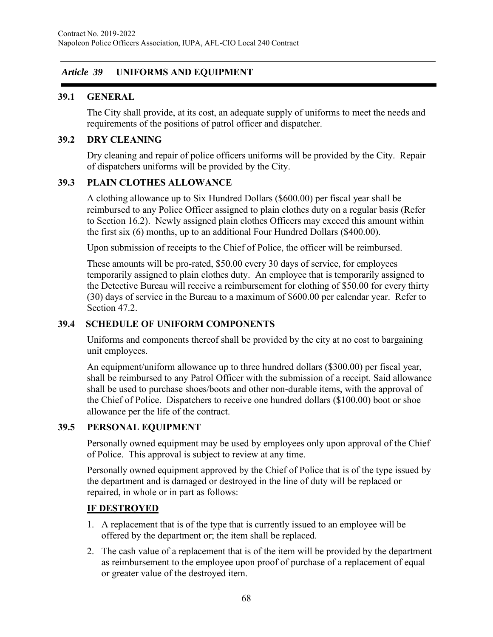## *Article 39* **UNIFORMS AND EQUIPMENT**

## **39.1 GENERAL**

The City shall provide, at its cost, an adequate supply of uniforms to meet the needs and requirements of the positions of patrol officer and dispatcher.

## **39.2 DRY CLEANING**

Dry cleaning and repair of police officers uniforms will be provided by the City. Repair of dispatchers uniforms will be provided by the City.

#### **39.3 PLAIN CLOTHES ALLOWANCE**

A clothing allowance up to Six Hundred Dollars (\$600.00) per fiscal year shall be reimbursed to any Police Officer assigned to plain clothes duty on a regular basis (Refer to Section 16.2). Newly assigned plain clothes Officers may exceed this amount within the first six (6) months, up to an additional Four Hundred Dollars (\$400.00).

Upon submission of receipts to the Chief of Police, the officer will be reimbursed.

These amounts will be pro-rated, \$50.00 every 30 days of service, for employees temporarily assigned to plain clothes duty. An employee that is temporarily assigned to the Detective Bureau will receive a reimbursement for clothing of \$50.00 for every thirty (30) days of service in the Bureau to a maximum of \$600.00 per calendar year. Refer to Section 47.2.

## **39.4 SCHEDULE OF UNIFORM COMPONENTS**

Uniforms and components thereof shall be provided by the city at no cost to bargaining unit employees.

An equipment/uniform allowance up to three hundred dollars (\$300.00) per fiscal year, shall be reimbursed to any Patrol Officer with the submission of a receipt. Said allowance shall be used to purchase shoes/boots and other non-durable items, with the approval of the Chief of Police. Dispatchers to receive one hundred dollars (\$100.00) boot or shoe allowance per the life of the contract.

## **39.5 PERSONAL EQUIPMENT**

Personally owned equipment may be used by employees only upon approval of the Chief of Police. This approval is subject to review at any time.

Personally owned equipment approved by the Chief of Police that is of the type issued by the department and is damaged or destroyed in the line of duty will be replaced or repaired, in whole or in part as follows:

## **IF DESTROYED**

- 1. A replacement that is of the type that is currently issued to an employee will be offered by the department or; the item shall be replaced.
- 2. The cash value of a replacement that is of the item will be provided by the department as reimbursement to the employee upon proof of purchase of a replacement of equal or greater value of the destroyed item.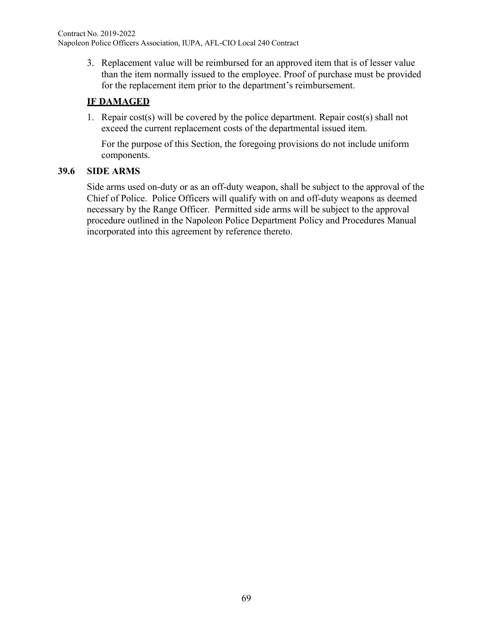3. Replacement value will be reimbursed for an approved item that is of lesser value than the item normally issued to the employee. Proof of purchase must be provided for the replacement item prior to the department's reimbursement.

# **IF DAMAGED**

1. Repair cost(s) will be covered by the police department. Repair cost(s) shall not exceed the current replacement costs of the departmental issued item.

For the purpose of this Section, the foregoing provisions do not include uniform components.

# **39.6 SIDE ARMS**

Side arms used on-duty or as an off-duty weapon, shall be subject to the approval of the Chief of Police. Police Officers will qualify with on and off-duty weapons as deemed necessary by the Range Officer. Permitted side arms will be subject to the approval procedure outlined in the Napoleon Police Department Policy and Procedures Manual incorporated into this agreement by reference thereto.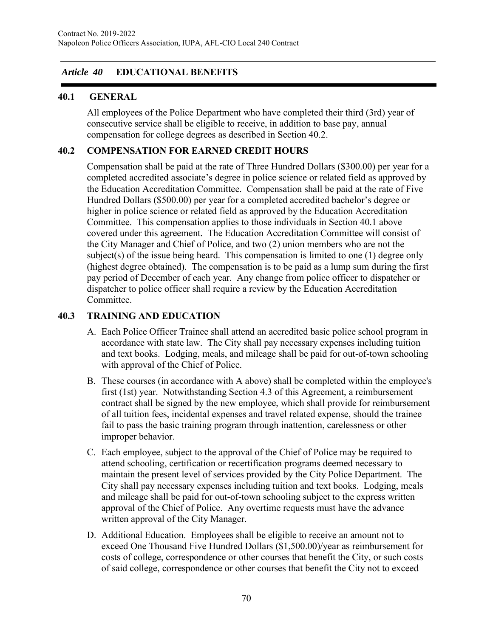## *Article 40* **EDUCATIONAL BENEFITS**

## **40.1 GENERAL**

All employees of the Police Department who have completed their third (3rd) year of consecutive service shall be eligible to receive, in addition to base pay, annual compensation for college degrees as described in Section 40.2.

## **40.2 COMPENSATION FOR EARNED CREDIT HOURS**

Compensation shall be paid at the rate of Three Hundred Dollars (\$300.00) per year for a completed accredited associate's degree in police science or related field as approved by the Education Accreditation Committee. Compensation shall be paid at the rate of Five Hundred Dollars (\$500.00) per year for a completed accredited bachelor's degree or higher in police science or related field as approved by the Education Accreditation Committee. This compensation applies to those individuals in Section 40.1 above covered under this agreement. The Education Accreditation Committee will consist of the City Manager and Chief of Police, and two (2) union members who are not the subject(s) of the issue being heard. This compensation is limited to one (1) degree only (highest degree obtained). The compensation is to be paid as a lump sum during the first pay period of December of each year. Any change from police officer to dispatcher or dispatcher to police officer shall require a review by the Education Accreditation Committee.

## **40.3 TRAINING AND EDUCATION**

- A. Each Police Officer Trainee shall attend an accredited basic police school program in accordance with state law. The City shall pay necessary expenses including tuition and text books. Lodging, meals, and mileage shall be paid for out-of-town schooling with approval of the Chief of Police.
- B. These courses (in accordance with A above) shall be completed within the employee's first (1st) year. Notwithstanding Section 4.3 of this Agreement, a reimbursement contract shall be signed by the new employee, which shall provide for reimbursement of all tuition fees, incidental expenses and travel related expense, should the trainee fail to pass the basic training program through inattention, carelessness or other improper behavior.
- C. Each employee, subject to the approval of the Chief of Police may be required to attend schooling, certification or recertification programs deemed necessary to maintain the present level of services provided by the City Police Department. The City shall pay necessary expenses including tuition and text books. Lodging, meals and mileage shall be paid for out-of-town schooling subject to the express written approval of the Chief of Police. Any overtime requests must have the advance written approval of the City Manager.
- D. Additional Education. Employees shall be eligible to receive an amount not to exceed One Thousand Five Hundred Dollars (\$1,500.00)/year as reimbursement for costs of college, correspondence or other courses that benefit the City, or such costs of said college, correspondence or other courses that benefit the City not to exceed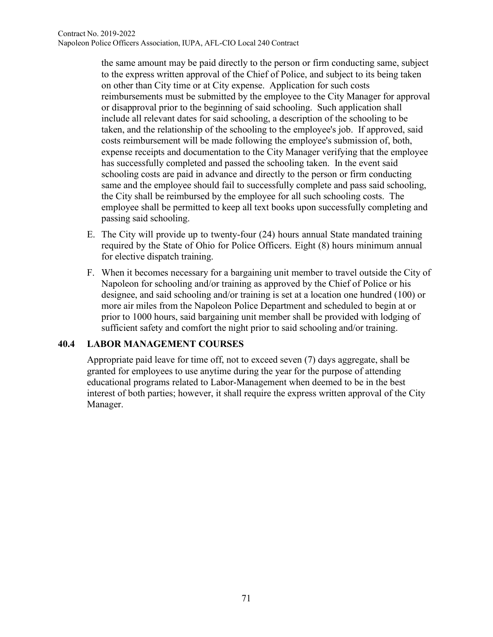the same amount may be paid directly to the person or firm conducting same, subject to the express written approval of the Chief of Police, and subject to its being taken on other than City time or at City expense. Application for such costs reimbursements must be submitted by the employee to the City Manager for approval or disapproval prior to the beginning of said schooling. Such application shall include all relevant dates for said schooling, a description of the schooling to be taken, and the relationship of the schooling to the employee's job. If approved, said costs reimbursement will be made following the employee's submission of, both, expense receipts and documentation to the City Manager verifying that the employee has successfully completed and passed the schooling taken. In the event said schooling costs are paid in advance and directly to the person or firm conducting same and the employee should fail to successfully complete and pass said schooling, the City shall be reimbursed by the employee for all such schooling costs. The employee shall be permitted to keep all text books upon successfully completing and passing said schooling.

- E. The City will provide up to twenty-four (24) hours annual State mandated training required by the State of Ohio for Police Officers. Eight (8) hours minimum annual for elective dispatch training.
- F. When it becomes necessary for a bargaining unit member to travel outside the City of Napoleon for schooling and/or training as approved by the Chief of Police or his designee, and said schooling and/or training is set at a location one hundred (100) or more air miles from the Napoleon Police Department and scheduled to begin at or prior to 1000 hours, said bargaining unit member shall be provided with lodging of sufficient safety and comfort the night prior to said schooling and/or training.

## **40.4 LABOR MANAGEMENT COURSES**

Appropriate paid leave for time off, not to exceed seven (7) days aggregate, shall be granted for employees to use anytime during the year for the purpose of attending educational programs related to Labor-Management when deemed to be in the best interest of both parties; however, it shall require the express written approval of the City Manager.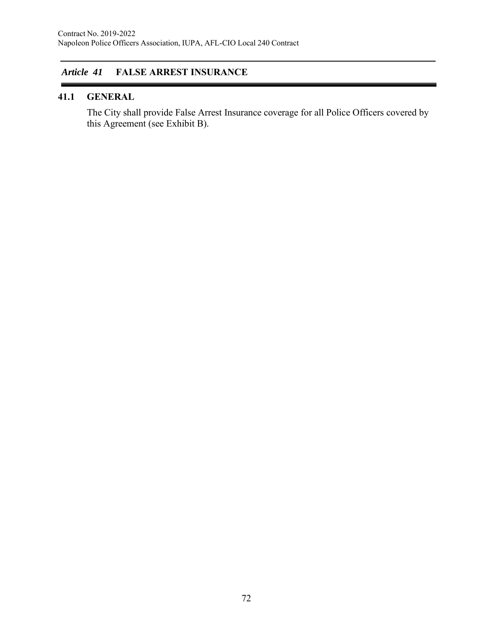# *Article 41* **FALSE ARREST INSURANCE**

#### **41.1 GENERAL**

The City shall provide False Arrest Insurance coverage for all Police Officers covered by this Agreement (see Exhibit B).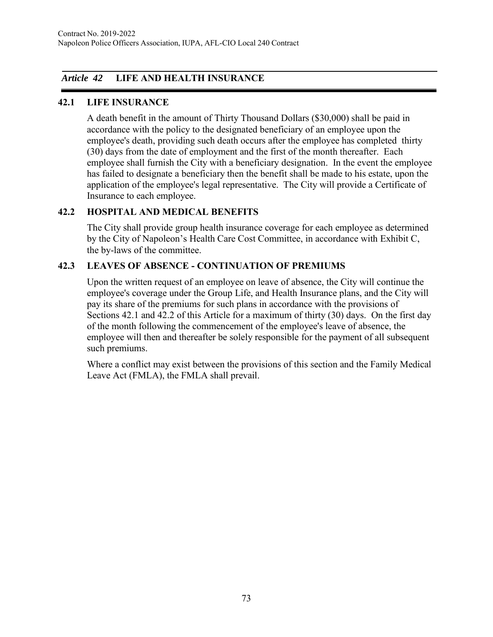# *Article 42* **LIFE AND HEALTH INSURANCE**

### **42.1 LIFE INSURANCE**

A death benefit in the amount of Thirty Thousand Dollars (\$30,000) shall be paid in accordance with the policy to the designated beneficiary of an employee upon the employee's death, providing such death occurs after the employee has completed thirty (30) days from the date of employment and the first of the month thereafter. Each employee shall furnish the City with a beneficiary designation. In the event the employee has failed to designate a beneficiary then the benefit shall be made to his estate, upon the application of the employee's legal representative. The City will provide a Certificate of Insurance to each employee.

# **42.2 HOSPITAL AND MEDICAL BENEFITS**

The City shall provide group health insurance coverage for each employee as determined by the City of Napoleon's Health Care Cost Committee, in accordance with Exhibit C, the by-laws of the committee.

# **42.3 LEAVES OF ABSENCE - CONTINUATION OF PREMIUMS**

Upon the written request of an employee on leave of absence, the City will continue the employee's coverage under the Group Life, and Health Insurance plans, and the City will pay its share of the premiums for such plans in accordance with the provisions of Sections 42.1 and 42.2 of this Article for a maximum of thirty (30) days. On the first day of the month following the commencement of the employee's leave of absence, the employee will then and thereafter be solely responsible for the payment of all subsequent such premiums.

Where a conflict may exist between the provisions of this section and the Family Medical Leave Act (FMLA), the FMLA shall prevail.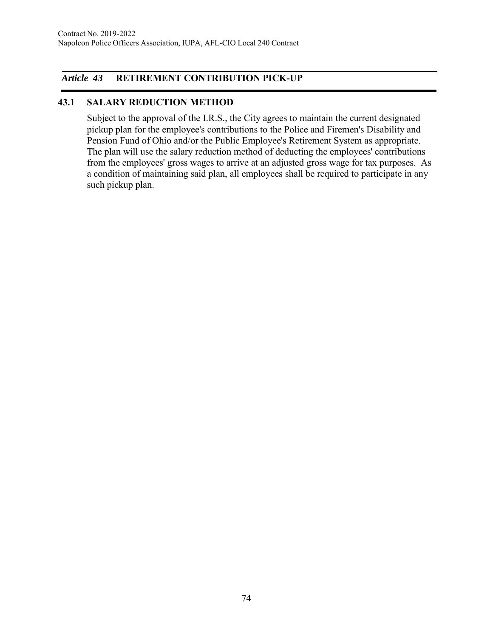# *Article 43* **RETIREMENT CONTRIBUTION PICK-UP**

### **43.1 SALARY REDUCTION METHOD**

Subject to the approval of the I.R.S., the City agrees to maintain the current designated pickup plan for the employee's contributions to the Police and Firemen's Disability and Pension Fund of Ohio and/or the Public Employee's Retirement System as appropriate. The plan will use the salary reduction method of deducting the employees' contributions from the employees' gross wages to arrive at an adjusted gross wage for tax purposes. As a condition of maintaining said plan, all employees shall be required to participate in any such pickup plan.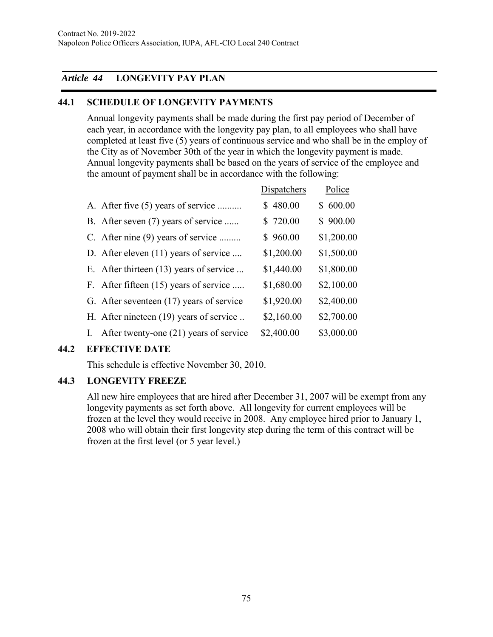# *Article 44* **LONGEVITY PAY PLAN**

# **44.1 SCHEDULE OF LONGEVITY PAYMENTS**

Annual longevity payments shall be made during the first pay period of December of each year, in accordance with the longevity pay plan, to all employees who shall have completed at least five (5) years of continuous service and who shall be in the employ of the City as of November 30th of the year in which the longevity payment is made. Annual longevity payments shall be based on the years of service of the employee and the amount of payment shall be in accordance with the following:

|    |                                          | <b>Dispatchers</b> | Police     |
|----|------------------------------------------|--------------------|------------|
|    | A. After five (5) years of service       | \$480.00           | \$600.00   |
|    | B. After seven (7) years of service      | \$720.00           | \$900.00   |
|    | C. After nine (9) years of service       | \$960.00           | \$1,200.00 |
|    | D. After eleven (11) years of service    | \$1,200.00         | \$1,500.00 |
|    | E. After thirteen (13) years of service  | \$1,440.00         | \$1,800.00 |
|    | F. After fifteen (15) years of service   | \$1,680.00         | \$2,100.00 |
|    | G. After seventeen (17) years of service | \$1,920.00         | \$2,400.00 |
|    | H. After nineteen (19) years of service  | \$2,160.00         | \$2,700.00 |
| I. | After twenty-one (21) years of service   | \$2,400.00         | \$3,000.00 |

# **44.2 EFFECTIVE DATE**

This schedule is effective November 30, 2010.

### **44.3 LONGEVITY FREEZE**

All new hire employees that are hired after December 31, 2007 will be exempt from any longevity payments as set forth above. All longevity for current employees will be frozen at the level they would receive in 2008. Any employee hired prior to January 1, 2008 who will obtain their first longevity step during the term of this contract will be frozen at the first level (or 5 year level.)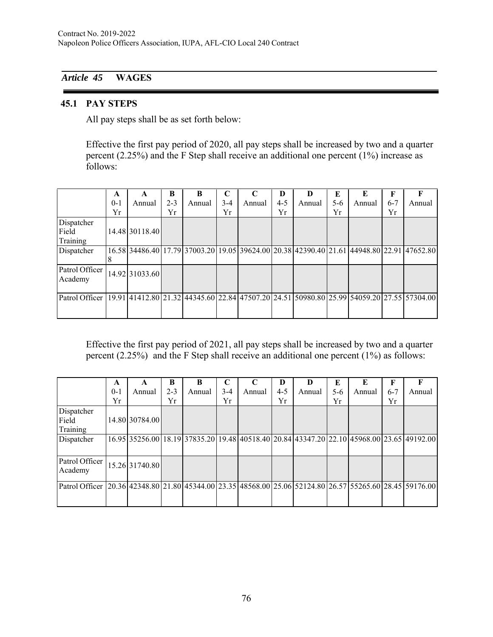# *Article 45* **WAGES**

#### **45.1 PAY STEPS**

All pay steps shall be as set forth below:

Effective the first pay period of 2020, all pay steps shall be increased by two and a quarter percent (2.25%) and the F Step shall receive an additional one percent (1%) increase as follows:

|                                                                                                            | A<br>$0 - 1$<br>Yr | A<br>Annual    | B<br>$2 - 3$<br>Yr | B<br>Annual | C<br>$3-4$<br>Yr | C<br>Annual | D<br>$4 - 5$<br>Yr | D<br>Annual | E<br>5-6<br>Yr | E<br>Annual | F<br>$6 - 7$<br>Yr | F<br>Annual                                                                               |
|------------------------------------------------------------------------------------------------------------|--------------------|----------------|--------------------|-------------|------------------|-------------|--------------------|-------------|----------------|-------------|--------------------|-------------------------------------------------------------------------------------------|
| Dispatcher<br>Field<br>Training                                                                            |                    | 14.48 30118.40 |                    |             |                  |             |                    |             |                |             |                    |                                                                                           |
| Dispatcher                                                                                                 |                    |                |                    |             |                  |             |                    |             |                |             |                    | 16.58 34486.40 17.79 37003.20 19.05 39624.00 20.38 42390.40 21.61 44948.80 22.91 47652.80 |
| Patrol Officer<br>Academy                                                                                  |                    | 14.92 31033.60 |                    |             |                  |             |                    |             |                |             |                    |                                                                                           |
| Patrol Officer   19.91 41412.80 21.32 44345.60 22.84 47507.20 24.51 50980.80 25.99 54059.20 27.55 57304.00 |                    |                |                    |             |                  |             |                    |             |                |             |                    |                                                                                           |

Effective the first pay period of 2021, all pay steps shall be increased by two and a quarter percent (2.25%) and the F Step shall receive an additional one percent (1%) as follows:

|                                                                                                          | A       | A              | B       | B      | C     | $\mathbf C$ | D       | D      | E   | E      | F       |                                                                                           |
|----------------------------------------------------------------------------------------------------------|---------|----------------|---------|--------|-------|-------------|---------|--------|-----|--------|---------|-------------------------------------------------------------------------------------------|
|                                                                                                          | $0 - 1$ | Annual         | $2 - 3$ | Annual | $3-4$ | Annual      | $4 - 5$ | Annual | 5-6 | Annual | $6 - 7$ | Annual                                                                                    |
|                                                                                                          | Yr      |                | Yr      |        | Yr    |             | Yr      |        | Yr  |        | Yr      |                                                                                           |
| Dispatcher<br>Field<br>Training                                                                          |         | 14.80 30784.00 |         |        |       |             |         |        |     |        |         |                                                                                           |
| Dispatcher                                                                                               |         |                |         |        |       |             |         |        |     |        |         | 16.95 35256.00 18.19 37835.20 19.48 40518.40 20.84 43347.20 22.10 45968.00 23.65 49192.00 |
| Patrol Officer<br>Academy                                                                                |         | 15.26 31740.80 |         |        |       |             |         |        |     |        |         |                                                                                           |
| Patrol Officer 20.36 42348.80 21.80 45344.00 23.35 48568.00 25.06 52124.80 26.57 55265.60 28.45 59176.00 |         |                |         |        |       |             |         |        |     |        |         |                                                                                           |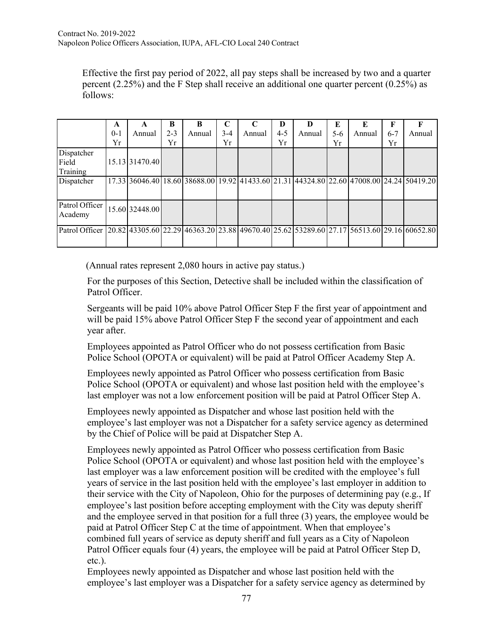Effective the first pay period of 2022, all pay steps shall be increased by two and a quarter percent (2.25%) and the F Step shall receive an additional one quarter percent (0.25%) as follows:

|                                                                                                          | A<br>$0-1$ | A<br>Annual    | B<br>$2 - 3$ | B<br>Annual | $3-4$ | Annual | D<br>$4 - 5$ | D<br>Annual | E<br>$5-6$ | E<br>Annual | F<br>$6 - 7$ | F<br>Annual                                                                               |
|----------------------------------------------------------------------------------------------------------|------------|----------------|--------------|-------------|-------|--------|--------------|-------------|------------|-------------|--------------|-------------------------------------------------------------------------------------------|
|                                                                                                          | Yr         |                | Yr           |             | Yr    |        | Yr           |             | Yr         |             | Yr           |                                                                                           |
| Dispatcher<br>Field<br>Training                                                                          |            | 15.13 31470.40 |              |             |       |        |              |             |            |             |              |                                                                                           |
| Dispatcher                                                                                               |            |                |              |             |       |        |              |             |            |             |              | 17.33 36046.40 18.60 38688.00 19.92 41433.60 21.31 44324.80 22.60 47008.00 24.24 50419.20 |
| Patrol Officer<br>Academy                                                                                |            | 15.60 32448.00 |              |             |       |        |              |             |            |             |              |                                                                                           |
| Patrol Officer 20.82 43305.60 22.29 46363.20 23.88 49670.40 25.62 53289.60 27.17 56513.60 29.16 60652.80 |            |                |              |             |       |        |              |             |            |             |              |                                                                                           |

(Annual rates represent 2,080 hours in active pay status.)

For the purposes of this Section, Detective shall be included within the classification of Patrol Officer.

Sergeants will be paid 10% above Patrol Officer Step F the first year of appointment and will be paid 15% above Patrol Officer Step F the second year of appointment and each year after.

Employees appointed as Patrol Officer who do not possess certification from Basic Police School (OPOTA or equivalent) will be paid at Patrol Officer Academy Step A.

Employees newly appointed as Patrol Officer who possess certification from Basic Police School (OPOTA or equivalent) and whose last position held with the employee's last employer was not a low enforcement position will be paid at Patrol Officer Step A.

Employees newly appointed as Dispatcher and whose last position held with the employee's last employer was not a Dispatcher for a safety service agency as determined by the Chief of Police will be paid at Dispatcher Step A.

Employees newly appointed as Patrol Officer who possess certification from Basic Police School (OPOTA or equivalent) and whose last position held with the employee's last employer was a law enforcement position will be credited with the employee's full years of service in the last position held with the employee's last employer in addition to their service with the City of Napoleon, Ohio for the purposes of determining pay (e.g., If employee's last position before accepting employment with the City was deputy sheriff and the employee served in that position for a full three (3) years, the employee would be paid at Patrol Officer Step C at the time of appointment. When that employee's combined full years of service as deputy sheriff and full years as a City of Napoleon Patrol Officer equals four (4) years, the employee will be paid at Patrol Officer Step D, etc.).

Employees newly appointed as Dispatcher and whose last position held with the employee's last employer was a Dispatcher for a safety service agency as determined by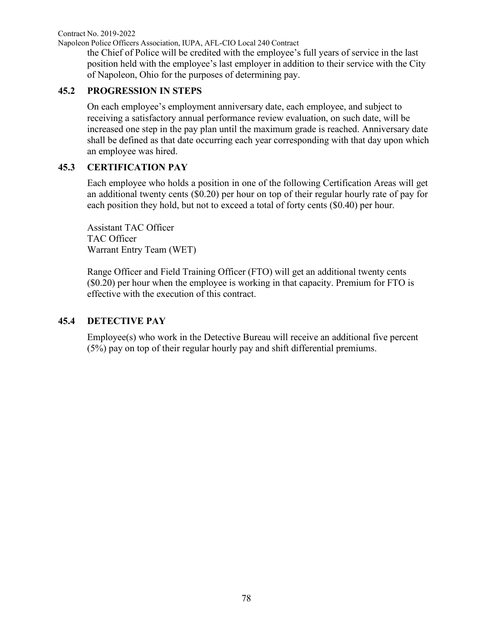Contract No. 2019-2022

Napoleon Police Officers Association, IUPA, AFL-CIO Local 240 Contract

the Chief of Police will be credited with the employee's full years of service in the last position held with the employee's last employer in addition to their service with the City of Napoleon, Ohio for the purposes of determining pay.

### **45.2 PROGRESSION IN STEPS**

On each employee's employment anniversary date, each employee, and subject to receiving a satisfactory annual performance review evaluation, on such date, will be increased one step in the pay plan until the maximum grade is reached. Anniversary date shall be defined as that date occurring each year corresponding with that day upon which an employee was hired.

### **45.3 CERTIFICATION PAY**

Each employee who holds a position in one of the following Certification Areas will get an additional twenty cents (\$0.20) per hour on top of their regular hourly rate of pay for each position they hold, but not to exceed a total of forty cents (\$0.40) per hour.

Assistant TAC Officer TAC Officer Warrant Entry Team (WET)

Range Officer and Field Training Officer (FTO) will get an additional twenty cents (\$0.20) per hour when the employee is working in that capacity. Premium for FTO is effective with the execution of this contract.

### **45.4 DETECTIVE PAY**

Employee(s) who work in the Detective Bureau will receive an additional five percent (5%) pay on top of their regular hourly pay and shift differential premiums.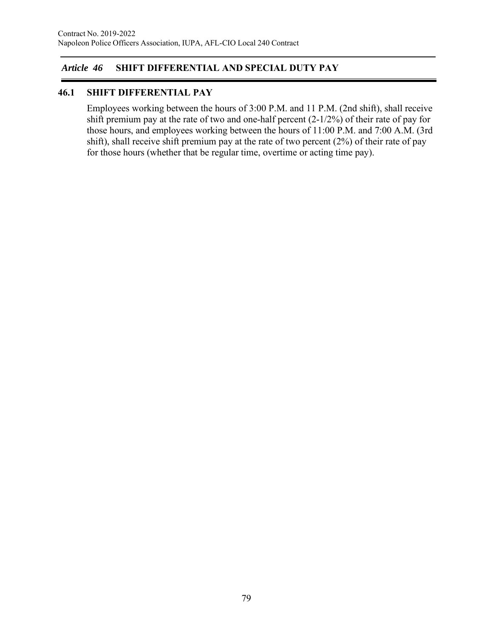# *Article 46* **SHIFT DIFFERENTIAL AND SPECIAL DUTY PAY**

### **46.1 SHIFT DIFFERENTIAL PAY**

Employees working between the hours of 3:00 P.M. and 11 P.M. (2nd shift), shall receive shift premium pay at the rate of two and one-half percent (2-1/2%) of their rate of pay for those hours, and employees working between the hours of 11:00 P.M. and 7:00 A.M. (3rd shift), shall receive shift premium pay at the rate of two percent (2%) of their rate of pay for those hours (whether that be regular time, overtime or acting time pay).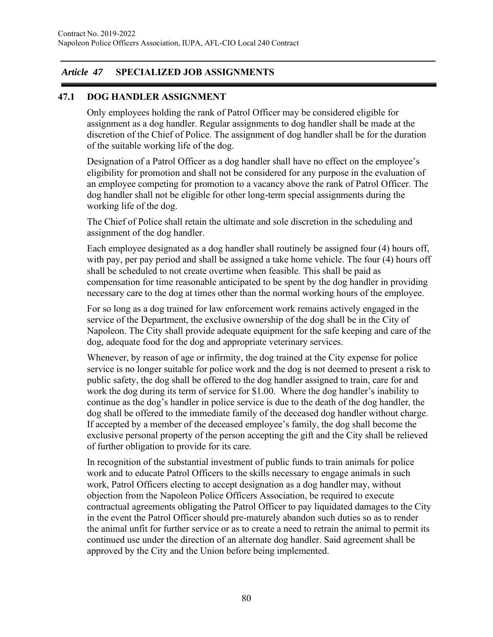### *Article 47* **SPECIALIZED JOB ASSIGNMENTS**

### **47.1 DOG HANDLER ASSIGNMENT**

Only employees holding the rank of Patrol Officer may be considered eligible for assignment as a dog handler. Regular assignments to dog handler shall be made at the discretion of the Chief of Police. The assignment of dog handler shall be for the duration of the suitable working life of the dog.

Designation of a Patrol Officer as a dog handler shall have no effect on the employee's eligibility for promotion and shall not be considered for any purpose in the evaluation of an employee competing for promotion to a vacancy above the rank of Patrol Officer. The dog handler shall not be eligible for other long-term special assignments during the working life of the dog.

The Chief of Police shall retain the ultimate and sole discretion in the scheduling and assignment of the dog handler.

Each employee designated as a dog handler shall routinely be assigned four (4) hours off, with pay, per pay period and shall be assigned a take home vehicle. The four (4) hours off shall be scheduled to not create overtime when feasible. This shall be paid as compensation for time reasonable anticipated to be spent by the dog handler in providing necessary care to the dog at times other than the normal working hours of the employee.

For so long as a dog trained for law enforcement work remains actively engaged in the service of the Department, the exclusive ownership of the dog shall be in the City of Napoleon. The City shall provide adequate equipment for the safe keeping and care of the dog, adequate food for the dog and appropriate veterinary services.

Whenever, by reason of age or infirmity, the dog trained at the City expense for police service is no longer suitable for police work and the dog is not deemed to present a risk to public safety, the dog shall be offered to the dog handler assigned to train, care for and work the dog during its term of service for \$1.00. Where the dog handler's inability to continue as the dog's handler in police service is due to the death of the dog handler, the dog shall be offered to the immediate family of the deceased dog handler without charge. If accepted by a member of the deceased employee's family, the dog shall become the exclusive personal property of the person accepting the gift and the City shall be relieved of further obligation to provide for its care.

In recognition of the substantial investment of public funds to train animals for police work and to educate Patrol Officers to the skills necessary to engage animals in such work, Patrol Officers electing to accept designation as a dog handler may, without objection from the Napoleon Police Officers Association, be required to execute contractual agreements obligating the Patrol Officer to pay liquidated damages to the City in the event the Patrol Officer should pre-maturely abandon such duties so as to render the animal unfit for further service or as to create a need to retrain the animal to permit its continued use under the direction of an alternate dog handler. Said agreement shall be approved by the City and the Union before being implemented.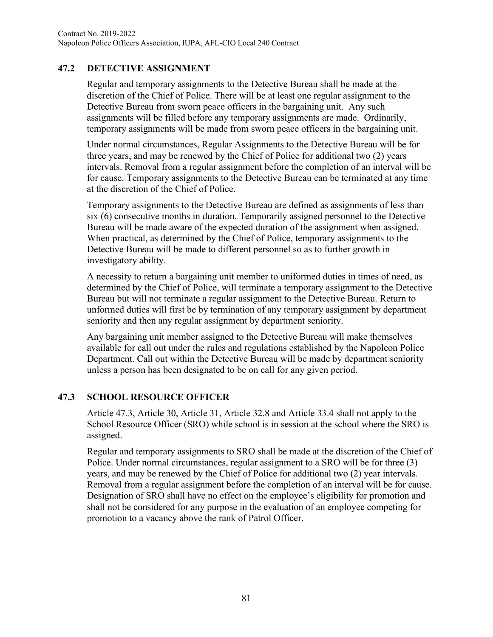# **47.2 DETECTIVE ASSIGNMENT**

Regular and temporary assignments to the Detective Bureau shall be made at the discretion of the Chief of Police. There will be at least one regular assignment to the Detective Bureau from sworn peace officers in the bargaining unit. Any such assignments will be filled before any temporary assignments are made. Ordinarily, temporary assignments will be made from sworn peace officers in the bargaining unit.

Under normal circumstances, Regular Assignments to the Detective Bureau will be for three years, and may be renewed by the Chief of Police for additional two (2) years intervals. Removal from a regular assignment before the completion of an interval will be for cause. Temporary assignments to the Detective Bureau can be terminated at any time at the discretion of the Chief of Police.

Temporary assignments to the Detective Bureau are defined as assignments of less than six (6) consecutive months in duration. Temporarily assigned personnel to the Detective Bureau will be made aware of the expected duration of the assignment when assigned. When practical, as determined by the Chief of Police, temporary assignments to the Detective Bureau will be made to different personnel so as to further growth in investigatory ability.

A necessity to return a bargaining unit member to uniformed duties in times of need, as determined by the Chief of Police, will terminate a temporary assignment to the Detective Bureau but will not terminate a regular assignment to the Detective Bureau. Return to unformed duties will first be by termination of any temporary assignment by department seniority and then any regular assignment by department seniority.

Any bargaining unit member assigned to the Detective Bureau will make themselves available for call out under the rules and regulations established by the Napoleon Police Department. Call out within the Detective Bureau will be made by department seniority unless a person has been designated to be on call for any given period.

### **47.3 SCHOOL RESOURCE OFFICER**

Article 47.3, Article 30, Article 31, Article 32.8 and Article 33.4 shall not apply to the School Resource Officer (SRO) while school is in session at the school where the SRO is assigned.

Regular and temporary assignments to SRO shall be made at the discretion of the Chief of Police. Under normal circumstances, regular assignment to a SRO will be for three (3) years, and may be renewed by the Chief of Police for additional two (2) year intervals. Removal from a regular assignment before the completion of an interval will be for cause. Designation of SRO shall have no effect on the employee's eligibility for promotion and shall not be considered for any purpose in the evaluation of an employee competing for promotion to a vacancy above the rank of Patrol Officer.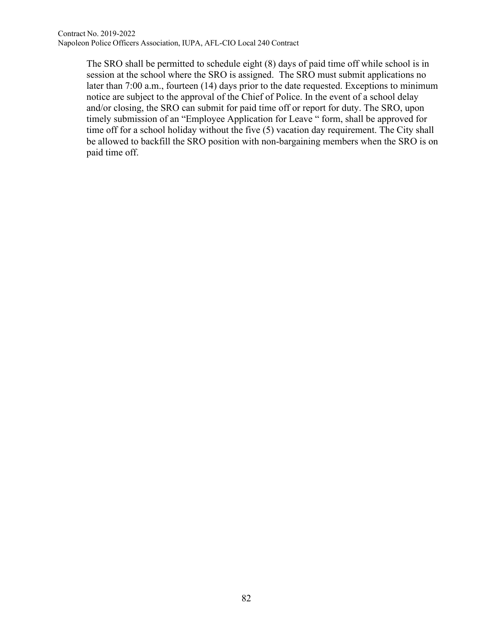The SRO shall be permitted to schedule eight (8) days of paid time off while school is in session at the school where the SRO is assigned. The SRO must submit applications no later than 7:00 a.m., fourteen (14) days prior to the date requested. Exceptions to minimum notice are subject to the approval of the Chief of Police. In the event of a school delay and/or closing, the SRO can submit for paid time off or report for duty. The SRO, upon timely submission of an "Employee Application for Leave " form, shall be approved for time off for a school holiday without the five (5) vacation day requirement. The City shall be allowed to backfill the SRO position with non-bargaining members when the SRO is on paid time off.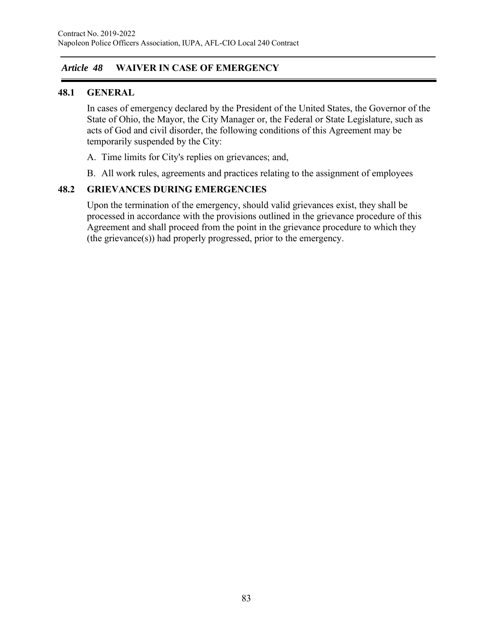# *Article 48* **WAIVER IN CASE OF EMERGENCY**

#### **48.1 GENERAL**

In cases of emergency declared by the President of the United States, the Governor of the State of Ohio, the Mayor, the City Manager or, the Federal or State Legislature, such as acts of God and civil disorder, the following conditions of this Agreement may be temporarily suspended by the City:

- A. Time limits for City's replies on grievances; and,
- B. All work rules, agreements and practices relating to the assignment of employees

#### **48.2 GRIEVANCES DURING EMERGENCIES**

Upon the termination of the emergency, should valid grievances exist, they shall be processed in accordance with the provisions outlined in the grievance procedure of this Agreement and shall proceed from the point in the grievance procedure to which they (the grievance(s)) had properly progressed, prior to the emergency.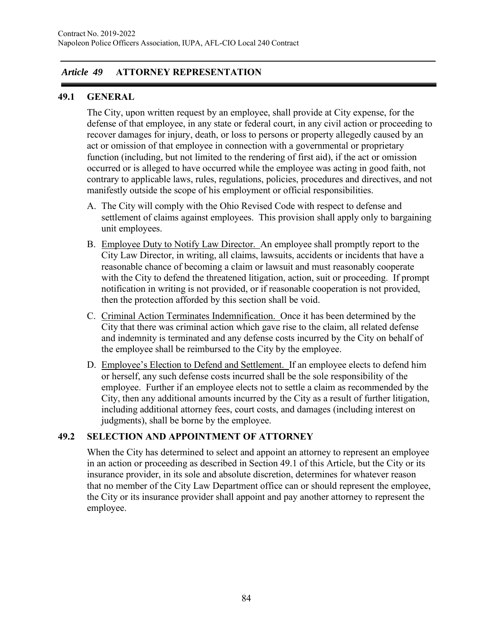### *Article 49* **ATTORNEY REPRESENTATION**

### **49.1 GENERAL**

The City, upon written request by an employee, shall provide at City expense, for the defense of that employee, in any state or federal court, in any civil action or proceeding to recover damages for injury, death, or loss to persons or property allegedly caused by an act or omission of that employee in connection with a governmental or proprietary function (including, but not limited to the rendering of first aid), if the act or omission occurred or is alleged to have occurred while the employee was acting in good faith, not contrary to applicable laws, rules, regulations, policies, procedures and directives, and not manifestly outside the scope of his employment or official responsibilities.

- A. The City will comply with the Ohio Revised Code with respect to defense and settlement of claims against employees. This provision shall apply only to bargaining unit employees.
- B. Employee Duty to Notify Law Director. An employee shall promptly report to the City Law Director, in writing, all claims, lawsuits, accidents or incidents that have a reasonable chance of becoming a claim or lawsuit and must reasonably cooperate with the City to defend the threatened litigation, action, suit or proceeding. If prompt notification in writing is not provided, or if reasonable cooperation is not provided, then the protection afforded by this section shall be void.
- C. Criminal Action Terminates Indemnification. Once it has been determined by the City that there was criminal action which gave rise to the claim, all related defense and indemnity is terminated and any defense costs incurred by the City on behalf of the employee shall be reimbursed to the City by the employee.
- D. Employee's Election to Defend and Settlement. If an employee elects to defend him or herself, any such defense costs incurred shall be the sole responsibility of the employee. Further if an employee elects not to settle a claim as recommended by the City, then any additional amounts incurred by the City as a result of further litigation, including additional attorney fees, court costs, and damages (including interest on judgments), shall be borne by the employee.

# **49.2 SELECTION AND APPOINTMENT OF ATTORNEY**

When the City has determined to select and appoint an attorney to represent an employee in an action or proceeding as described in Section 49.1 of this Article, but the City or its insurance provider, in its sole and absolute discretion, determines for whatever reason that no member of the City Law Department office can or should represent the employee, the City or its insurance provider shall appoint and pay another attorney to represent the employee.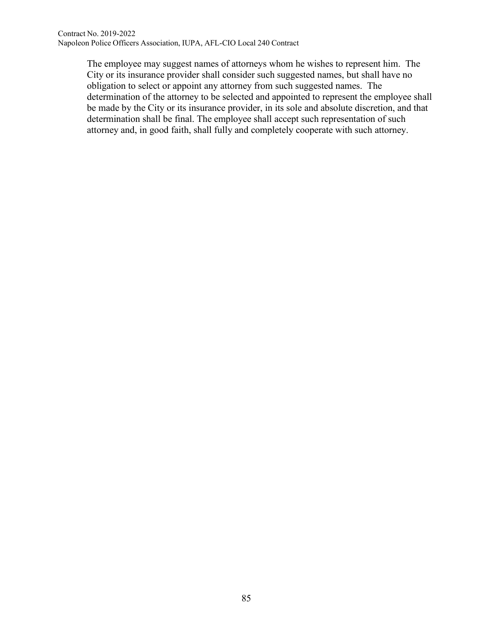The employee may suggest names of attorneys whom he wishes to represent him. The City or its insurance provider shall consider such suggested names, but shall have no obligation to select or appoint any attorney from such suggested names. The determination of the attorney to be selected and appointed to represent the employee shall be made by the City or its insurance provider, in its sole and absolute discretion, and that determination shall be final. The employee shall accept such representation of such attorney and, in good faith, shall fully and completely cooperate with such attorney.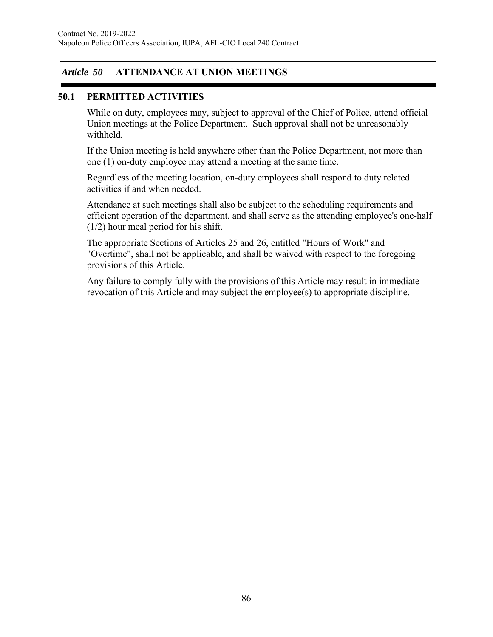### *Article 50* **ATTENDANCE AT UNION MEETINGS**

### **50.1 PERMITTED ACTIVITIES**

While on duty, employees may, subject to approval of the Chief of Police, attend official Union meetings at the Police Department. Such approval shall not be unreasonably withheld.

If the Union meeting is held anywhere other than the Police Department, not more than one (1) on-duty employee may attend a meeting at the same time.

Regardless of the meeting location, on-duty employees shall respond to duty related activities if and when needed.

Attendance at such meetings shall also be subject to the scheduling requirements and efficient operation of the department, and shall serve as the attending employee's one-half (1/2) hour meal period for his shift.

The appropriate Sections of Articles 25 and 26, entitled "Hours of Work" and "Overtime", shall not be applicable, and shall be waived with respect to the foregoing provisions of this Article.

Any failure to comply fully with the provisions of this Article may result in immediate revocation of this Article and may subject the employee(s) to appropriate discipline.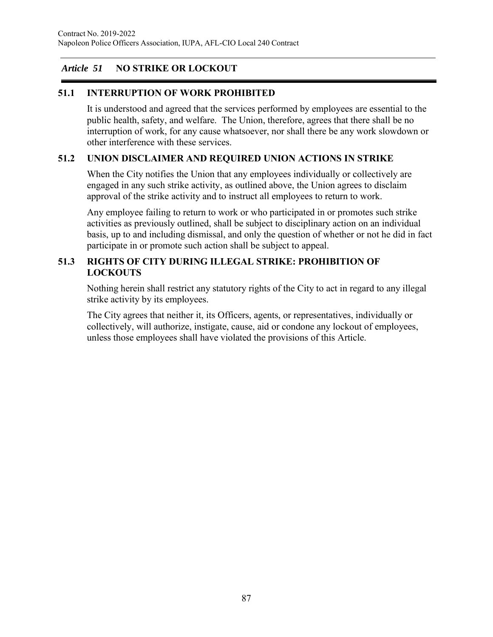# *Article 51* **NO STRIKE OR LOCKOUT**

# **51.1 INTERRUPTION OF WORK PROHIBITED**

It is understood and agreed that the services performed by employees are essential to the public health, safety, and welfare. The Union, therefore, agrees that there shall be no interruption of work, for any cause whatsoever, nor shall there be any work slowdown or other interference with these services.

### **51.2 UNION DISCLAIMER AND REQUIRED UNION ACTIONS IN STRIKE**

When the City notifies the Union that any employees individually or collectively are engaged in any such strike activity, as outlined above, the Union agrees to disclaim approval of the strike activity and to instruct all employees to return to work.

Any employee failing to return to work or who participated in or promotes such strike activities as previously outlined, shall be subject to disciplinary action on an individual basis, up to and including dismissal, and only the question of whether or not he did in fact participate in or promote such action shall be subject to appeal.

### **51.3 RIGHTS OF CITY DURING ILLEGAL STRIKE: PROHIBITION OF LOCKOUTS**

Nothing herein shall restrict any statutory rights of the City to act in regard to any illegal strike activity by its employees.

The City agrees that neither it, its Officers, agents, or representatives, individually or collectively, will authorize, instigate, cause, aid or condone any lockout of employees, unless those employees shall have violated the provisions of this Article.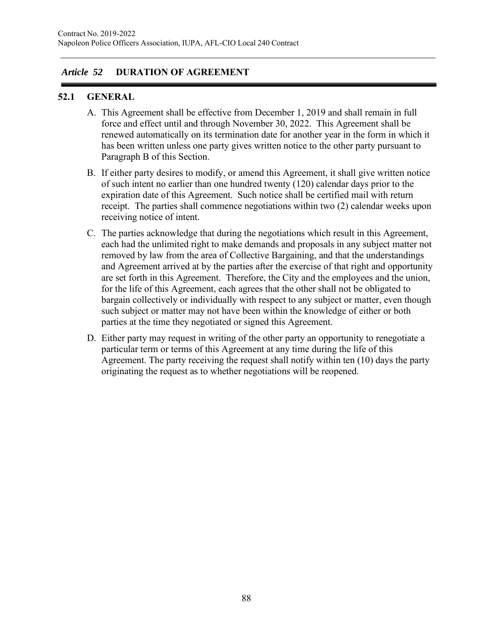### *Article 52* **DURATION OF AGREEMENT**

### **52.1 GENERAL**

- A. This Agreement shall be effective from December 1, 2019 and shall remain in full force and effect until and through November 30, 2022. This Agreement shall be renewed automatically on its termination date for another year in the form in which it has been written unless one party gives written notice to the other party pursuant to Paragraph B of this Section.
- B. If either party desires to modify, or amend this Agreement, it shall give written notice of such intent no earlier than one hundred twenty (120) calendar days prior to the expiration date of this Agreement. Such notice shall be certified mail with return receipt. The parties shall commence negotiations within two (2) calendar weeks upon receiving notice of intent.
- C. The parties acknowledge that during the negotiations which result in this Agreement, each had the unlimited right to make demands and proposals in any subject matter not removed by law from the area of Collective Bargaining, and that the understandings and Agreement arrived at by the parties after the exercise of that right and opportunity are set forth in this Agreement. Therefore, the City and the employees and the union, for the life of this Agreement, each agrees that the other shall not be obligated to bargain collectively or individually with respect to any subject or matter, even though such subject or matter may not have been within the knowledge of either or both parties at the time they negotiated or signed this Agreement.
- D. Either party may request in writing of the other party an opportunity to renegotiate a particular term or terms of this Agreement at any time during the life of this Agreement. The party receiving the request shall notify within ten (10) days the party originating the request as to whether negotiations will be reopened.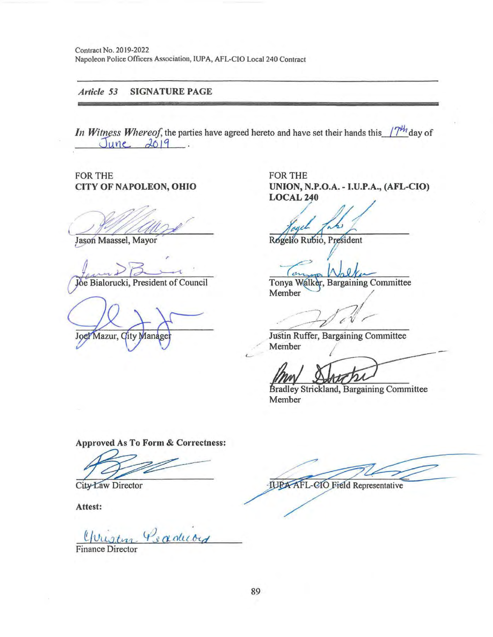Contract No. 2019-2022 Napoleon Police Officers Association, IUPA, AFL-CIO Local 240 Contract

#### *A11icle 53* SIGNATURE PAGE

*In Witness Whereof,* the parties have agreed hereto and have set their hands this  $/7^{4h}$  day of  $June$   $2019$ .

FOR THE CITY OF NAPOLEON, OHIO

Jason Maassel, Mayor

,

Joe Bialorucki, President of Council

Joel Mazur, City Manage

FOR THE UNION, N.P.O.A. - I.U.P.A., (AFL-CIO)<br>LOCAL 240

 $\frac{1}{\sqrt{2}}$ 

Rogelio Rubio, President

Tonya Walker, Bargaining Committee Member /

. . . -*---:v-1 .* / // A *v--J;I ,(-'* 1/ / --

Justin Ruffer, Bargaining Committee Member

Bradley Strickland, Bargaining Committee Member

Approved As To Form & Correctness:

Approved As To Form & Correctness:<br>City Law Director<br>Attest:

Yvustern Peaducord

Finance Director